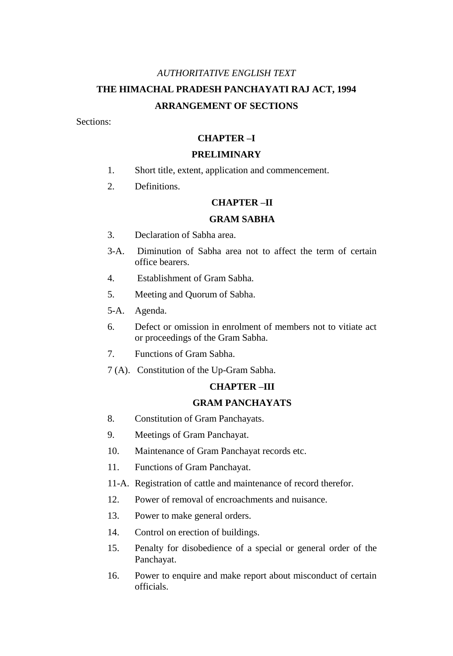# *AUTHORITATIVE ENGLISH TEXT* **THE HIMACHAL PRADESH PANCHAYATI RAJ ACT, 1994 ARRANGEMENT OF SECTIONS**

Sections:

# **CHAPTER –I**

## **PRELIMINARY**

- 1. Short title, extent, application and commencement.
- 2. Definitions.

# **CHAPTER –II**

## **GRAM SABHA**

- 3. Declaration of Sabha area.
- 3-A. Diminution of Sabha area not to affect the term of certain office bearers.
- 4. Establishment of Gram Sabha.
- 5. Meeting and Quorum of Sabha.
- 5-A. Agenda.
- 6. Defect or omission in enrolment of members not to vitiate act or proceedings of the Gram Sabha.
- 7. Functions of Gram Sabha.
- 7 (A). Constitution of the Up-Gram Sabha.

#### **CHAPTER –III**

## **GRAM PANCHAYATS**

- 8. Constitution of Gram Panchayats.
- 9. Meetings of Gram Panchayat.
- 10. Maintenance of Gram Panchayat records etc.
- 11. Functions of Gram Panchayat.
- 11-A. Registration of cattle and maintenance of record therefor.
- 12. Power of removal of encroachments and nuisance.
- 13. Power to make general orders.
- 14. Control on erection of buildings.
- 15. Penalty for disobedience of a special or general order of the Panchayat.
- 16. Power to enquire and make report about misconduct of certain officials.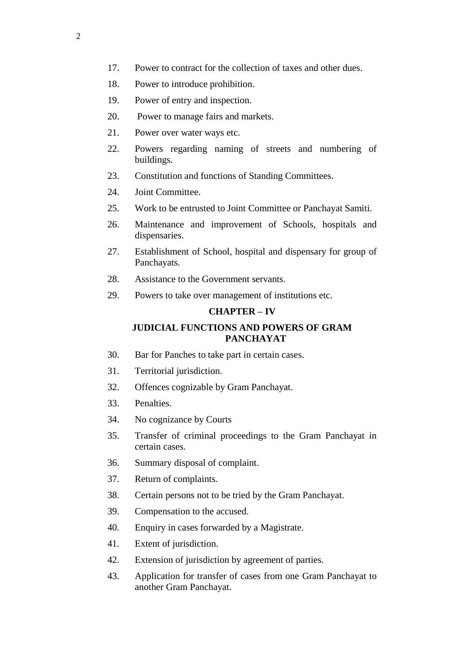- 17. Power to contract for the collection of taxes and other dues.
- 18. Power to introduce prohibition.
- 19. Power of entry and inspection.
- 20. Power to manage fairs and markets.
- 21. Power over water ways etc.
- 22. Powers regarding naming of streets and numbering of buildings.
- 23. Constitution and functions of Standing Committees.
- 24. Joint Committee.
- 25. Work to be entrusted to Joint Committee or Panchayat Samiti.
- 26. Maintenance and improvement of Schools, hospitals and dispensaries.
- 27. Establishment of School, hospital and dispensary for group of Panchayats.
- 28. Assistance to the Government servants.
- 29. Powers to take over management of institutions etc.

# **CHAPTER – IV**

# **JUDICIAL FUNCTIONS AND POWERS OF GRAM PANCHAYAT**

- 30. Bar for Panches to take part in certain cases.
- 31. Territorial jurisdiction.
- 32. Offences cognizable by Gram Panchayat.
- 33. Penalties.
- 34. No cognizance by Courts
- 35. Transfer of criminal proceedings to the Gram Panchayat in certain cases.
- 36. Summary disposal of complaint.
- 37. Return of complaints.
- 38. Certain persons not to be tried by the Gram Panchayat.
- 39. Compensation to the accused.
- 40. Enquiry in cases forwarded by a Magistrate.
- 41. Extent of jurisdiction.
- 42. Extension of jurisdiction by agreement of parties.
- 43. Application for transfer of cases from one Gram Panchayat to another Gram Panchayat.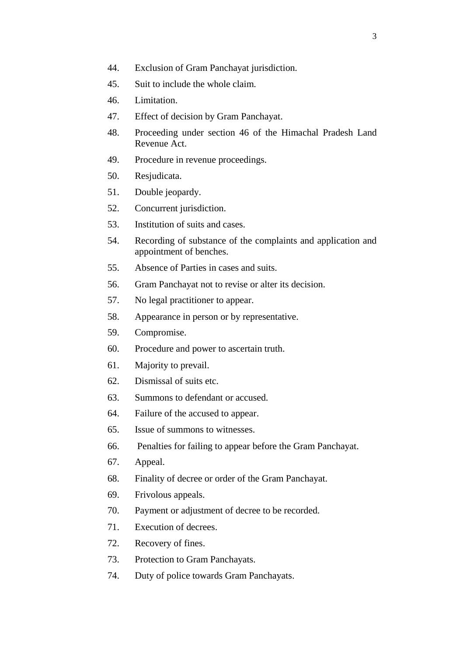- 45. Suit to include the whole claim.
- 46. Limitation.
- 47. Effect of decision by Gram Panchayat.
- 48. Proceeding under section 46 of the Himachal Pradesh Land Revenue Act.
- 49. Procedure in revenue proceedings.
- 50. Resjudicata.
- 51. Double jeopardy.
- 52. Concurrent jurisdiction.
- 53. Institution of suits and cases.
- 54. Recording of substance of the complaints and application and appointment of benches.
- 55. Absence of Parties in cases and suits.
- 56. Gram Panchayat not to revise or alter its decision.
- 57. No legal practitioner to appear.
- 58. Appearance in person or by representative.
- 59. Compromise.
- 60. Procedure and power to ascertain truth.
- 61. Majority to prevail.
- 62. Dismissal of suits etc.
- 63. Summons to defendant or accused.
- 64. Failure of the accused to appear.
- 65. Issue of summons to witnesses.
- 66. Penalties for failing to appear before the Gram Panchayat.
- 67. Appeal.
- 68. Finality of decree or order of the Gram Panchayat.
- 69. Frivolous appeals.
- 70. Payment or adjustment of decree to be recorded.
- 71. Execution of decrees.
- 72. Recovery of fines.
- 73. Protection to Gram Panchayats.
- 74. Duty of police towards Gram Panchayats.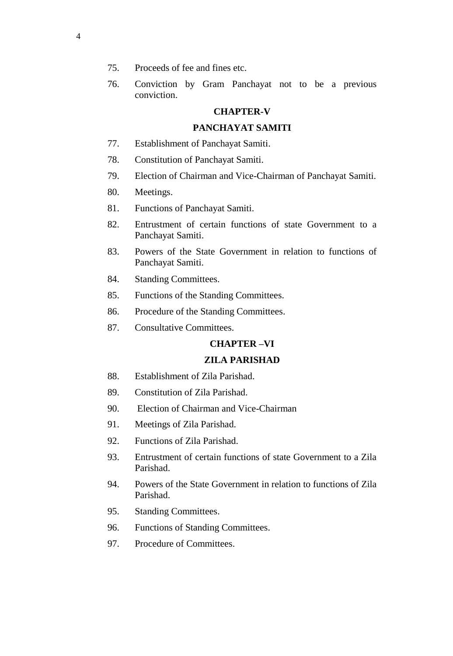- 75. Proceeds of fee and fines etc.
- 76. Conviction by Gram Panchayat not to be a previous conviction.

# **CHAPTER-V**

## **PANCHAYAT SAMITI**

- 77. Establishment of Panchayat Samiti.
- 78. Constitution of Panchayat Samiti.
- 79. Election of Chairman and Vice-Chairman of Panchayat Samiti.
- 80. Meetings.
- 81. Functions of Panchayat Samiti.
- 82. Entrustment of certain functions of state Government to a Panchayat Samiti.
- 83. Powers of the State Government in relation to functions of Panchayat Samiti.
- 84. Standing Committees.
- 85. Functions of the Standing Committees.
- 86. Procedure of the Standing Committees.
- 87. Consultative Committees.

# **CHAPTER –VI**

#### **ZILA PARISHAD**

- 88. Establishment of Zila Parishad.
- 89. Constitution of Zila Parishad.
- 90. Election of Chairman and Vice-Chairman
- 91. Meetings of Zila Parishad.
- 92. Functions of Zila Parishad.
- 93. Entrustment of certain functions of state Government to a Zila Parishad.
- 94. Powers of the State Government in relation to functions of Zila Parishad.
- 95. Standing Committees.
- 96. Functions of Standing Committees.
- 97. Procedure of Committees.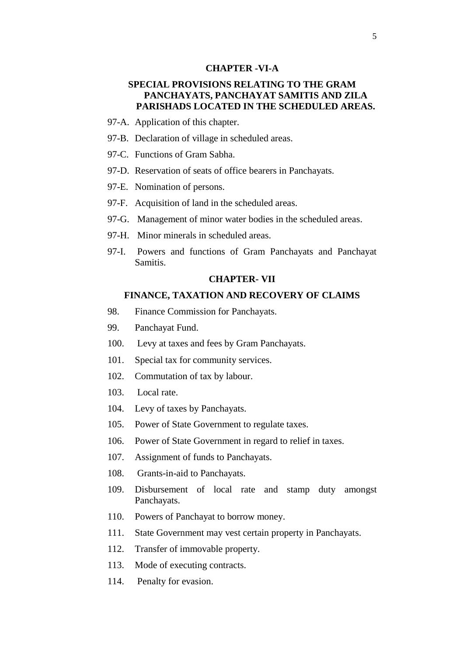### **CHAPTER -VI-A**

# **SPECIAL PROVISIONS RELATING TO THE GRAM PANCHAYATS, PANCHAYAT SAMITIS AND ZILA PARISHADS LOCATED IN THE SCHEDULED AREAS.**

- 97-A. Application of this chapter.
- 97-B. Declaration of village in scheduled areas.
- 97-C. Functions of Gram Sabha.
- 97-D. Reservation of seats of office bearers in Panchayats.
- 97-E. Nomination of persons.
- 97-F. Acquisition of land in the scheduled areas.
- 97-G. Management of minor water bodies in the scheduled areas.
- 97-H. Minor minerals in scheduled areas.
- 97-I. Powers and functions of Gram Panchayats and Panchayat Samitis.

## **CHAPTER- VII**

## **FINANCE, TAXATION AND RECOVERY OF CLAIMS**

- 98. Finance Commission for Panchayats.
- 99. Panchayat Fund.
- 100. Levy at taxes and fees by Gram Panchayats.
- 101. Special tax for community services.
- 102. Commutation of tax by labour.
- 103. Local rate.
- 104. Levy of taxes by Panchayats.
- 105. Power of State Government to regulate taxes.
- 106. Power of State Government in regard to relief in taxes.
- 107. Assignment of funds to Panchayats.
- 108. Grants-in-aid to Panchayats.
- 109. Disbursement of local rate and stamp duty amongst Panchayats.
- 110. Powers of Panchayat to borrow money.
- 111. State Government may vest certain property in Panchayats.
- 112. Transfer of immovable property.
- 113. Mode of executing contracts.
- 114. Penalty for evasion.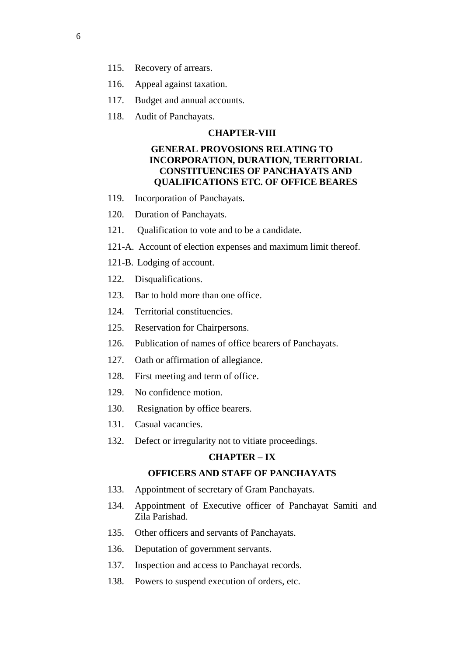- 115. Recovery of arrears.
- 116. Appeal against taxation.
- 117. Budget and annual accounts.
- 118. Audit of Panchayats.

## **CHAPTER-VIII**

# **GENERAL PROVOSIONS RELATING TO INCORPORATION, DURATION, TERRITORIAL CONSTITUENCIES OF PANCHAYATS AND QUALIFICATIONS ETC. OF OFFICE BEARES**

- 119. Incorporation of Panchayats.
- 120. Duration of Panchayats.
- 121. Qualification to vote and to be a candidate.
- 121-A. Account of election expenses and maximum limit thereof.
- 121-B. Lodging of account.
- 122. Disqualifications.
- 123. Bar to hold more than one office.
- 124. Territorial constituencies.
- 125. Reservation for Chairpersons.
- 126. Publication of names of office bearers of Panchayats.
- 127. Oath or affirmation of allegiance.
- 128. First meeting and term of office.
- 129. No confidence motion.
- 130. Resignation by office bearers.
- 131. Casual vacancies.
- 132. Defect or irregularity not to vitiate proceedings.

## **CHAPTER – IX**

# **OFFICERS AND STAFF OF PANCHAYATS**

- 133. Appointment of secretary of Gram Panchayats.
- 134. Appointment of Executive officer of Panchayat Samiti and Zila Parishad.
- 135. Other officers and servants of Panchayats.
- 136. Deputation of government servants.
- 137. Inspection and access to Panchayat records.
- 138. Powers to suspend execution of orders, etc.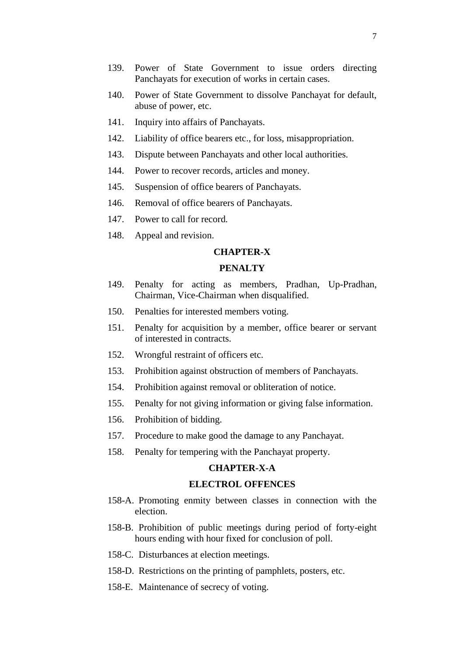- 139. Power of State Government to issue orders directing Panchayats for execution of works in certain cases.
- 140. Power of State Government to dissolve Panchayat for default, abuse of power, etc.
- 141. Inquiry into affairs of Panchayats.
- 142. Liability of office bearers etc., for loss, misappropriation.
- 143. Dispute between Panchayats and other local authorities.
- 144. Power to recover records, articles and money.
- 145. Suspension of office bearers of Panchayats.
- 146. Removal of office bearers of Panchayats.
- 147. Power to call for record.
- 148. Appeal and revision.

## **CHAPTER-X**

# **PENALTY**

- 149. Penalty for acting as members, Pradhan, Up-Pradhan, Chairman, Vice-Chairman when disqualified.
- 150. Penalties for interested members voting.
- 151. Penalty for acquisition by a member, office bearer or servant of interested in contracts.
- 152. Wrongful restraint of officers etc.
- 153. Prohibition against obstruction of members of Panchayats.
- 154. Prohibition against removal or obliteration of notice.
- 155. Penalty for not giving information or giving false information.
- 156. Prohibition of bidding.
- 157. Procedure to make good the damage to any Panchayat.
- 158. Penalty for tempering with the Panchayat property.

#### **CHAPTER-X-A**

## **ELECTROL OFFENCES**

- 158-A. Promoting enmity between classes in connection with the election.
- 158-B. Prohibition of public meetings during period of forty-eight hours ending with hour fixed for conclusion of poll.
- 158-C. Disturbances at election meetings.
- 158-D. Restrictions on the printing of pamphlets, posters, etc.
- 158-E. Maintenance of secrecy of voting.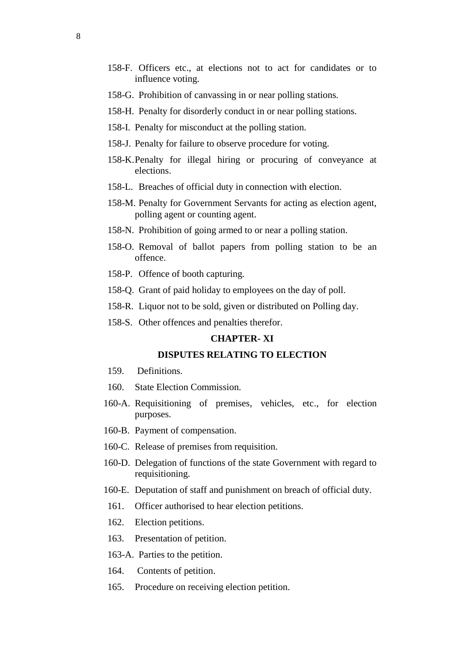- 158-F. Officers etc., at elections not to act for candidates or to influence voting.
- 158-G. Prohibition of canvassing in or near polling stations.
- 158-H. Penalty for disorderly conduct in or near polling stations.
- 158-I. Penalty for misconduct at the polling station.
- 158-J. Penalty for failure to observe procedure for voting.
- 158-K.Penalty for illegal hiring or procuring of conveyance at elections.
- 158-L. Breaches of official duty in connection with election.
- 158-M. Penalty for Government Servants for acting as election agent, polling agent or counting agent.
- 158-N. Prohibition of going armed to or near a polling station.
- 158-O. Removal of ballot papers from polling station to be an offence.
- 158-P. Offence of booth capturing.
- 158-Q. Grant of paid holiday to employees on the day of poll.
- 158-R. Liquor not to be sold, given or distributed on Polling day.
- 158-S. Other offences and penalties therefor.

## **CHAPTER- XI**

# **DISPUTES RELATING TO ELECTION**

- 159. Definitions.
- 160. State Election Commission.
- 160-A. Requisitioning of premises, vehicles, etc., for election purposes.
- 160-B. Payment of compensation.
- 160-C. Release of premises from requisition.
- 160-D. Delegation of functions of the state Government with regard to requisitioning.
- 160-E. Deputation of staff and punishment on breach of official duty.
- 161. Officer authorised to hear election petitions.
- 162. Election petitions.
- 163. Presentation of petition.
- 163-A. Parties to the petition.
- 164. Contents of petition.
- 165. Procedure on receiving election petition.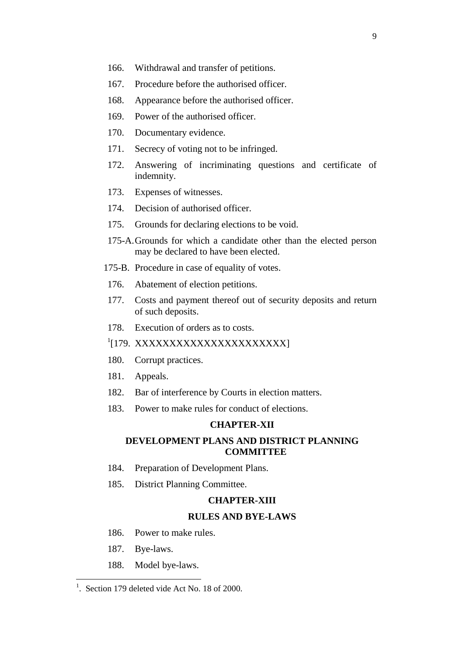- 166. Withdrawal and transfer of petitions.
- 167. Procedure before the authorised officer.
- 168. Appearance before the authorised officer.
- 169. Power of the authorised officer.
- 170. Documentary evidence.
- 171. Secrecy of voting not to be infringed.
- 172. Answering of incriminating questions and certificate of indemnity.
- 173. Expenses of witnesses.
- 174. Decision of authorised officer.
- 175. Grounds for declaring elections to be void.
- 175-A.Grounds for which a candidate other than the elected person may be declared to have been elected.
- 175-B. Procedure in case of equality of votes.
- 176. Abatement of election petitions.
- 177. Costs and payment thereof out of security deposits and return of such deposits.
- 178. Execution of orders as to costs.
- <sup>1</sup>[179. XXXXXXXXXXXXXXXXXXXXXX
- 180. Corrupt practices.
- 181. Appeals.
- 182. Bar of interference by Courts in election matters.
- 183. Power to make rules for conduct of elections.

## **CHAPTER-XII**

# **DEVELOPMENT PLANS AND DISTRICT PLANNING COMMITTEE**

- 184. Preparation of Development Plans.
- 185. District Planning Committee.

#### **CHAPTER-XIII**

#### **RULES AND BYE-LAWS**

- 186. Power to make rules.
- 187. Bye-laws.

l

188. Model bye-laws.

<sup>&</sup>lt;sup>1</sup>. Section 179 deleted vide Act No. 18 of 2000.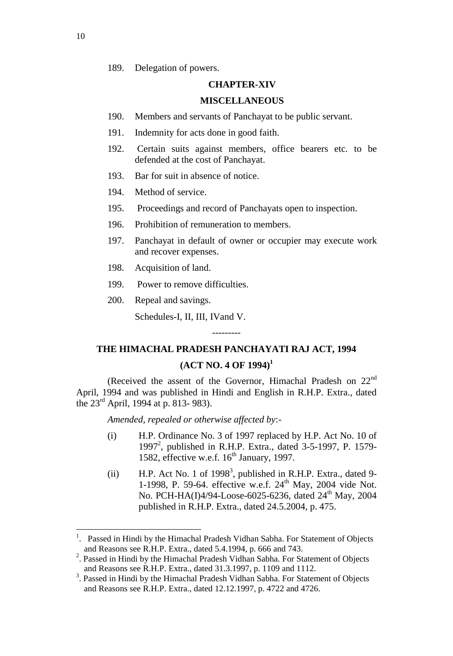189. Delegation of powers.

#### **CHAPTER-XIV**

#### **MISCELLANEOUS**

- 190. Members and servants of Panchayat to be public servant.
- 191. Indemnity for acts done in good faith.
- 192. Certain suits against members, office bearers etc. to be defended at the cost of Panchayat.
- 193. Bar for suit in absence of notice.
- 194. Method of service.
- 195. Proceedings and record of Panchayats open to inspection.
- 196. Prohibition of remuneration to members.
- 197. Panchayat in default of owner or occupier may execute work and recover expenses.
- 198. Acquisition of land.
- 199. Power to remove difficulties.
- 200. Repeal and savings.

Schedules-I, II, III, IVand V.

# --------- **THE HIMACHAL PRADESH PANCHAYATI RAJ ACT, 1994**

# **(ACT NO. 4 OF 1994)<sup>1</sup>**

(Received the assent of the Governor, Himachal Pradesh on 22<sup>nd</sup> April, 1994 and was published in Hindi and English in R.H.P. Extra., dated the  $23^{\text{rd}}$  April, 1994 at p. 813-983).

*Amended, repealed or otherwise affected by*:-

- (i) H.P. Ordinance No. 3 of 1997 replaced by H.P. Act No. 10 of 1997<sup>2</sup>, published in R.H.P. Extra., dated 3-5-1997, P. 1579-1582, effective w.e.f.  $16<sup>th</sup>$  January, 1997.
- $(ii)$  H.P. Act No. 1 of 1998<sup>3</sup>, published in R.H.P. Extra., dated 9-1-1998, P. 59-64. effective w.e.f.  $24<sup>th</sup>$  May, 2004 vide Not. No. PCH-HA(I)4/94-Loose-6025-6236, dated 24<sup>th</sup> May, 2004 published in R.H.P. Extra., dated 24.5.2004, p. 475.

<sup>&</sup>lt;sup>1</sup>. Passed in Hindi by the Himachal Pradesh Vidhan Sabha. For Statement of Objects and Reasons see R.H.P. Extra., dated 5.4.1994, p. 666 and 743.

<sup>&</sup>lt;sup>2</sup>. Passed in Hindi by the Himachal Pradesh Vidhan Sabha. For Statement of Objects and Reasons see R.H.P. Extra., dated 31.3.1997, p. 1109 and 1112.

<sup>&</sup>lt;sup>3</sup>. Passed in Hindi by the Himachal Pradesh Vidhan Sabha. For Statement of Objects and Reasons see R.H.P. Extra., dated 12.12.1997, p. 4722 and 4726.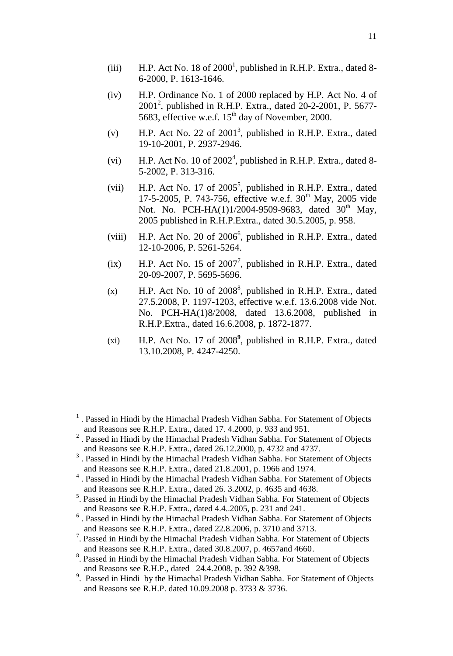11

- (iii) H.P. Act No. 18 of  $2000<sup>1</sup>$ , published in R.H.P. Extra., dated 8-6-2000, P. 1613-1646.
- (iv) H.P. Ordinance No. 1 of 2000 replaced by H.P. Act No. 4 of  $2001^2$ , published in R.H.P. Extra., dated 20-2-2001, P. 5677-5683, effective w.e.f.  $15<sup>th</sup>$  day of November, 2000.
- (v) H.P. Act No. 22 of  $2001<sup>3</sup>$ , published in R.H.P. Extra., dated 19-10-2001, P. 2937-2946.
- (vi) H.P. Act No. 10 of  $2002<sup>4</sup>$ , published in R.H.P. Extra., dated 8-5-2002, P. 313-316.
- (vii) H.P. Act No. 17 of  $2005^5$ , published in R.H.P. Extra., dated 17-5-2005, P. 743-756, effective w.e.f. 30<sup>th</sup> May, 2005 vide Not. No. PCH-HA(1)1/2004-9509-9683, dated  $30^{th}$  May, 2005 published in R.H.P.Extra., dated 30.5.2005, p. 958.
- (viii) H.P. Act No. 20 of  $2006^6$ , published in R.H.P. Extra., dated 12-10-2006, P. 5261-5264.
- $(ix)$  H.P. Act No. 15 of 2007<sup>7</sup>, published in R.H.P. Extra., dated 20-09-2007, P. 5695-5696.
- $(x)$  H.P. Act No. 10 of 2008<sup>8</sup>, published in R.H.P. Extra., dated 27.5.2008, P. 1197-1203, effective w.e.f. 13.6.2008 vide Not. No. PCH-HA(1)8/2008, dated 13.6.2008, published in R.H.P.Extra., dated 16.6.2008, p. 1872-1877.
- (xi) H.P. Act No. 17 of 2008**<sup>9</sup>** , published in R.H.P. Extra., dated 13.10.2008, P. 4247-4250.

<sup>1</sup> . Passed in Hindi by the Himachal Pradesh Vidhan Sabha. For Statement of Objects and Reasons see R.H.P. Extra., dated 17. 4.2000, p. 933 and 951.

 $2$ . Passed in Hindi by the Himachal Pradesh Vidhan Sabha. For Statement of Objects and Reasons see R.H.P. Extra., dated 26.12.2000, p. 4732 and 4737.

<sup>&</sup>lt;sup>3</sup>. Passed in Hindi by the Himachal Pradesh Vidhan Sabha. For Statement of Objects and Reasons see R.H.P. Extra., dated 21.8.2001, p. 1966 and 1974.

<sup>&</sup>lt;sup>4</sup>. Passed in Hindi by the Himachal Pradesh Vidhan Sabha. For Statement of Objects and Reasons see R.H.P. Extra., dated 26. 3.2002, p. 4635 and 4638.

<sup>&</sup>lt;sup>5</sup>. Passed in Hindi by the Himachal Pradesh Vidhan Sabha. For Statement of Objects and Reasons see R.H.P. Extra., dated 4.4..2005, p. 231 and 241.

<sup>&</sup>lt;sup>6</sup>. Passed in Hindi by the Himachal Pradesh Vidhan Sabha. For Statement of Objects and Reasons see R.H.P. Extra., dated 22.8.2006, p. 3710 and 3713.

<sup>&</sup>lt;sup>7</sup>. Passed in Hindi by the Himachal Pradesh Vidhan Sabha. For Statement of Objects and Reasons see R.H.P. Extra., dated 30.8.2007, p. 4657and 4660.

<sup>&</sup>lt;sup>8</sup>. Passed in Hindi by the Himachal Pradesh Vidhan Sabha. For Statement of Objects and Reasons see R.H.P., dated 24.4.2008, p. 392 &398.

<sup>&</sup>lt;sup>9</sup>. Passed in Hindi by the Himachal Pradesh Vidhan Sabha. For Statement of Objects and Reasons see R.H.P. dated 10.09.2008 p. 3733 & 3736.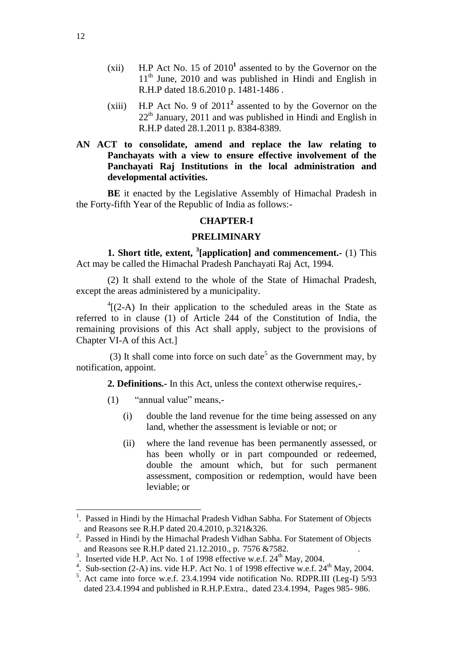- $(xii)$  H.P Act No. 15 of  $2010<sup>1</sup>$  assented to by the Governor on the  $11<sup>th</sup>$  June, 2010 and was published in Hindi and English in R.H.P dated 18.6.2010 p. 1481-1486 .
- $(xiii)$  H.P Act No. 9 of  $2011<sup>2</sup>$  assented to by the Governor on the  $22<sup>th</sup>$  January, 2011 and was published in Hindi and English in R.H.P dated 28.1.2011 p. 8384-8389.

# **AN ACT to consolidate, amend and replace the law relating to Panchayats with a view to ensure effective involvement of the Panchayati Raj Institutions in the local administration and developmental activities.**

**BE** it enacted by the Legislative Assembly of Himachal Pradesh in the Forty-fifth Year of the Republic of India as follows:-

#### **CHAPTER-I**

## **PRELIMINARY**

**1. Short title, extent, <sup>3</sup> [application] and commencement.-** (1) This Act may be called the Himachal Pradesh Panchayati Raj Act, 1994.

(2) It shall extend to the whole of the State of Himachal Pradesh, except the areas administered by a municipality.

 $^{4}$ [(2-A) In their application to the scheduled areas in the State as referred to in clause (1) of Article 244 of the Constitution of India, the remaining provisions of this Act shall apply, subject to the provisions of Chapter VI-A of this Act.]

(3) It shall come into force on such date<sup>5</sup> as the Government may, by notification, appoint.

**2. Definitions.-** In this Act, unless the context otherwise requires,-

- (1) "annual value" means,-
	- (i) double the land revenue for the time being assessed on any land, whether the assessment is leviable or not; or
	- (ii) where the land revenue has been permanently assessed, or has been wholly or in part compounded or redeemed, double the amount which, but for such permanent assessment, composition or redemption, would have been leviable; or

<sup>&</sup>lt;sup>1</sup>. Passed in Hindi by the Himachal Pradesh Vidhan Sabha. For Statement of Objects and Reasons see R.H.P dated 20.4.2010, p.321&326.

 $2$ . Passed in Hindi by the Himachal Pradesh Vidhan Sabha. For Statement of Objects and Reasons see R.H.P dated 21.12.2010., p. 7576 &7582. .

<sup>&</sup>lt;sup>3</sup>. Inserted vide H.P. Act No. 1 of 1998 effective w.e.f.  $24<sup>th</sup>$  May, 2004.

<sup>&</sup>lt;sup>4</sup>. Sub-section (2-A) ins. vide H.P. Act No. 1 of 1998 effective w.e.f.  $24<sup>th</sup>$  May, 2004.

<sup>&</sup>lt;sup>5</sup>. Act came into force w.e.f. 23.4.1994 vide notification No. RDPR.III (Leg-I) 5/93 dated 23.4.1994 and published in R.H.P.Extra., dated 23.4.1994, Pages 985- 986.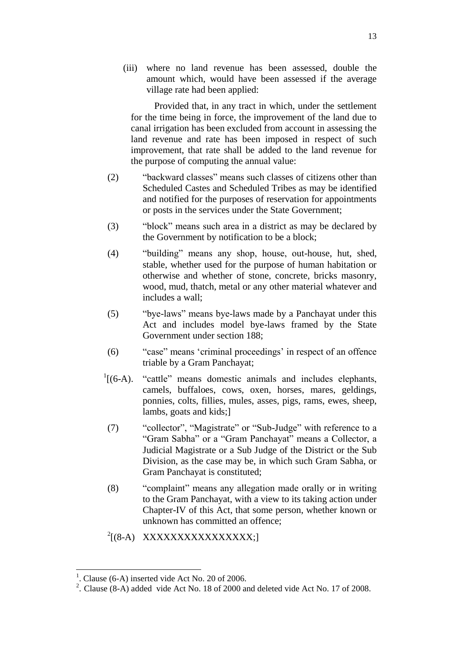(iii) where no land revenue has been assessed, double the amount which, would have been assessed if the average village rate had been applied:

Provided that, in any tract in which, under the settlement for the time being in force, the improvement of the land due to canal irrigation has been excluded from account in assessing the land revenue and rate has been imposed in respect of such improvement, that rate shall be added to the land revenue for the purpose of computing the annual value:

- (2) "backward classes" means such classes of citizens other than Scheduled Castes and Scheduled Tribes as may be identified and notified for the purposes of reservation for appointments or posts in the services under the State Government;
- (3) "block" means such area in a district as may be declared by the Government by notification to be a block;
- (4) "building" means any shop, house, out-house, hut, shed, stable, whether used for the purpose of human habitation or otherwise and whether of stone, concrete, bricks masonry, wood, mud, thatch, metal or any other material whatever and includes a wall;
- (5) "bye-laws" means bye-laws made by a Panchayat under this Act and includes model bye-laws framed by the State Government under section 188;
- (6) "case" means 'criminal proceedings' in respect of an offence triable by a Gram Panchayat;
- $\frac{1}{(6-A)}$ . "cattle" means domestic animals and includes elephants, camels, buffaloes, cows, oxen, horses, mares, geldings, ponnies, colts, fillies, mules, asses, pigs, rams, ewes, sheep, lambs, goats and kids;]
- (7) "collector", "Magistrate" or "Sub-Judge" with reference to a "Gram Sabha" or a "Gram Panchayat" means a Collector, a Judicial Magistrate or a Sub Judge of the District or the Sub Division, as the case may be, in which such Gram Sabha, or Gram Panchayat is constituted;
- (8) "complaint" means any allegation made orally or in writing to the Gram Panchayat, with a view to its taking action under Chapter-IV of this Act, that some person, whether known or unknown has committed an offence;
- <sup>2</sup>[(8-A) XXXXXXXXXXXXXXX;]

<sup>1</sup> . Clause (6-A) inserted vide Act No. 20 of 2006.

<sup>&</sup>lt;sup>2</sup>. Clause (8-A) added vide Act No. 18 of 2000 and deleted vide Act No. 17 of 2008.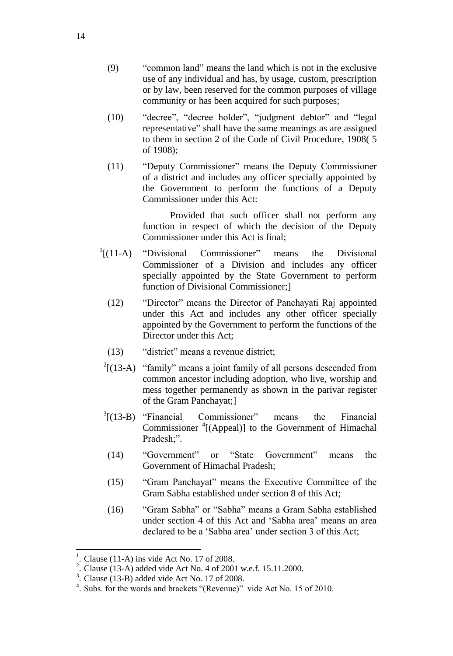- (9) "common land" means the land which is not in the exclusive use of any individual and has, by usage, custom, prescription or by law, been reserved for the common purposes of village community or has been acquired for such purposes;
- (10) "decree", "decree holder", "judgment debtor" and "legal representative" shall have the same meanings as are assigned to them in section 2 of the Code of Civil Procedure, 1908( 5 of 1908);
- (11) "Deputy Commissioner" means the Deputy Commissioner of a district and includes any officer specially appointed by the Government to perform the functions of a Deputy Commissioner under this Act:

Provided that such officer shall not perform any function in respect of which the decision of the Deputy Commissioner under this Act is final;

- $\frac{1}{1}$ [(11-A) "Divisional Commissioner" means the Divisional Commissioner of a Division and includes any officer specially appointed by the State Government to perform function of Divisional Commissioner;]
	- (12) "Director" means the Director of Panchayati Raj appointed under this Act and includes any other officer specially appointed by the Government to perform the functions of the Director under this Act;
	- (13) "district" means a revenue district;
- $2(13-A)$  "family" means a joint family of all persons descended from common ancestor including adoption, who live, worship and mess together permanently as shown in the parivar register of the Gram Panchayat;]
- $3(13-B)$ "Financial Commissioner" means the Financial Commissioner <sup>4</sup>[(Appeal)] to the Government of Himachal Pradesh;".
- (14) "Government" or "State Government" means the Government of Himachal Pradesh;
- (15) "Gram Panchayat" means the Executive Committee of the Gram Sabha established under section 8 of this Act;
- (16) "Gram Sabha" or "Sabha" means a Gram Sabha established under section 4 of this Act and 'Sabha area' means an area declared to be a 'Sabha area' under section 3 of this Act;

 $\overline{\phantom{a}}$ 

<sup>1</sup> . Clause (11-A) ins vide Act No. 17 of 2008.

<sup>&</sup>lt;sup>2</sup>. Clause (13-A) added vide Act No. 4 of 2001 w.e.f. 15.11.2000.<br>
<sup>3</sup>. Clause (13-B) added vide Act No. 17 of 2008

<sup>.</sup> Clause (13-B) added vide Act No. 17 of 2008.

<sup>&</sup>lt;sup>4</sup>. Subs. for the words and brackets "(Revenue)" vide Act No. 15 of 2010.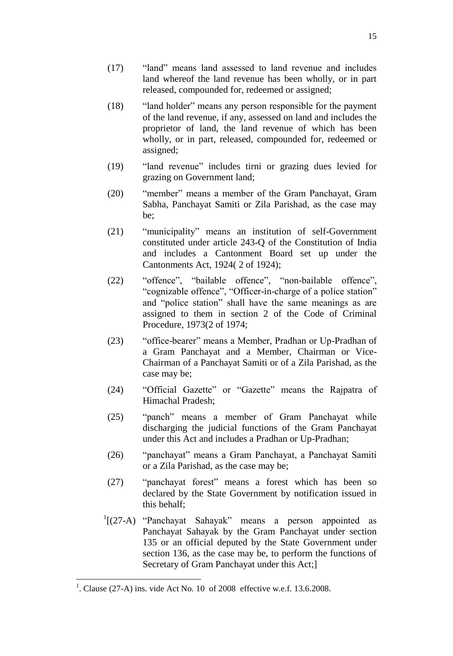- (17) "land" means land assessed to land revenue and includes land whereof the land revenue has been wholly, or in part released, compounded for, redeemed or assigned;
- (18) "land holder" means any person responsible for the payment of the land revenue, if any, assessed on land and includes the proprietor of land, the land revenue of which has been wholly, or in part, released, compounded for, redeemed or assigned;
- (19) "land revenue" includes tirni or grazing dues levied for grazing on Government land;
- (20) "member" means a member of the Gram Panchayat, Gram Sabha, Panchayat Samiti or Zila Parishad, as the case may be;
- (21) "municipality" means an institution of self-Government constituted under article 243-Q of the Constitution of India and includes a Cantonment Board set up under the Cantonments Act, 1924( 2 of 1924);
- (22) "offence", "bailable offence", "non-bailable offence", "cognizable offence", "Officer-in-charge of a police station" and "police station" shall have the same meanings as are assigned to them in section 2 of the Code of Criminal Procedure, 1973(2 of 1974;
- (23) "office-bearer" means a Member, Pradhan or Up-Pradhan of a Gram Panchayat and a Member, Chairman or Vice-Chairman of a Panchayat Samiti or of a Zila Parishad, as the case may be;
- (24) "Official Gazette" or "Gazette" means the Rajpatra of Himachal Pradesh;
- (25) "panch" means a member of Gram Panchayat while discharging the judicial functions of the Gram Panchayat under this Act and includes a Pradhan or Up-Pradhan;
- (26) "panchayat" means a Gram Panchayat, a Panchayat Samiti or a Zila Parishad, as the case may be;
- (27) "panchayat forest" means a forest which has been so declared by the State Government by notification issued in this behalf;
- $\frac{1}{2}$ [(27-A) "Panchayat Sahayak" means a person appointed as Panchayat Sahayak by the Gram Panchayat under section 135 or an official deputed by the State Government under section 136, as the case may be, to perform the functions of Secretary of Gram Panchayat under this Act;]

<sup>&</sup>lt;sup>1</sup>. Clause (27-A) ins. vide Act No. 10 of 2008 effective w.e.f. 13.6.2008.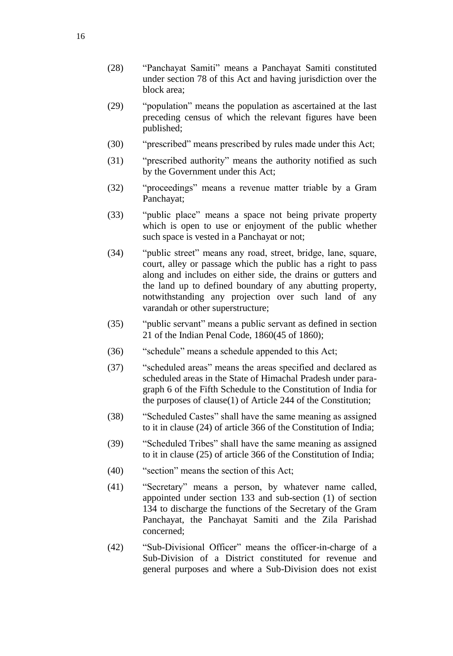- (28) "Panchayat Samiti" means a Panchayat Samiti constituted under section 78 of this Act and having jurisdiction over the block area;
- (29) "population" means the population as ascertained at the last preceding census of which the relevant figures have been published;
- (30) "prescribed" means prescribed by rules made under this Act;
- (31) "prescribed authority" means the authority notified as such by the Government under this Act;
- (32) "proceedings" means a revenue matter triable by a Gram Panchayat;
- (33) "public place" means a space not being private property which is open to use or enjoyment of the public whether such space is vested in a Panchayat or not;
- (34) "public street" means any road, street, bridge, lane, square, court, alley or passage which the public has a right to pass along and includes on either side, the drains or gutters and the land up to defined boundary of any abutting property, notwithstanding any projection over such land of any varandah or other superstructure;
- (35) "public servant" means a public servant as defined in section 21 of the Indian Penal Code, 1860(45 of 1860);
- (36) "schedule" means a schedule appended to this Act;
- (37) "scheduled areas" means the areas specified and declared as scheduled areas in the State of Himachal Pradesh under paragraph 6 of the Fifth Schedule to the Constitution of India for the purposes of clause(1) of Article 244 of the Constitution;
- (38) "Scheduled Castes" shall have the same meaning as assigned to it in clause (24) of article 366 of the Constitution of India;
- (39) "Scheduled Tribes" shall have the same meaning as assigned to it in clause (25) of article 366 of the Constitution of India;
- (40) "section" means the section of this Act;
- (41) "Secretary" means a person, by whatever name called, appointed under section 133 and sub-section (1) of section 134 to discharge the functions of the Secretary of the Gram Panchayat, the Panchayat Samiti and the Zila Parishad concerned;
- (42) "Sub-Divisional Officer" means the officer-in-charge of a Sub-Division of a District constituted for revenue and general purposes and where a Sub-Division does not exist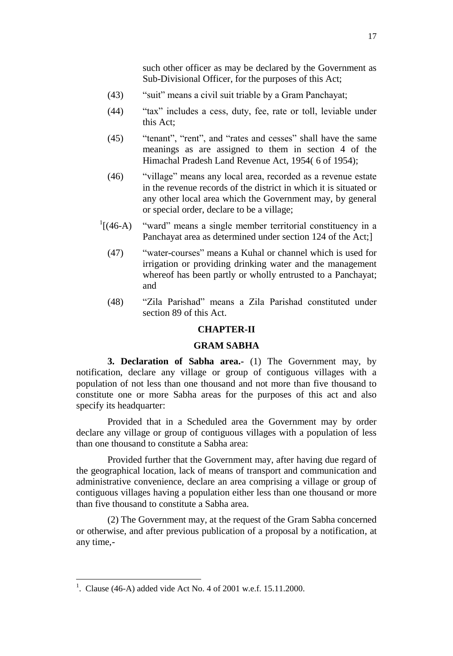such other officer as may be declared by the Government as Sub-Divisional Officer, for the purposes of this Act;

- (43) "suit" means a civil suit triable by a Gram Panchayat;
- (44) "tax" includes a cess, duty, fee, rate or toll, leviable under this Act;
- (45) "tenant", "rent", and "rates and cesses" shall have the same meanings as are assigned to them in section 4 of the Himachal Pradesh Land Revenue Act, 1954( 6 of 1954);
- (46) "village" means any local area, recorded as a revenue estate in the revenue records of the district in which it is situated or any other local area which the Government may, by general or special order, declare to be a village;
- $\frac{1}{(46-A)}$ "ward" means a single member territorial constituency in a Panchayat area as determined under section 124 of the Act;]
	- (47) "water-courses" means a Kuhal or channel which is used for irrigation or providing drinking water and the management whereof has been partly or wholly entrusted to a Panchayat; and
	- (48) "Zila Parishad" means a Zila Parishad constituted under section 89 of this Act.

# **CHAPTER-II**

# **GRAM SABHA**

**3. Declaration of Sabha area.-** (1) The Government may, by notification, declare any village or group of contiguous villages with a population of not less than one thousand and not more than five thousand to constitute one or more Sabha areas for the purposes of this act and also specify its headquarter:

Provided that in a Scheduled area the Government may by order declare any village or group of contiguous villages with a population of less than one thousand to constitute a Sabha area:

Provided further that the Government may, after having due regard of the geographical location, lack of means of transport and communication and administrative convenience, declare an area comprising a village or group of contiguous villages having a population either less than one thousand or more than five thousand to constitute a Sabha area.

(2) The Government may, at the request of the Gram Sabha concerned or otherwise, and after previous publication of a proposal by a notification, at any time,-

<sup>&</sup>lt;sup>1</sup>. Clause (46-A) added vide Act No. 4 of 2001 w.e.f. 15.11.2000.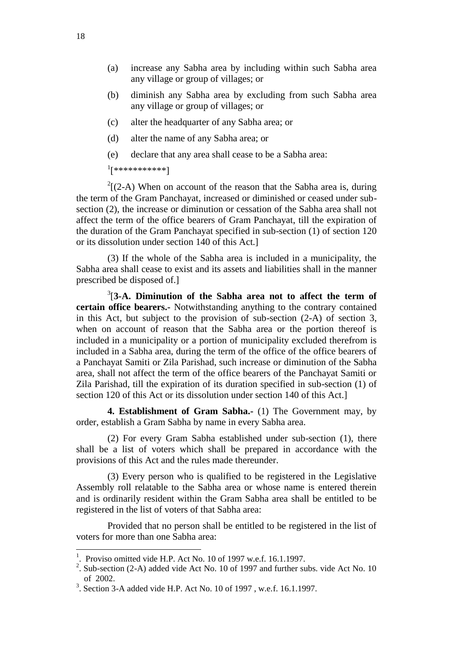- (a) increase any Sabha area by including within such Sabha area any village or group of villages; or
- (b) diminish any Sabha area by excluding from such Sabha area any village or group of villages; or
- (c) alter the headquarter of any Sabha area; or
- (d) alter the name of any Sabha area; or
- (e) declare that any area shall cease to be a Sabha area:

1 [\*\*\*\*\*\*\*\*\*\*\*]

 $2[(2-A)$  When on account of the reason that the Sabha area is, during the term of the Gram Panchayat, increased or diminished or ceased under subsection (2), the increase or diminution or cessation of the Sabha area shall not affect the term of the office bearers of Gram Panchayat, till the expiration of the duration of the Gram Panchayat specified in sub-section (1) of section 120 or its dissolution under section 140 of this Act.]

(3) If the whole of the Sabha area is included in a municipality, the Sabha area shall cease to exist and its assets and liabilities shall in the manner prescribed be disposed of.]

3 [**3-A. Diminution of the Sabha area not to affect the term of certain office bearers.-** Notwithstanding anything to the contrary contained in this Act, but subject to the provision of sub-section (2-A) of section 3, when on account of reason that the Sabha area or the portion thereof is included in a municipality or a portion of municipality excluded therefrom is included in a Sabha area, during the term of the office of the office bearers of a Panchayat Samiti or Zila Parishad, such increase or diminution of the Sabha area, shall not affect the term of the office bearers of the Panchayat Samiti or Zila Parishad, till the expiration of its duration specified in sub-section (1) of section 120 of this Act or its dissolution under section 140 of this Act.]

**4. Establishment of Gram Sabha.-** (1) The Government may, by order, establish a Gram Sabha by name in every Sabha area.

(2) For every Gram Sabha established under sub-section (1), there shall be a list of voters which shall be prepared in accordance with the provisions of this Act and the rules made thereunder.

(3) Every person who is qualified to be registered in the Legislative Assembly roll relatable to the Sabha area or whose name is entered therein and is ordinarily resident within the Gram Sabha area shall be entitled to be registered in the list of voters of that Sabha area:

Provided that no person shall be entitled to be registered in the list of voters for more than one Sabha area:

 $\overline{\phantom{a}}$ 

<sup>&</sup>lt;sup>1</sup>. Proviso omitted vide H.P. Act No. 10 of 1997 w.e.f. 16.1.1997.

<sup>&</sup>lt;sup>2</sup>. Sub-section (2-A) added vide Act No. 10 of 1997 and further subs. vide Act No. 10 of 2002.

 $3.$  Section 3-A added vide H.P. Act No. 10 of 1997, w.e.f. 16.1.1997.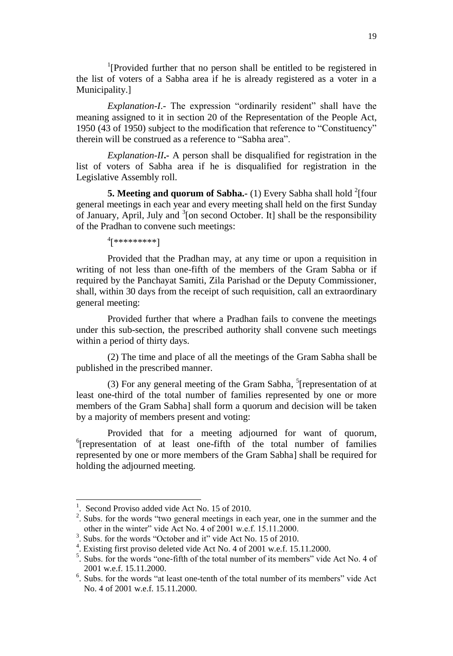<sup>1</sup>[Provided further that no person shall be entitled to be registered in the list of voters of a Sabha area if he is already registered as a voter in a Municipality.]

*Explanation-I*.- The expression "ordinarily resident" shall have the meaning assigned to it in section 20 of the Representation of the People Act, 1950 (43 of 1950) subject to the modification that reference to "Constituency" therein will be construed as a reference to "Sabha area".

*Explanation-II***.-** A person shall be disqualified for registration in the list of voters of Sabha area if he is disqualified for registration in the Legislative Assembly roll.

**5. Meeting and quorum of Sabha.** (1) Every Sabha shall hold <sup>2</sup>[four general meetings in each year and every meeting shall held on the first Sunday of January, April, July and  $3$ [on second October. It] shall be the responsibility of the Pradhan to convene such meetings:

4 [\*\*\*\*\*\*\*\*\*]

Provided that the Pradhan may, at any time or upon a requisition in writing of not less than one-fifth of the members of the Gram Sabha or if required by the Panchayat Samiti, Zila Parishad or the Deputy Commissioner, shall, within 30 days from the receipt of such requisition, call an extraordinary general meeting:

Provided further that where a Pradhan fails to convene the meetings under this sub-section, the prescribed authority shall convene such meetings within a period of thirty days.

(2) The time and place of all the meetings of the Gram Sabha shall be published in the prescribed manner.

(3) For any general meeting of the Gram Sabha,  $5$ [representation of at least one-third of the total number of families represented by one or more members of the Gram Sabha] shall form a quorum and decision will be taken by a majority of members present and voting:

Provided that for a meeting adjourned for want of quorum, <sup>6</sup>[representation of at least one-fifth of the total number of families represented by one or more members of the Gram Sabha] shall be required for holding the adjourned meeting.

<sup>&</sup>lt;sup>1</sup>. Second Proviso added vide Act No. 15 of 2010.

<sup>&</sup>lt;sup>2</sup>. Subs. for the words "two general meetings in each year, one in the summer and the other in the winter" vide Act No. 4 of 2001 w.e.f. 15.11.2000.

<sup>3</sup> . Subs. for the words "October and it" vide Act No. 15 of 2010.

<sup>4</sup> . Existing first proviso deleted vide Act No. 4 of 2001 w.e.f. 15.11.2000.

<sup>&</sup>lt;sup>5</sup>. Subs. for the words "one-fifth of the total number of its members" vide Act No. 4 of 2001 w.e.f. 15.11.2000.

<sup>&</sup>lt;sup>6</sup>. Subs. for the words "at least one-tenth of the total number of its members" vide Act No. 4 of 2001 w.e.f. 15.11.2000.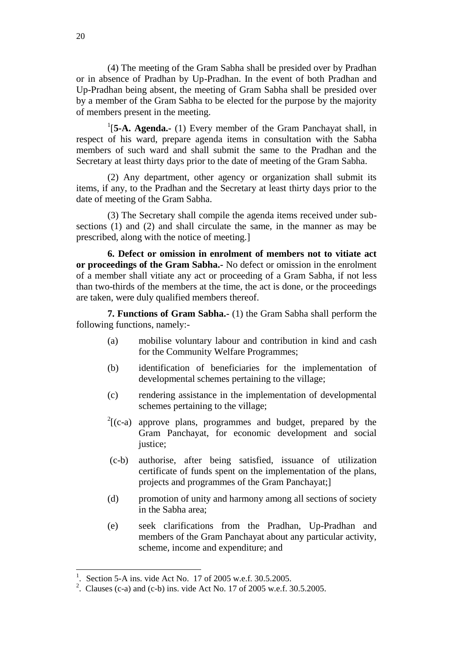(4) The meeting of the Gram Sabha shall be presided over by Pradhan or in absence of Pradhan by Up-Pradhan. In the event of both Pradhan and Up-Pradhan being absent, the meeting of Gram Sabha shall be presided over by a member of the Gram Sabha to be elected for the purpose by the majority of members present in the meeting.

<sup>1</sup>[5-A. Agenda.- (1) Every member of the Gram Panchayat shall, in respect of his ward, prepare agenda items in consultation with the Sabha members of such ward and shall submit the same to the Pradhan and the Secretary at least thirty days prior to the date of meeting of the Gram Sabha.

(2) Any department, other agency or organization shall submit its items, if any, to the Pradhan and the Secretary at least thirty days prior to the date of meeting of the Gram Sabha.

(3) The Secretary shall compile the agenda items received under subsections (1) and (2) and shall circulate the same, in the manner as may be prescribed, along with the notice of meeting.]

**6. Defect or omission in enrolment of members not to vitiate act or proceedings of the Gram Sabha.-** No defect or omission in the enrolment of a member shall vitiate any act or proceeding of a Gram Sabha, if not less than two-thirds of the members at the time, the act is done, or the proceedings are taken, were duly qualified members thereof.

**7. Functions of Gram Sabha.-** (1) the Gram Sabha shall perform the following functions, namely:-

- (a) mobilise voluntary labour and contribution in kind and cash for the Community Welfare Programmes;
- (b) identification of beneficiaries for the implementation of developmental schemes pertaining to the village;
- (c) rendering assistance in the implementation of developmental schemes pertaining to the village;
- $2[(c-a)$  approve plans, programmes and budget, prepared by the Gram Panchayat, for economic development and social justice;
- (c-b) authorise, after being satisfied, issuance of utilization certificate of funds spent on the implementation of the plans, projects and programmes of the Gram Panchayat;]
- (d) promotion of unity and harmony among all sections of society in the Sabha area;
- (e) seek clarifications from the Pradhan, Up-Pradhan and members of the Gram Panchayat about any particular activity, scheme, income and expenditure; and

<sup>1</sup> . Section 5-A ins. vide Act No. 17 of 2005 w.e.f. 30.5.2005.

<sup>&</sup>lt;sup>2</sup>. Clauses (c-a) and (c-b) ins. vide Act No. 17 of 2005 w.e.f. 30.5.2005.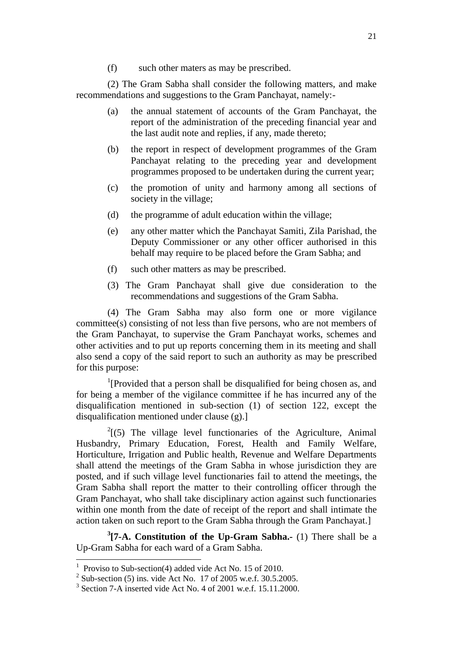(f) such other maters as may be prescribed.

(2) The Gram Sabha shall consider the following matters, and make recommendations and suggestions to the Gram Panchayat, namely:-

- (a) the annual statement of accounts of the Gram Panchayat, the report of the administration of the preceding financial year and the last audit note and replies, if any, made thereto;
- (b) the report in respect of development programmes of the Gram Panchayat relating to the preceding year and development programmes proposed to be undertaken during the current year;
- (c) the promotion of unity and harmony among all sections of society in the village;
- (d) the programme of adult education within the village;
- (e) any other matter which the Panchayat Samiti, Zila Parishad, the Deputy Commissioner or any other officer authorised in this behalf may require to be placed before the Gram Sabha; and
- (f) such other matters as may be prescribed.
- (3) The Gram Panchayat shall give due consideration to the recommendations and suggestions of the Gram Sabha.

(4) The Gram Sabha may also form one or more vigilance committee(s) consisting of not less than five persons, who are not members of the Gram Panchayat, to supervise the Gram Panchayat works, schemes and other activities and to put up reports concerning them in its meeting and shall also send a copy of the said report to such an authority as may be prescribed for this purpose:

<sup>1</sup>[Provided that a person shall be disqualified for being chosen as, and for being a member of the vigilance committee if he has incurred any of the disqualification mentioned in sub-section (1) of section 122, except the disqualification mentioned under clause (g).]

 $2^{2}$ [(5) The village level functionaries of the Agriculture, Animal Husbandry, Primary Education, Forest, Health and Family Welfare, Horticulture, Irrigation and Public health, Revenue and Welfare Departments shall attend the meetings of the Gram Sabha in whose jurisdiction they are posted, and if such village level functionaries fail to attend the meetings, the Gram Sabha shall report the matter to their controlling officer through the Gram Panchayat, who shall take disciplinary action against such functionaries within one month from the date of receipt of the report and shall intimate the action taken on such report to the Gram Sabha through the Gram Panchayat.]

**3 [7-A. Constitution of the Up-Gram Sabha.-** (1) There shall be a Up-Gram Sabha for each ward of a Gram Sabha.

<sup>1</sup> Proviso to Sub-section(4) added vide Act No. 15 of 2010.

<sup>&</sup>lt;sup>2</sup> Sub-section (5) ins. vide Act No. 17 of 2005 w.e.f. 30.5.2005.

<sup>&</sup>lt;sup>3</sup> Section 7-A inserted vide Act No. 4 of 2001 w.e.f. 15.11.2000.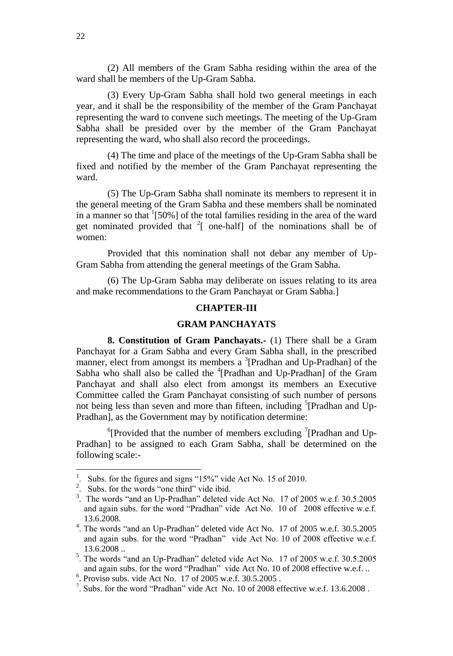(2) All members of the Gram Sabha residing within the area of the ward shall be members of the Up-Gram Sabha.

(3) Every Up-Gram Sabha shall hold two general meetings in each year, and it shall be the responsibility of the member of the Gram Panchayat representing the ward to convene such meetings. The meeting of the Up-Gram Sabha shall be presided over by the member of the Gram Panchayat representing the ward, who shall also record the proceedings.

(4) The time and place of the meetings of the Up-Gram Sabha shall be fixed and notified by the member of the Gram Panchayat representing the ward.

(5) The Up-Gram Sabha shall nominate its members to represent it in the general meeting of the Gram Sabha and these members shall be nominated in a manner so that  $1[50\%]$  of the total families residing in the area of the ward get nominated provided that  $2$ [ one-half] of the nominations shall be of women:

Provided that this nomination shall not debar any member of Up-Gram Sabha from attending the general meetings of the Gram Sabha.

(6) The Up-Gram Sabha may deliberate on issues relating to its area and make recommendations to the Gram Panchayat or Gram Sabha.]

#### **CHAPTER-III**

### **GRAM PANCHAYATS**

**8. Constitution of Gram Panchayats.-** (1) There shall be a Gram Panchayat for a Gram Sabha and every Gram Sabha shall, in the prescribed manner, elect from amongst its members a <sup>3</sup>[Pradhan and Up-Pradhan] of the Sabha who shall also be called the <sup>4</sup>[Pradhan and Up-Pradhan] of the Gram Panchayat and shall also elect from amongst its members an Executive Committee called the Gram Panchayat consisting of such number of persons not being less than seven and more than fifteen, including <sup>5</sup>[Pradhan and Up-Pradhan], as the Government may by notification determine:

 $\rm^{6}$ [Provided that the number of members excluding  $\rm^{7}$ [Pradhan and Up-Pradhan] to be assigned to each Gram Sabha, shall be determined on the following scale:-

<sup>1</sup> . Subs. for the figures and signs "15%" vide Act No. 15 of 2010.

<sup>&</sup>lt;sup>2</sup>. Subs. for the words "one third" vide ibid.

<sup>&</sup>lt;sup>3</sup>. The words "and an Up-Pradhan" deleted vide Act No. 17 of 2005 w.e.f. 30.5.2005 and again subs. for the word "Pradhan" vide Act No. 10 of 2008 effective w.e.f. 13.6.2008.

<sup>&</sup>lt;sup>4</sup>. The words "and an Up-Pradhan" deleted vide Act No. 17 of 2005 w.e.f. 30.5.2005 and again subs. for the word "Pradhan" vide Act No. 10 of 2008 effective w.e.f. 13.6.2008 ..

<sup>&</sup>lt;sup>5</sup>. The words "and an Up-Pradhan" deleted vide Act No. 17 of 2005 w.e.f. 30.5.2005 and again subs. for the word "Pradhan" vide Act No. 10 of 2008 effective w.e.f. ..

<sup>6</sup> . Proviso subs. vide Act No. 17 of 2005 w.e.f. 30.5.2005 .

<sup>&</sup>lt;sup>7</sup>. Subs. for the word "Pradhan" vide Act No. 10 of 2008 effective w.e.f. 13.6.2008.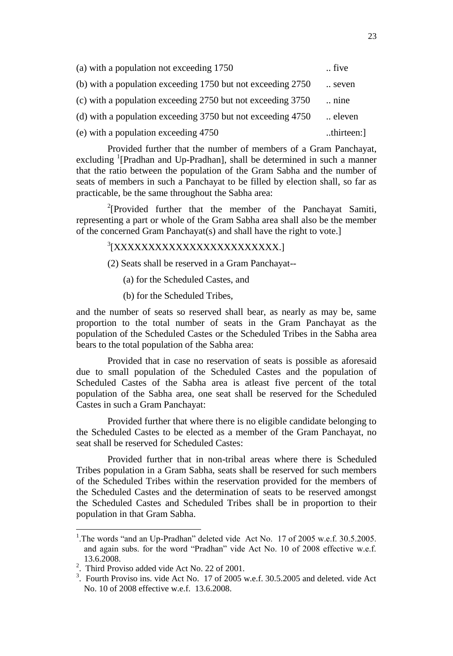| (a) with a population not exceeding 1750                    | five          |
|-------------------------------------------------------------|---------------|
| (b) with a population exceeding 1750 but not exceeding 2750 | seven         |
| (c) with a population exceeding 2750 but not exceeding 3750 | $\ldots$ nine |
| (d) with a population exceeding 3750 but not exceeding 4750 | eleven        |
| (e) with a population exceeding 4750                        | thirteen:]    |

Provided further that the number of members of a Gram Panchayat, excluding <sup>1</sup>[Pradhan and Up-Pradhan], shall be determined in such a manner that the ratio between the population of the Gram Sabha and the number of seats of members in such a Panchayat to be filled by election shall, so far as practicable, be the same throughout the Sabha area:

<sup>2</sup>[Provided further that the member of the Panchayat Samiti, representing a part or whole of the Gram Sabha area shall also be the member of the concerned Gram Panchayat(s) and shall have the right to vote.]

# <sup>3</sup>[XXXXXXXXXXXXXXXXXXXXXXXXX

(2) Seats shall be reserved in a Gram Panchayat--

(a) for the Scheduled Castes, and

(b) for the Scheduled Tribes,

and the number of seats so reserved shall bear, as nearly as may be, same proportion to the total number of seats in the Gram Panchayat as the population of the Scheduled Castes or the Scheduled Tribes in the Sabha area bears to the total population of the Sabha area:

Provided that in case no reservation of seats is possible as aforesaid due to small population of the Scheduled Castes and the population of Scheduled Castes of the Sabha area is atleast five percent of the total population of the Sabha area, one seat shall be reserved for the Scheduled Castes in such a Gram Panchayat:

Provided further that where there is no eligible candidate belonging to the Scheduled Castes to be elected as a member of the Gram Panchayat, no seat shall be reserved for Scheduled Castes:

Provided further that in non-tribal areas where there is Scheduled Tribes population in a Gram Sabha, seats shall be reserved for such members of the Scheduled Tribes within the reservation provided for the members of the Scheduled Castes and the determination of seats to be reserved amongst the Scheduled Castes and Scheduled Tribes shall be in proportion to their population in that Gram Sabha.

<sup>&</sup>lt;sup>1</sup>. The words "and an Up-Pradhan" deleted vide Act No. 17 of 2005 w.e.f. 30.5.2005. and again subs. for the word "Pradhan" vide Act No. 10 of 2008 effective w.e.f. 13.6.2008.

<sup>&</sup>lt;sup>2</sup>. Third Proviso added vide Act No. 22 of 2001.

<sup>&</sup>lt;sup>3</sup>. Fourth Proviso ins. vide Act No. 17 of 2005 w.e.f. 30.5.2005 and deleted. vide Act No. 10 of 2008 effective w.e.f. 13.6.2008.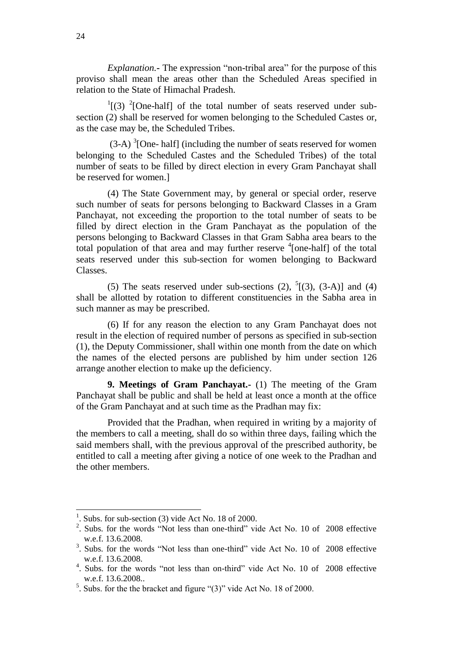*Explanation.***-** The expression "non-tribal area" for the purpose of this proviso shall mean the areas other than the Scheduled Areas specified in relation to the State of Himachal Pradesh.

 $\frac{1}{2}$ [(3)  $\frac{2}{2}$ [One-half] of the total number of seats reserved under subsection (2) shall be reserved for women belonging to the Scheduled Castes or, as the case may be, the Scheduled Tribes.

 $(3-A)^3$ [One- half] (including the number of seats reserved for women belonging to the Scheduled Castes and the Scheduled Tribes) of the total number of seats to be filled by direct election in every Gram Panchayat shall be reserved for women.]

(4) The State Government may, by general or special order, reserve such number of seats for persons belonging to Backward Classes in a Gram Panchayat, not exceeding the proportion to the total number of seats to be filled by direct election in the Gram Panchayat as the population of the persons belonging to Backward Classes in that Gram Sabha area bears to the total population of that area and may further reserve  $\frac{4}{ }$ [one-half] of the total seats reserved under this sub-section for women belonging to Backward Classes.

(5) The seats reserved under sub-sections (2),  $^{5}$ [(3), (3-A)] and (4) shall be allotted by rotation to different constituencies in the Sabha area in such manner as may be prescribed.

(6) If for any reason the election to any Gram Panchayat does not result in the election of required number of persons as specified in sub-section (1), the Deputy Commissioner, shall within one month from the date on which the names of the elected persons are published by him under section 126 arrange another election to make up the deficiency.

**9. Meetings of Gram Panchayat.-** (1) The meeting of the Gram Panchayat shall be public and shall be held at least once a month at the office of the Gram Panchayat and at such time as the Pradhan may fix:

Provided that the Pradhan, when required in writing by a majority of the members to call a meeting, shall do so within three days, failing which the said members shall, with the previous approval of the prescribed authority, be entitled to call a meeting after giving a notice of one week to the Pradhan and the other members.

<sup>&</sup>lt;sup>1</sup>. Subs. for sub-section (3) vide Act No. 18 of 2000.

 $2$ . Subs. for the words "Not less than one-third" vide Act No. 10 of 2008 effective w.e.f. 13.6.2008.

<sup>&</sup>lt;sup>3</sup>. Subs. for the words "Not less than one-third" vide Act No. 10 of 2008 effective w.e.f. 13.6.2008.

<sup>&</sup>lt;sup>4</sup>. Subs. for the words "not less than on-third" vide Act No. 10 of 2008 effective w.e.f. 13.6.2008..

<sup>&</sup>lt;sup>5</sup>. Subs. for the the bracket and figure " $(3)$ " vide Act No. 18 of 2000.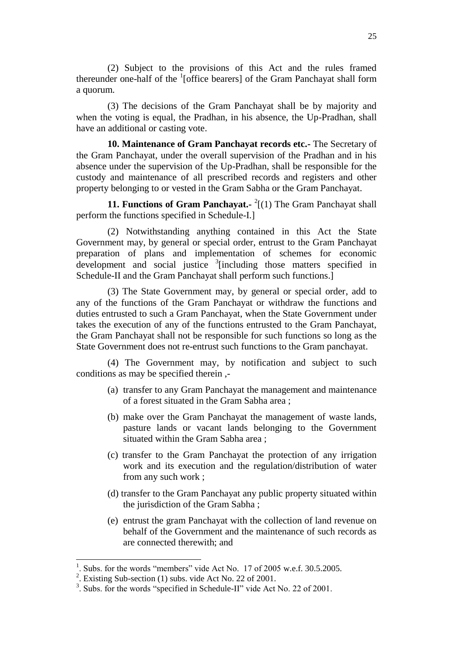(2) Subject to the provisions of this Act and the rules framed thereunder one-half of the <sup>1</sup>[office bearers] of the Gram Panchayat shall form a quorum.

(3) The decisions of the Gram Panchayat shall be by majority and when the voting is equal, the Pradhan, in his absence, the Up-Pradhan, shall have an additional or casting vote.

**10. Maintenance of Gram Panchayat records etc.-** The Secretary of the Gram Panchayat, under the overall supervision of the Pradhan and in his absence under the supervision of the Up-Pradhan, shall be responsible for the custody and maintenance of all prescribed records and registers and other property belonging to or vested in the Gram Sabha or the Gram Panchayat.

**11. Functions of Gram Panchayat.** <sup>2</sup>[(1) The Gram Panchayat shall perform the functions specified in Schedule-I.]

(2) Notwithstanding anything contained in this Act the State Government may, by general or special order, entrust to the Gram Panchayat preparation of plans and implementation of schemes for economic  $\frac{1}{2}$  development and social justice  $\frac{3}{2}$  [including those matters specified in Schedule-II and the Gram Panchayat shall perform such functions.]

(3) The State Government may, by general or special order, add to any of the functions of the Gram Panchayat or withdraw the functions and duties entrusted to such a Gram Panchayat, when the State Government under takes the execution of any of the functions entrusted to the Gram Panchayat, the Gram Panchayat shall not be responsible for such functions so long as the State Government does not re-entrust such functions to the Gram panchayat.

(4) The Government may, by notification and subject to such conditions as may be specified therein ,-

- (a) transfer to any Gram Panchayat the management and maintenance of a forest situated in the Gram Sabha area ;
- (b) make over the Gram Panchayat the management of waste lands, pasture lands or vacant lands belonging to the Government situated within the Gram Sabha area ;
- (c) transfer to the Gram Panchayat the protection of any irrigation work and its execution and the regulation/distribution of water from any such work ;
- (d) transfer to the Gram Panchayat any public property situated within the jurisdiction of the Gram Sabha ;
- (e) entrust the gram Panchayat with the collection of land revenue on behalf of the Government and the maintenance of such records as are connected therewith; and

<sup>1</sup> . Subs. for the words "members" vide Act No. 17 of 2005 w.e.f. 30.5.2005.

<sup>&</sup>lt;sup>2</sup>. Existing Sub-section (1) subs. vide Act No. 22 of 2001.

<sup>&</sup>lt;sup>3</sup>. Subs. for the words "specified in Schedule-II" vide Act No. 22 of 2001.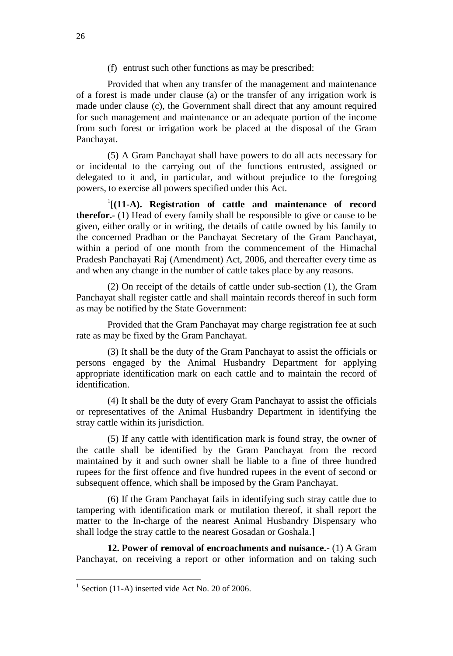(f) entrust such other functions as may be prescribed:

Provided that when any transfer of the management and maintenance of a forest is made under clause (a) or the transfer of any irrigation work is made under clause (c), the Government shall direct that any amount required for such management and maintenance or an adequate portion of the income from such forest or irrigation work be placed at the disposal of the Gram Panchayat.

(5) A Gram Panchayat shall have powers to do all acts necessary for or incidental to the carrying out of the functions entrusted, assigned or delegated to it and, in particular, and without prejudice to the foregoing powers, to exercise all powers specified under this Act.

1 [**(11-A). Registration of cattle and maintenance of record therefor.-** (1) Head of every family shall be responsible to give or cause to be given, either orally or in writing, the details of cattle owned by his family to the concerned Pradhan or the Panchayat Secretary of the Gram Panchayat, within a period of one month from the commencement of the Himachal Pradesh Panchayati Raj (Amendment) Act, 2006, and thereafter every time as and when any change in the number of cattle takes place by any reasons.

(2) On receipt of the details of cattle under sub-section (1), the Gram Panchayat shall register cattle and shall maintain records thereof in such form as may be notified by the State Government:

Provided that the Gram Panchayat may charge registration fee at such rate as may be fixed by the Gram Panchayat.

(3) It shall be the duty of the Gram Panchayat to assist the officials or persons engaged by the Animal Husbandry Department for applying appropriate identification mark on each cattle and to maintain the record of identification.

(4) It shall be the duty of every Gram Panchayat to assist the officials or representatives of the Animal Husbandry Department in identifying the stray cattle within its jurisdiction.

(5) If any cattle with identification mark is found stray, the owner of the cattle shall be identified by the Gram Panchayat from the record maintained by it and such owner shall be liable to a fine of three hundred rupees for the first offence and five hundred rupees in the event of second or subsequent offence, which shall be imposed by the Gram Panchayat.

(6) If the Gram Panchayat fails in identifying such stray cattle due to tampering with identification mark or mutilation thereof, it shall report the matter to the In-charge of the nearest Animal Husbandry Dispensary who shall lodge the stray cattle to the nearest Gosadan or Goshala.]

**12. Power of removal of encroachments and nuisance.-** (1) A Gram Panchayat, on receiving a report or other information and on taking such

 $1$  Section (11-A) inserted vide Act No. 20 of 2006.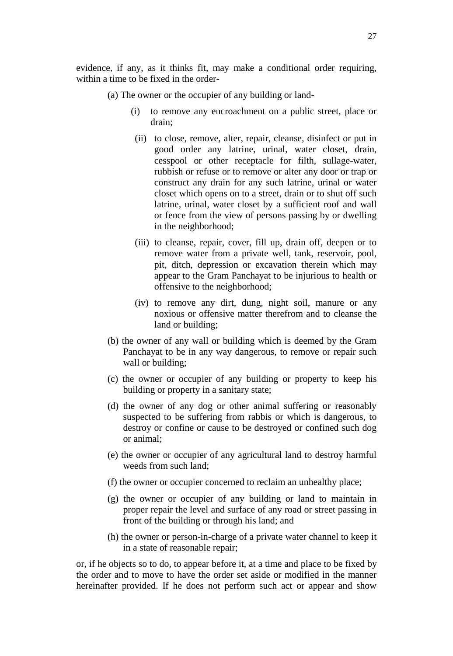evidence, if any, as it thinks fit, may make a conditional order requiring, within a time to be fixed in the order-

- (a) The owner or the occupier of any building or land-
	- (i) to remove any encroachment on a public street, place or drain;
	- (ii) to close, remove, alter, repair, cleanse, disinfect or put in good order any latrine, urinal, water closet, drain, cesspool or other receptacle for filth, sullage-water, rubbish or refuse or to remove or alter any door or trap or construct any drain for any such latrine, urinal or water closet which opens on to a street, drain or to shut off such latrine, urinal, water closet by a sufficient roof and wall or fence from the view of persons passing by or dwelling in the neighborhood;
	- (iii) to cleanse, repair, cover, fill up, drain off, deepen or to remove water from a private well, tank, reservoir, pool, pit, ditch, depression or excavation therein which may appear to the Gram Panchayat to be injurious to health or offensive to the neighborhood;
	- (iv) to remove any dirt, dung, night soil, manure or any noxious or offensive matter therefrom and to cleanse the land or building;
- (b) the owner of any wall or building which is deemed by the Gram Panchayat to be in any way dangerous, to remove or repair such wall or building;
- (c) the owner or occupier of any building or property to keep his building or property in a sanitary state;
- (d) the owner of any dog or other animal suffering or reasonably suspected to be suffering from rabbis or which is dangerous, to destroy or confine or cause to be destroyed or confined such dog or animal;
- (e) the owner or occupier of any agricultural land to destroy harmful weeds from such land;
- (f) the owner or occupier concerned to reclaim an unhealthy place;
- (g) the owner or occupier of any building or land to maintain in proper repair the level and surface of any road or street passing in front of the building or through his land; and
- (h) the owner or person-in-charge of a private water channel to keep it in a state of reasonable repair;

or, if he objects so to do, to appear before it, at a time and place to be fixed by the order and to move to have the order set aside or modified in the manner hereinafter provided. If he does not perform such act or appear and show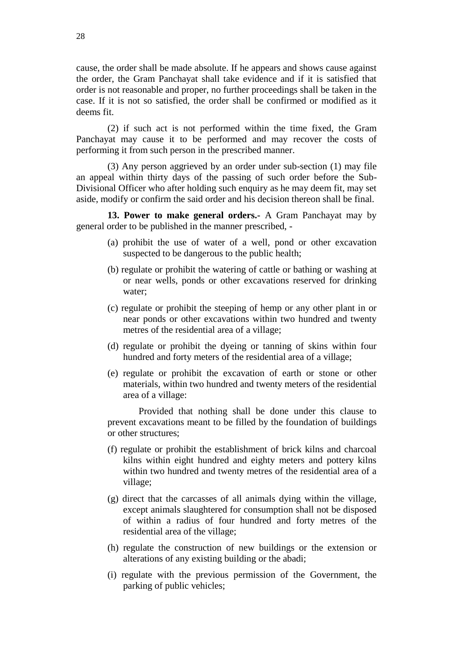cause, the order shall be made absolute. If he appears and shows cause against the order, the Gram Panchayat shall take evidence and if it is satisfied that order is not reasonable and proper, no further proceedings shall be taken in the case. If it is not so satisfied, the order shall be confirmed or modified as it deems fit.

(2) if such act is not performed within the time fixed, the Gram Panchayat may cause it to be performed and may recover the costs of performing it from such person in the prescribed manner.

(3) Any person aggrieved by an order under sub-section (1) may file an appeal within thirty days of the passing of such order before the Sub-Divisional Officer who after holding such enquiry as he may deem fit, may set aside, modify or confirm the said order and his decision thereon shall be final.

**13. Power to make general orders.-** A Gram Panchayat may by general order to be published in the manner prescribed, -

- (a) prohibit the use of water of a well, pond or other excavation suspected to be dangerous to the public health;
- (b) regulate or prohibit the watering of cattle or bathing or washing at or near wells, ponds or other excavations reserved for drinking water;
- (c) regulate or prohibit the steeping of hemp or any other plant in or near ponds or other excavations within two hundred and twenty metres of the residential area of a village;
- (d) regulate or prohibit the dyeing or tanning of skins within four hundred and forty meters of the residential area of a village;
- (e) regulate or prohibit the excavation of earth or stone or other materials, within two hundred and twenty meters of the residential area of a village:

Provided that nothing shall be done under this clause to prevent excavations meant to be filled by the foundation of buildings or other structures;

- (f) regulate or prohibit the establishment of brick kilns and charcoal kilns within eight hundred and eighty meters and pottery kilns within two hundred and twenty metres of the residential area of a village;
- (g) direct that the carcasses of all animals dying within the village, except animals slaughtered for consumption shall not be disposed of within a radius of four hundred and forty metres of the residential area of the village;
- (h) regulate the construction of new buildings or the extension or alterations of any existing building or the abadi;
- (i) regulate with the previous permission of the Government, the parking of public vehicles;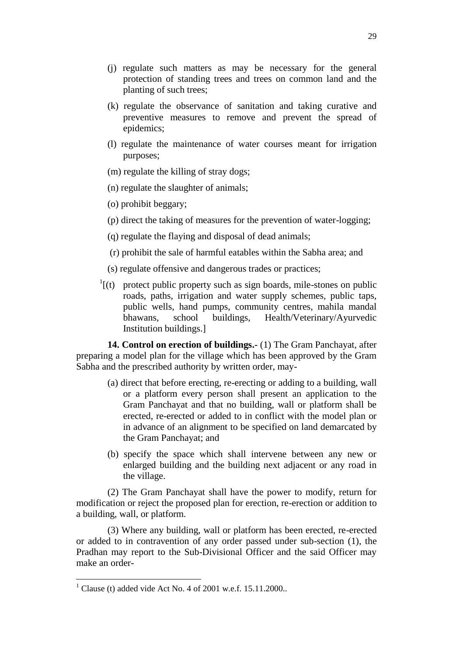- (j) regulate such matters as may be necessary for the general protection of standing trees and trees on common land and the planting of such trees;
- (k) regulate the observance of sanitation and taking curative and preventive measures to remove and prevent the spread of epidemics;
- (l) regulate the maintenance of water courses meant for irrigation purposes;
- (m) regulate the killing of stray dogs;
- (n) regulate the slaughter of animals;
- (o) prohibit beggary;
- (p) direct the taking of measures for the prevention of water-logging;
- (q) regulate the flaying and disposal of dead animals;
- (r) prohibit the sale of harmful eatables within the Sabha area; and
- (s) regulate offensive and dangerous trades or practices;
- $I(t)$  protect public property such as sign boards, mile-stones on public roads, paths, irrigation and water supply schemes, public taps, public wells, hand pumps, community centres, mahila mandal bhawans, school buildings, Health/Veterinary/Ayurvedic Institution buildings.]

**14. Control on erection of buildings.-** (1) The Gram Panchayat, after preparing a model plan for the village which has been approved by the Gram Sabha and the prescribed authority by written order, may-

- (a) direct that before erecting, re-erecting or adding to a building, wall or a platform every person shall present an application to the Gram Panchayat and that no building, wall or platform shall be erected, re-erected or added to in conflict with the model plan or in advance of an alignment to be specified on land demarcated by the Gram Panchayat; and
- (b) specify the space which shall intervene between any new or enlarged building and the building next adjacent or any road in the village.

(2) The Gram Panchayat shall have the power to modify, return for modification or reject the proposed plan for erection, re-erection or addition to a building, wall, or platform.

(3) Where any building, wall or platform has been erected, re-erected or added to in contravention of any order passed under sub-section (1), the Pradhan may report to the Sub-Divisional Officer and the said Officer may make an order-

<sup>&</sup>lt;sup>1</sup> Clause (t) added vide Act No. 4 of 2001 w.e.f.  $15.11.2000$ ..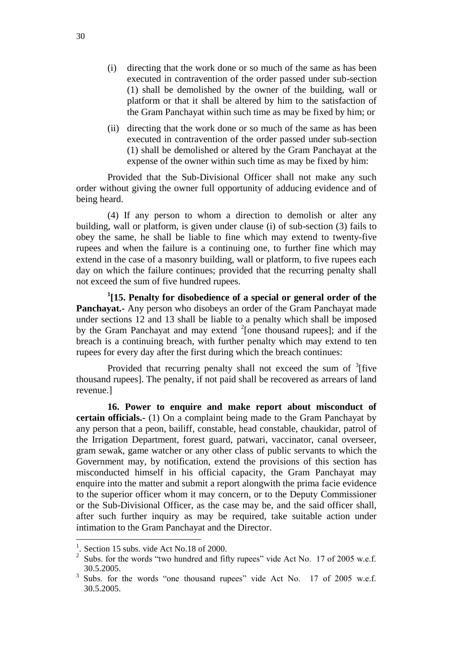- (i) directing that the work done or so much of the same as has been executed in contravention of the order passed under sub-section (1) shall be demolished by the owner of the building, wall or platform or that it shall be altered by him to the satisfaction of the Gram Panchayat within such time as may be fixed by him; or
- (ii) directing that the work done or so much of the same as has been executed in contravention of the order passed under sub-section (1) shall be demolished or altered by the Gram Panchayat at the expense of the owner within such time as may be fixed by him:

Provided that the Sub-Divisional Officer shall not make any such order without giving the owner full opportunity of adducing evidence and of being heard.

(4) If any person to whom a direction to demolish or alter any building, wall or platform, is given under clause (i) of sub-section (3) fails to obey the same, he shall be liable to fine which may extend to twenty-five rupees and when the failure is a continuing one, to further fine which may extend in the case of a masonry building, wall or platform, to five rupees each day on which the failure continues; provided that the recurring penalty shall not exceed the sum of five hundred rupees.

**1 [15. Penalty for disobedience of a special or general order of the Panchayat.-** Any person who disobeys an order of the Gram Panchayat made under sections 12 and 13 shall be liable to a penalty which shall be imposed by the Gram Panchayat and may extend  $2$ [one thousand rupees]; and if the breach is a continuing breach, with further penalty which may extend to ten rupees for every day after the first during which the breach continues:

Provided that recurring penalty shall not exceed the sum of  $3$  five thousand rupees]. The penalty, if not paid shall be recovered as arrears of land revenue.]

**16. Power to enquire and make report about misconduct of certain officials.-** (1) On a complaint being made to the Gram Panchayat by any person that a peon, bailiff, constable, head constable, chaukidar, patrol of the Irrigation Department, forest guard, patwari, vaccinator, canal overseer, gram sewak, game watcher or any other class of public servants to which the Government may, by notification, extend the provisions of this section has misconducted himself in his official capacity, the Gram Panchayat may enquire into the matter and submit a report alongwith the prima facie evidence to the superior officer whom it may concern, or to the Deputy Commissioner or the Sub-Divisional Officer, as the case may be, and the said officer shall, after such further inquiry as may be required, take suitable action under intimation to the Gram Panchayat and the Director.

<sup>&</sup>lt;sup>1</sup>. Section 15 subs. vide Act No.18 of 2000.

<sup>&</sup>lt;sup>2</sup> Subs. for the words "two hundred and fifty rupees" vide Act No. 17 of 2005 w.e.f. 30.5.2005.

<sup>3</sup> Subs. for the words "one thousand rupees" vide Act No. 17 of 2005 w.e.f. 30.5.2005.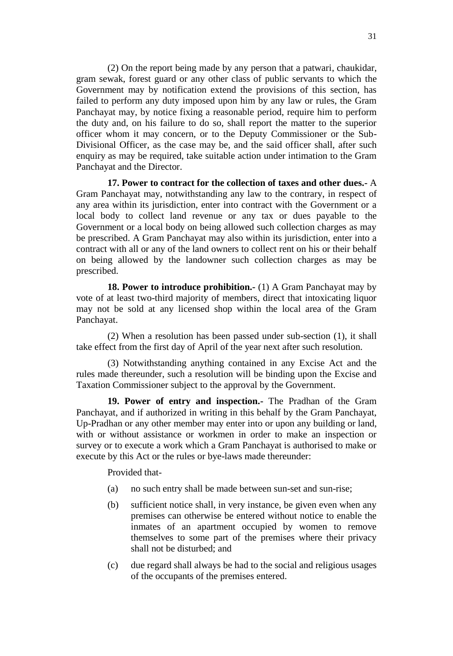(2) On the report being made by any person that a patwari, chaukidar, gram sewak, forest guard or any other class of public servants to which the Government may by notification extend the provisions of this section, has failed to perform any duty imposed upon him by any law or rules, the Gram Panchayat may, by notice fixing a reasonable period, require him to perform the duty and, on his failure to do so, shall report the matter to the superior officer whom it may concern, or to the Deputy Commissioner or the Sub-Divisional Officer, as the case may be, and the said officer shall, after such enquiry as may be required, take suitable action under intimation to the Gram Panchayat and the Director.

**17. Power to contract for the collection of taxes and other dues.-** A Gram Panchayat may, notwithstanding any law to the contrary, in respect of any area within its jurisdiction, enter into contract with the Government or a local body to collect land revenue or any tax or dues payable to the Government or a local body on being allowed such collection charges as may be prescribed. A Gram Panchayat may also within its jurisdiction, enter into a contract with all or any of the land owners to collect rent on his or their behalf on being allowed by the landowner such collection charges as may be prescribed.

**18. Power to introduce prohibition.-** (1) A Gram Panchayat may by vote of at least two-third majority of members, direct that intoxicating liquor may not be sold at any licensed shop within the local area of the Gram Panchayat.

(2) When a resolution has been passed under sub-section (1), it shall take effect from the first day of April of the year next after such resolution.

(3) Notwithstanding anything contained in any Excise Act and the rules made thereunder, such a resolution will be binding upon the Excise and Taxation Commissioner subject to the approval by the Government.

**19. Power of entry and inspection.-** The Pradhan of the Gram Panchayat, and if authorized in writing in this behalf by the Gram Panchayat, Up-Pradhan or any other member may enter into or upon any building or land, with or without assistance or workmen in order to make an inspection or survey or to execute a work which a Gram Panchayat is authorised to make or execute by this Act or the rules or bye-laws made thereunder:

Provided that-

- (a) no such entry shall be made between sun-set and sun-rise;
- (b) sufficient notice shall, in very instance, be given even when any premises can otherwise be entered without notice to enable the inmates of an apartment occupied by women to remove themselves to some part of the premises where their privacy shall not be disturbed; and
- (c) due regard shall always be had to the social and religious usages of the occupants of the premises entered.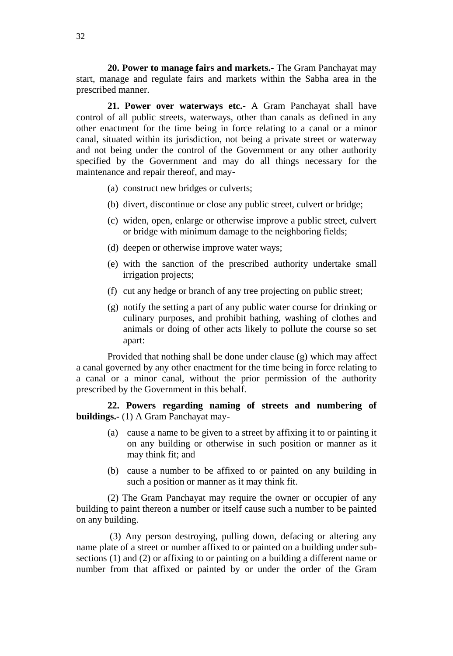**20. Power to manage fairs and markets.-** The Gram Panchayat may start, manage and regulate fairs and markets within the Sabha area in the prescribed manner.

**21. Power over waterways etc.-** A Gram Panchayat shall have control of all public streets, waterways, other than canals as defined in any other enactment for the time being in force relating to a canal or a minor canal, situated within its jurisdiction, not being a private street or waterway and not being under the control of the Government or any other authority specified by the Government and may do all things necessary for the maintenance and repair thereof, and may-

(a) construct new bridges or culverts;

- (b) divert, discontinue or close any public street, culvert or bridge;
- (c) widen, open, enlarge or otherwise improve a public street, culvert or bridge with minimum damage to the neighboring fields;
- (d) deepen or otherwise improve water ways;
- (e) with the sanction of the prescribed authority undertake small irrigation projects;
- (f) cut any hedge or branch of any tree projecting on public street;
- (g) notify the setting a part of any public water course for drinking or culinary purposes, and prohibit bathing, washing of clothes and animals or doing of other acts likely to pollute the course so set apart:

Provided that nothing shall be done under clause (g) which may affect a canal governed by any other enactment for the time being in force relating to a canal or a minor canal, without the prior permission of the authority prescribed by the Government in this behalf.

**22. Powers regarding naming of streets and numbering of buildings.-** (1) A Gram Panchayat may-

- (a) cause a name to be given to a street by affixing it to or painting it on any building or otherwise in such position or manner as it may think fit; and
- (b) cause a number to be affixed to or painted on any building in such a position or manner as it may think fit.

(2) The Gram Panchayat may require the owner or occupier of any building to paint thereon a number or itself cause such a number to be painted on any building.

(3) Any person destroying, pulling down, defacing or altering any name plate of a street or number affixed to or painted on a building under subsections (1) and (2) or affixing to or painting on a building a different name or number from that affixed or painted by or under the order of the Gram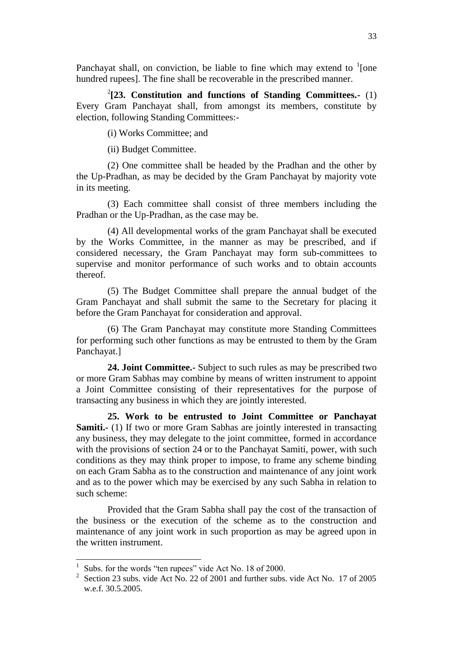Panchayat shall, on conviction, be liable to fine which may extend to  $\frac{1}{2}$  [one hundred rupees]. The fine shall be recoverable in the prescribed manner.

2 **[23. Constitution and functions of Standing Committees.-** (1) Every Gram Panchayat shall, from amongst its members, constitute by election, following Standing Committees:-

(i) Works Committee; and

(ii) Budget Committee.

(2) One committee shall be headed by the Pradhan and the other by the Up-Pradhan, as may be decided by the Gram Panchayat by majority vote in its meeting.

(3) Each committee shall consist of three members including the Pradhan or the Up-Pradhan, as the case may be.

(4) All developmental works of the gram Panchayat shall be executed by the Works Committee, in the manner as may be prescribed, and if considered necessary, the Gram Panchayat may form sub-committees to supervise and monitor performance of such works and to obtain accounts thereof.

(5) The Budget Committee shall prepare the annual budget of the Gram Panchayat and shall submit the same to the Secretary for placing it before the Gram Panchayat for consideration and approval.

(6) The Gram Panchayat may constitute more Standing Committees for performing such other functions as may be entrusted to them by the Gram Panchayat.]

**24. Joint Committee.-** Subject to such rules as may be prescribed two or more Gram Sabhas may combine by means of written instrument to appoint a Joint Committee consisting of their representatives for the purpose of transacting any business in which they are jointly interested.

**25. Work to be entrusted to Joint Committee or Panchayat Samiti.**- (1) If two or more Gram Sabhas are jointly interested in transacting any business, they may delegate to the joint committee, formed in accordance with the provisions of section 24 or to the Panchayat Samiti, power, with such conditions as they may think proper to impose, to frame any scheme binding on each Gram Sabha as to the construction and maintenance of any joint work and as to the power which may be exercised by any such Sabha in relation to such scheme:

Provided that the Gram Sabha shall pay the cost of the transaction of the business or the execution of the scheme as to the construction and maintenance of any joint work in such proportion as may be agreed upon in the written instrument.

<sup>1</sup> Subs. for the words "ten rupees" vide Act No. 18 of 2000.

<sup>&</sup>lt;sup>2</sup> Section 23 subs. vide Act No. 22 of 2001 and further subs. vide Act No. 17 of 2005 w.e.f. 30.5.2005.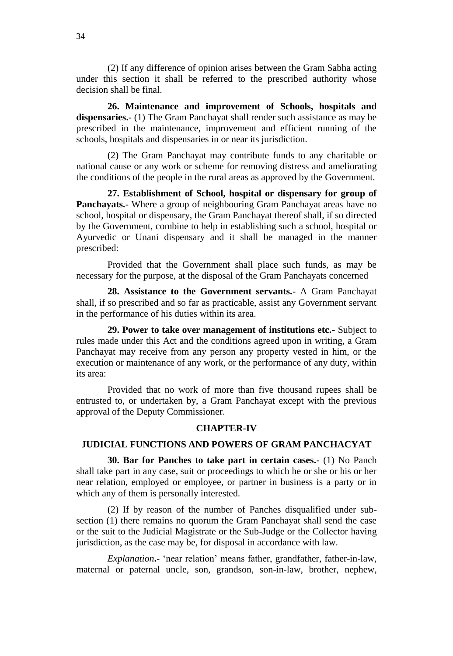(2) If any difference of opinion arises between the Gram Sabha acting under this section it shall be referred to the prescribed authority whose decision shall be final.

**26. Maintenance and improvement of Schools, hospitals and dispensaries.-** (1) The Gram Panchayat shall render such assistance as may be prescribed in the maintenance, improvement and efficient running of the schools, hospitals and dispensaries in or near its jurisdiction.

(2) The Gram Panchayat may contribute funds to any charitable or national cause or any work or scheme for removing distress and ameliorating the conditions of the people in the rural areas as approved by the Government.

**27. Establishment of School, hospital or dispensary for group of Panchayats.-** Where a group of neighbouring Gram Panchayat areas have no school, hospital or dispensary, the Gram Panchayat thereof shall, if so directed by the Government, combine to help in establishing such a school, hospital or Ayurvedic or Unani dispensary and it shall be managed in the manner prescribed:

Provided that the Government shall place such funds, as may be necessary for the purpose, at the disposal of the Gram Panchayats concerned

**28. Assistance to the Government servants.-** A Gram Panchayat shall, if so prescribed and so far as practicable, assist any Government servant in the performance of his duties within its area.

**29. Power to take over management of institutions etc.-** Subject to rules made under this Act and the conditions agreed upon in writing, a Gram Panchayat may receive from any person any property vested in him, or the execution or maintenance of any work, or the performance of any duty, within its area:

Provided that no work of more than five thousand rupees shall be entrusted to, or undertaken by, a Gram Panchayat except with the previous approval of the Deputy Commissioner.

#### **CHAPTER-IV**

#### **JUDICIAL FUNCTIONS AND POWERS OF GRAM PANCHACYAT**

**30. Bar for Panches to take part in certain cases.-** (1) No Panch shall take part in any case, suit or proceedings to which he or she or his or her near relation, employed or employee, or partner in business is a party or in which any of them is personally interested.

(2) If by reason of the number of Panches disqualified under subsection (1) there remains no quorum the Gram Panchayat shall send the case or the suit to the Judicial Magistrate or the Sub-Judge or the Collector having jurisdiction, as the case may be, for disposal in accordance with law.

*Explanation***.-** 'near relation' means father, grandfather, father-in-law, maternal or paternal uncle, son, grandson, son-in-law, brother, nephew,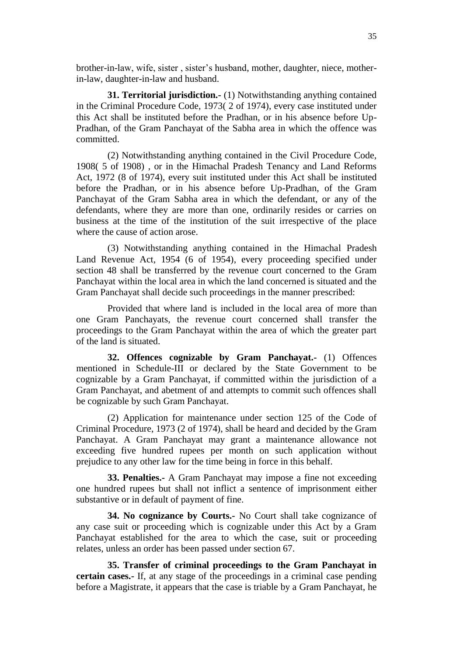brother-in-law, wife, sister , sister's husband, mother, daughter, niece, motherin-law, daughter-in-law and husband.

**31. Territorial jurisdiction.-** (1) Notwithstanding anything contained in the Criminal Procedure Code, 1973( 2 of 1974), every case instituted under this Act shall be instituted before the Pradhan, or in his absence before Up-Pradhan, of the Gram Panchayat of the Sabha area in which the offence was committed.

(2) Notwithstanding anything contained in the Civil Procedure Code, 1908( 5 of 1908) , or in the Himachal Pradesh Tenancy and Land Reforms Act, 1972 (8 of 1974), every suit instituted under this Act shall be instituted before the Pradhan, or in his absence before Up-Pradhan, of the Gram Panchayat of the Gram Sabha area in which the defendant, or any of the defendants, where they are more than one, ordinarily resides or carries on business at the time of the institution of the suit irrespective of the place where the cause of action arose.

(3) Notwithstanding anything contained in the Himachal Pradesh Land Revenue Act, 1954 (6 of 1954), every proceeding specified under section 48 shall be transferred by the revenue court concerned to the Gram Panchayat within the local area in which the land concerned is situated and the Gram Panchayat shall decide such proceedings in the manner prescribed:

Provided that where land is included in the local area of more than one Gram Panchayats, the revenue court concerned shall transfer the proceedings to the Gram Panchayat within the area of which the greater part of the land is situated.

**32. Offences cognizable by Gram Panchayat.-** (1) Offences mentioned in Schedule-III or declared by the State Government to be cognizable by a Gram Panchayat, if committed within the jurisdiction of a Gram Panchayat, and abetment of and attempts to commit such offences shall be cognizable by such Gram Panchayat.

(2) Application for maintenance under section 125 of the Code of Criminal Procedure, 1973 (2 of 1974), shall be heard and decided by the Gram Panchayat. A Gram Panchayat may grant a maintenance allowance not exceeding five hundred rupees per month on such application without prejudice to any other law for the time being in force in this behalf.

**33. Penalties.-** A Gram Panchayat may impose a fine not exceeding one hundred rupees but shall not inflict a sentence of imprisonment either substantive or in default of payment of fine.

**34. No cognizance by Courts.-** No Court shall take cognizance of any case suit or proceeding which is cognizable under this Act by a Gram Panchayat established for the area to which the case, suit or proceeding relates, unless an order has been passed under section 67.

**35. Transfer of criminal proceedings to the Gram Panchayat in certain cases.-** If, at any stage of the proceedings in a criminal case pending before a Magistrate, it appears that the case is triable by a Gram Panchayat, he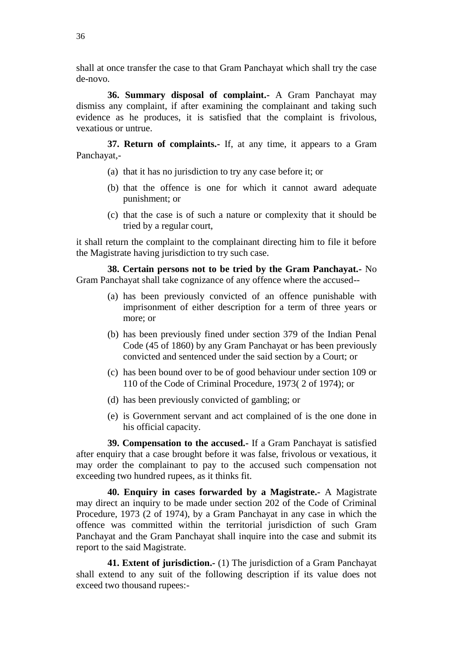shall at once transfer the case to that Gram Panchayat which shall try the case de-novo.

**36. Summary disposal of complaint.-** A Gram Panchayat may dismiss any complaint, if after examining the complainant and taking such evidence as he produces, it is satisfied that the complaint is frivolous, vexatious or untrue.

**37. Return of complaints.-** If, at any time, it appears to a Gram Panchayat,-

- (a) that it has no jurisdiction to try any case before it; or
- (b) that the offence is one for which it cannot award adequate punishment; or
- (c) that the case is of such a nature or complexity that it should be tried by a regular court,

it shall return the complaint to the complainant directing him to file it before the Magistrate having jurisdiction to try such case.

**38. Certain persons not to be tried by the Gram Panchayat.-** No Gram Panchayat shall take cognizance of any offence where the accused--

- (a) has been previously convicted of an offence punishable with imprisonment of either description for a term of three years or more; or
- (b) has been previously fined under section 379 of the Indian Penal Code (45 of 1860) by any Gram Panchayat or has been previously convicted and sentenced under the said section by a Court; or
- (c) has been bound over to be of good behaviour under section 109 or 110 of the Code of Criminal Procedure, 1973( 2 of 1974); or
- (d) has been previously convicted of gambling; or
- (e) is Government servant and act complained of is the one done in his official capacity.

**39. Compensation to the accused.-** If a Gram Panchayat is satisfied after enquiry that a case brought before it was false, frivolous or vexatious, it may order the complainant to pay to the accused such compensation not exceeding two hundred rupees, as it thinks fit.

**40. Enquiry in cases forwarded by a Magistrate.-** A Magistrate may direct an inquiry to be made under section 202 of the Code of Criminal Procedure, 1973 (2 of 1974), by a Gram Panchayat in any case in which the offence was committed within the territorial jurisdiction of such Gram Panchayat and the Gram Panchayat shall inquire into the case and submit its report to the said Magistrate.

**41. Extent of jurisdiction.-** (1) The jurisdiction of a Gram Panchayat shall extend to any suit of the following description if its value does not exceed two thousand rupees:-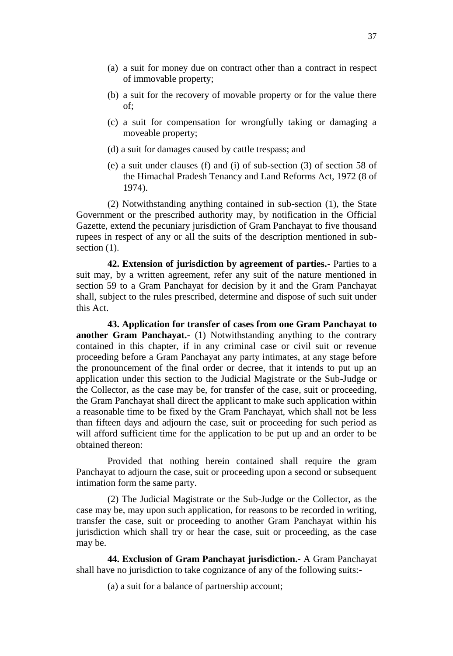- (a) a suit for money due on contract other than a contract in respect of immovable property;
- (b) a suit for the recovery of movable property or for the value there of;
- (c) a suit for compensation for wrongfully taking or damaging a moveable property;
- (d) a suit for damages caused by cattle trespass; and
- (e) a suit under clauses (f) and (i) of sub-section (3) of section 58 of the Himachal Pradesh Tenancy and Land Reforms Act, 1972 (8 of 1974).

(2) Notwithstanding anything contained in sub-section (1), the State Government or the prescribed authority may, by notification in the Official Gazette, extend the pecuniary jurisdiction of Gram Panchayat to five thousand rupees in respect of any or all the suits of the description mentioned in subsection  $(1)$ .

**42. Extension of jurisdiction by agreement of parties.-** Parties to a suit may, by a written agreement, refer any suit of the nature mentioned in section 59 to a Gram Panchayat for decision by it and the Gram Panchayat shall, subject to the rules prescribed, determine and dispose of such suit under this Act.

**43. Application for transfer of cases from one Gram Panchayat to another Gram Panchayat.-** (1) Notwithstanding anything to the contrary contained in this chapter, if in any criminal case or civil suit or revenue proceeding before a Gram Panchayat any party intimates, at any stage before the pronouncement of the final order or decree, that it intends to put up an application under this section to the Judicial Magistrate or the Sub-Judge or the Collector, as the case may be, for transfer of the case, suit or proceeding, the Gram Panchayat shall direct the applicant to make such application within a reasonable time to be fixed by the Gram Panchayat, which shall not be less than fifteen days and adjourn the case, suit or proceeding for such period as will afford sufficient time for the application to be put up and an order to be obtained thereon:

Provided that nothing herein contained shall require the gram Panchayat to adjourn the case, suit or proceeding upon a second or subsequent intimation form the same party.

(2) The Judicial Magistrate or the Sub-Judge or the Collector, as the case may be, may upon such application, for reasons to be recorded in writing, transfer the case, suit or proceeding to another Gram Panchayat within his jurisdiction which shall try or hear the case, suit or proceeding, as the case may be.

**44. Exclusion of Gram Panchayat jurisdiction.-** A Gram Panchayat shall have no jurisdiction to take cognizance of any of the following suits:-

(a) a suit for a balance of partnership account;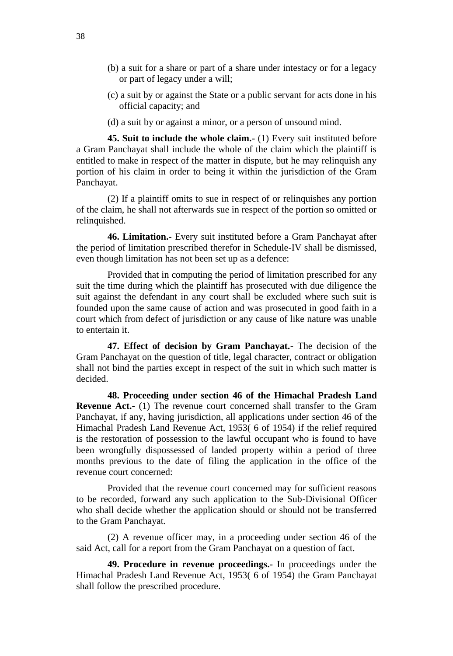- (b) a suit for a share or part of a share under intestacy or for a legacy or part of legacy under a will;
- (c) a suit by or against the State or a public servant for acts done in his official capacity; and
- (d) a suit by or against a minor, or a person of unsound mind.

**45. Suit to include the whole claim.-** (1) Every suit instituted before a Gram Panchayat shall include the whole of the claim which the plaintiff is entitled to make in respect of the matter in dispute, but he may relinquish any portion of his claim in order to being it within the jurisdiction of the Gram Panchayat.

(2) If a plaintiff omits to sue in respect of or relinquishes any portion of the claim, he shall not afterwards sue in respect of the portion so omitted or relinquished.

**46. Limitation.-** Every suit instituted before a Gram Panchayat after the period of limitation prescribed therefor in Schedule-IV shall be dismissed, even though limitation has not been set up as a defence:

Provided that in computing the period of limitation prescribed for any suit the time during which the plaintiff has prosecuted with due diligence the suit against the defendant in any court shall be excluded where such suit is founded upon the same cause of action and was prosecuted in good faith in a court which from defect of jurisdiction or any cause of like nature was unable to entertain it.

**47. Effect of decision by Gram Panchayat.-** The decision of the Gram Panchayat on the question of title, legal character, contract or obligation shall not bind the parties except in respect of the suit in which such matter is decided.

**48. Proceeding under section 46 of the Himachal Pradesh Land Revenue Act.-** (1) The revenue court concerned shall transfer to the Gram Panchayat, if any, having jurisdiction, all applications under section 46 of the Himachal Pradesh Land Revenue Act, 1953( 6 of 1954) if the relief required is the restoration of possession to the lawful occupant who is found to have been wrongfully dispossessed of landed property within a period of three months previous to the date of filing the application in the office of the revenue court concerned:

Provided that the revenue court concerned may for sufficient reasons to be recorded, forward any such application to the Sub-Divisional Officer who shall decide whether the application should or should not be transferred to the Gram Panchayat.

(2) A revenue officer may, in a proceeding under section 46 of the said Act, call for a report from the Gram Panchayat on a question of fact.

**49. Procedure in revenue proceedings.-** In proceedings under the Himachal Pradesh Land Revenue Act, 1953( 6 of 1954) the Gram Panchayat shall follow the prescribed procedure.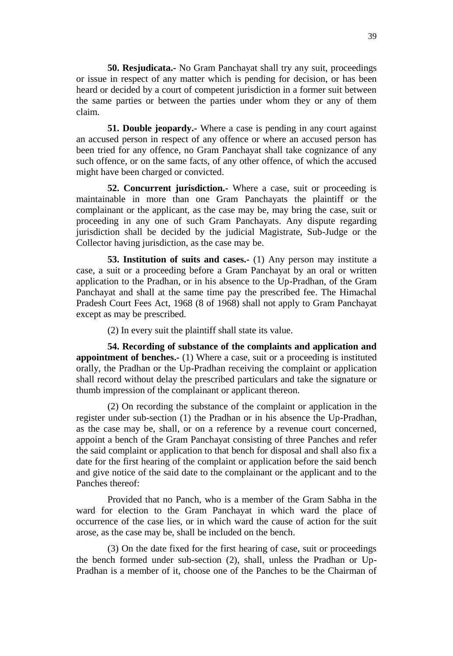**50. Resjudicata.-** No Gram Panchayat shall try any suit, proceedings or issue in respect of any matter which is pending for decision, or has been heard or decided by a court of competent jurisdiction in a former suit between the same parties or between the parties under whom they or any of them claim.

**51. Double jeopardy.-** Where a case is pending in any court against an accused person in respect of any offence or where an accused person has been tried for any offence, no Gram Panchayat shall take cognizance of any such offence, or on the same facts, of any other offence, of which the accused might have been charged or convicted.

**52. Concurrent jurisdiction.-** Where a case, suit or proceeding is maintainable in more than one Gram Panchayats the plaintiff or the complainant or the applicant, as the case may be, may bring the case, suit or proceeding in any one of such Gram Panchayats. Any dispute regarding jurisdiction shall be decided by the judicial Magistrate, Sub-Judge or the Collector having jurisdiction, as the case may be.

**53. Institution of suits and cases.** (1) Any person may institute a case, a suit or a proceeding before a Gram Panchayat by an oral or written application to the Pradhan, or in his absence to the Up-Pradhan, of the Gram Panchayat and shall at the same time pay the prescribed fee. The Himachal Pradesh Court Fees Act, 1968 (8 of 1968) shall not apply to Gram Panchayat except as may be prescribed.

(2) In every suit the plaintiff shall state its value.

**54. Recording of substance of the complaints and application and appointment of benches.-** (1) Where a case, suit or a proceeding is instituted orally, the Pradhan or the Up-Pradhan receiving the complaint or application shall record without delay the prescribed particulars and take the signature or thumb impression of the complainant or applicant thereon.

(2) On recording the substance of the complaint or application in the register under sub-section (1) the Pradhan or in his absence the Up-Pradhan, as the case may be, shall, or on a reference by a revenue court concerned, appoint a bench of the Gram Panchayat consisting of three Panches and refer the said complaint or application to that bench for disposal and shall also fix a date for the first hearing of the complaint or application before the said bench and give notice of the said date to the complainant or the applicant and to the Panches thereof:

Provided that no Panch, who is a member of the Gram Sabha in the ward for election to the Gram Panchayat in which ward the place of occurrence of the case lies, or in which ward the cause of action for the suit arose, as the case may be, shall be included on the bench.

(3) On the date fixed for the first hearing of case, suit or proceedings the bench formed under sub-section (2), shall, unless the Pradhan or Up-Pradhan is a member of it, choose one of the Panches to be the Chairman of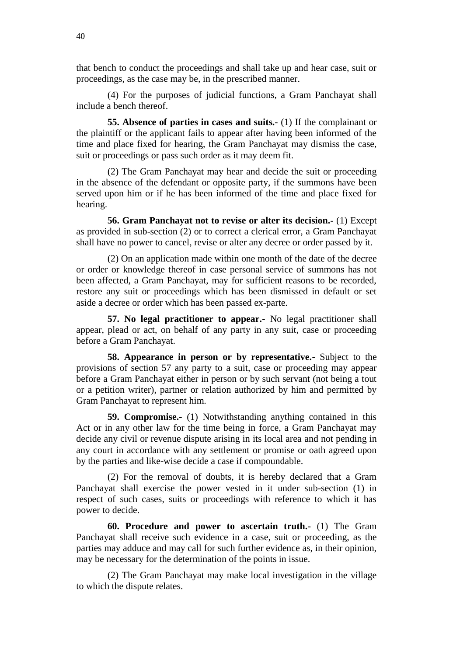that bench to conduct the proceedings and shall take up and hear case, suit or proceedings, as the case may be, in the prescribed manner.

(4) For the purposes of judicial functions, a Gram Panchayat shall include a bench thereof.

**55. Absence of parties in cases and suits.-** (1) If the complainant or the plaintiff or the applicant fails to appear after having been informed of the time and place fixed for hearing, the Gram Panchayat may dismiss the case, suit or proceedings or pass such order as it may deem fit.

(2) The Gram Panchayat may hear and decide the suit or proceeding in the absence of the defendant or opposite party, if the summons have been served upon him or if he has been informed of the time and place fixed for hearing.

**56. Gram Panchayat not to revise or alter its decision.-** (1) Except as provided in sub-section (2) or to correct a clerical error, a Gram Panchayat shall have no power to cancel, revise or alter any decree or order passed by it.

(2) On an application made within one month of the date of the decree or order or knowledge thereof in case personal service of summons has not been affected, a Gram Panchayat, may for sufficient reasons to be recorded, restore any suit or proceedings which has been dismissed in default or set aside a decree or order which has been passed ex-parte.

**57. No legal practitioner to appear.-** No legal practitioner shall appear, plead or act, on behalf of any party in any suit, case or proceeding before a Gram Panchayat.

**58. Appearance in person or by representative.-** Subject to the provisions of section 57 any party to a suit, case or proceeding may appear before a Gram Panchayat either in person or by such servant (not being a tout or a petition writer), partner or relation authorized by him and permitted by Gram Panchayat to represent him.

**59. Compromise.-** (1) Notwithstanding anything contained in this Act or in any other law for the time being in force, a Gram Panchayat may decide any civil or revenue dispute arising in its local area and not pending in any court in accordance with any settlement or promise or oath agreed upon by the parties and like-wise decide a case if compoundable.

(2) For the removal of doubts, it is hereby declared that a Gram Panchayat shall exercise the power vested in it under sub-section (1) in respect of such cases, suits or proceedings with reference to which it has power to decide.

**60. Procedure and power to ascertain truth.-** (1) The Gram Panchayat shall receive such evidence in a case, suit or proceeding, as the parties may adduce and may call for such further evidence as, in their opinion, may be necessary for the determination of the points in issue.

(2) The Gram Panchayat may make local investigation in the village to which the dispute relates.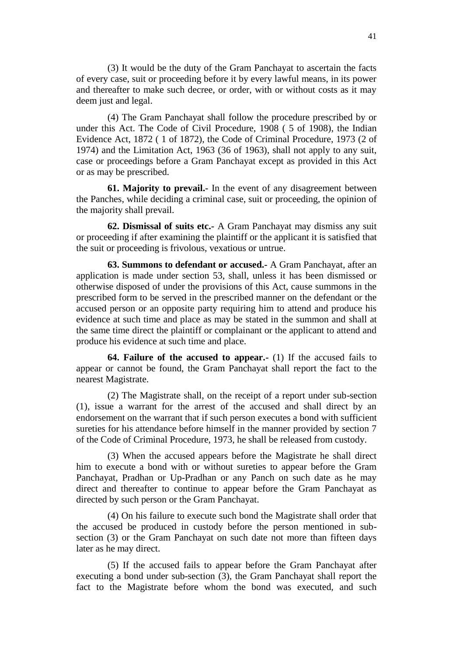(3) It would be the duty of the Gram Panchayat to ascertain the facts of every case, suit or proceeding before it by every lawful means, in its power and thereafter to make such decree, or order, with or without costs as it may deem just and legal.

(4) The Gram Panchayat shall follow the procedure prescribed by or under this Act. The Code of Civil Procedure, 1908 ( 5 of 1908), the Indian Evidence Act, 1872 ( 1 of 1872), the Code of Criminal Procedure, 1973 (2 of 1974) and the Limitation Act, 1963 (36 of 1963), shall not apply to any suit, case or proceedings before a Gram Panchayat except as provided in this Act or as may be prescribed.

**61. Majority to prevail.-** In the event of any disagreement between the Panches, while deciding a criminal case, suit or proceeding, the opinion of the majority shall prevail.

**62. Dismissal of suits etc.-** A Gram Panchayat may dismiss any suit or proceeding if after examining the plaintiff or the applicant it is satisfied that the suit or proceeding is frivolous, vexatious or untrue.

**63. Summons to defendant or accused.-** A Gram Panchayat, after an application is made under section 53, shall, unless it has been dismissed or otherwise disposed of under the provisions of this Act, cause summons in the prescribed form to be served in the prescribed manner on the defendant or the accused person or an opposite party requiring him to attend and produce his evidence at such time and place as may be stated in the summon and shall at the same time direct the plaintiff or complainant or the applicant to attend and produce his evidence at such time and place.

**64. Failure of the accused to appear.-** (1) If the accused fails to appear or cannot be found, the Gram Panchayat shall report the fact to the nearest Magistrate.

(2) The Magistrate shall, on the receipt of a report under sub-section (1), issue a warrant for the arrest of the accused and shall direct by an endorsement on the warrant that if such person executes a bond with sufficient sureties for his attendance before himself in the manner provided by section 7 of the Code of Criminal Procedure, 1973, he shall be released from custody.

(3) When the accused appears before the Magistrate he shall direct him to execute a bond with or without sureties to appear before the Gram Panchayat, Pradhan or Up-Pradhan or any Panch on such date as he may direct and thereafter to continue to appear before the Gram Panchayat as directed by such person or the Gram Panchayat.

(4) On his failure to execute such bond the Magistrate shall order that the accused be produced in custody before the person mentioned in subsection (3) or the Gram Panchayat on such date not more than fifteen days later as he may direct.

(5) If the accused fails to appear before the Gram Panchayat after executing a bond under sub-section (3), the Gram Panchayat shall report the fact to the Magistrate before whom the bond was executed, and such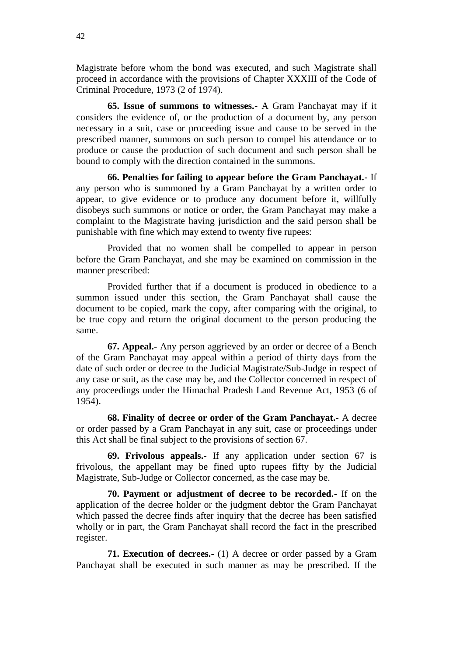Magistrate before whom the bond was executed, and such Magistrate shall proceed in accordance with the provisions of Chapter XXXIII of the Code of Criminal Procedure, 1973 (2 of 1974).

**65. Issue of summons to witnesses.-** A Gram Panchayat may if it considers the evidence of, or the production of a document by, any person necessary in a suit, case or proceeding issue and cause to be served in the prescribed manner, summons on such person to compel his attendance or to produce or cause the production of such document and such person shall be bound to comply with the direction contained in the summons.

**66. Penalties for failing to appear before the Gram Panchayat.-** If any person who is summoned by a Gram Panchayat by a written order to appear, to give evidence or to produce any document before it, willfully disobeys such summons or notice or order, the Gram Panchayat may make a complaint to the Magistrate having jurisdiction and the said person shall be punishable with fine which may extend to twenty five rupees:

Provided that no women shall be compelled to appear in person before the Gram Panchayat, and she may be examined on commission in the manner prescribed:

Provided further that if a document is produced in obedience to a summon issued under this section, the Gram Panchayat shall cause the document to be copied, mark the copy, after comparing with the original, to be true copy and return the original document to the person producing the same.

**67. Appeal.-** Any person aggrieved by an order or decree of a Bench of the Gram Panchayat may appeal within a period of thirty days from the date of such order or decree to the Judicial Magistrate/Sub-Judge in respect of any case or suit, as the case may be, and the Collector concerned in respect of any proceedings under the Himachal Pradesh Land Revenue Act, 1953 (6 of 1954).

**68. Finality of decree or order of the Gram Panchayat.-** A decree or order passed by a Gram Panchayat in any suit, case or proceedings under this Act shall be final subject to the provisions of section 67.

**69. Frivolous appeals.-** If any application under section 67 is frivolous, the appellant may be fined upto rupees fifty by the Judicial Magistrate, Sub-Judge or Collector concerned, as the case may be.

**70. Payment or adjustment of decree to be recorded.-** If on the application of the decree holder or the judgment debtor the Gram Panchayat which passed the decree finds after inquiry that the decree has been satisfied wholly or in part, the Gram Panchayat shall record the fact in the prescribed register.

**71. Execution of decrees.-** (1) A decree or order passed by a Gram Panchayat shall be executed in such manner as may be prescribed. If the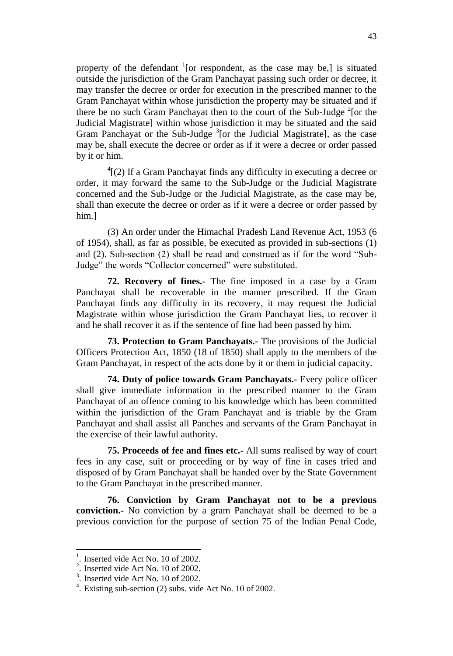property of the defendant  $\frac{1}{1}$  [or respondent, as the case may be,] is situated outside the jurisdiction of the Gram Panchayat passing such order or decree, it may transfer the decree or order for execution in the prescribed manner to the Gram Panchayat within whose jurisdiction the property may be situated and if there be no such Gram Panchayat then to the court of the Sub-Judge<sup>2</sup> [or the Judicial Magistrate] within whose jurisdiction it may be situated and the said Gram Panchayat or the Sub-Judge  $3$ [or the Judicial Magistrate], as the case may be, shall execute the decree or order as if it were a decree or order passed by it or him.

 $^{4}$ [(2) If a Gram Panchayat finds any difficulty in executing a decree or order, it may forward the same to the Sub-Judge or the Judicial Magistrate concerned and the Sub-Judge or the Judicial Magistrate, as the case may be, shall than execute the decree or order as if it were a decree or order passed by him.]

(3) An order under the Himachal Pradesh Land Revenue Act, 1953 (6 of 1954), shall, as far as possible, be executed as provided in sub-sections (1) and (2). Sub-section (2) shall be read and construed as if for the word "Sub-Judge" the words "Collector concerned" were substituted.

**72. Recovery of fines.-** The fine imposed in a case by a Gram Panchayat shall be recoverable in the manner prescribed. If the Gram Panchayat finds any difficulty in its recovery, it may request the Judicial Magistrate within whose jurisdiction the Gram Panchayat lies, to recover it and he shall recover it as if the sentence of fine had been passed by him.

**73. Protection to Gram Panchayats.-** The provisions of the Judicial Officers Protection Act, 1850 (18 of 1850) shall apply to the members of the Gram Panchayat, in respect of the acts done by it or them in judicial capacity.

**74. Duty of police towards Gram Panchayats.-** Every police officer shall give immediate information in the prescribed manner to the Gram Panchayat of an offence coming to his knowledge which has been committed within the jurisdiction of the Gram Panchayat and is triable by the Gram Panchayat and shall assist all Panches and servants of the Gram Panchayat in the exercise of their lawful authority.

**75. Proceeds of fee and fines etc.-** All sums realised by way of court fees in any case, suit or proceeding or by way of fine in cases tried and disposed of by Gram Panchayat shall be handed over by the State Government to the Gram Panchayat in the prescribed manner.

**76. Conviction by Gram Panchayat not to be a previous conviction.-** No conviction by a gram Panchayat shall be deemed to be a previous conviction for the purpose of section 75 of the Indian Penal Code,

 $\overline{a}$ 

<sup>1</sup> . Inserted vide Act No. 10 of 2002.

 $2$ . Inserted vide Act No. 10 of 2002.

 $3$ . Inserted vide Act No. 10 of 2002.

 $4$ . Existing sub-section (2) subs. vide Act No. 10 of 2002.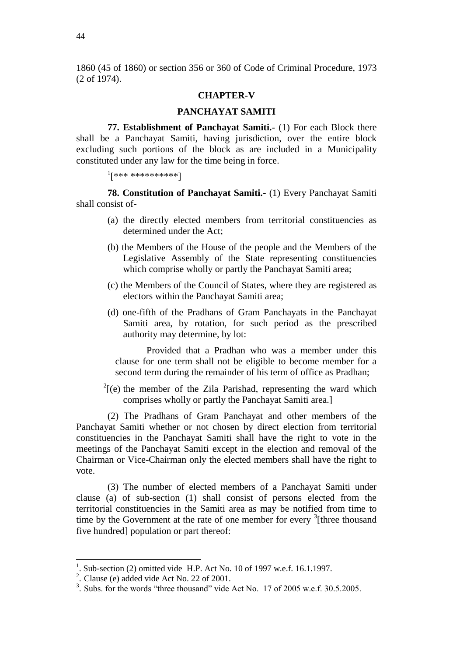1860 (45 of 1860) or section 356 or 360 of Code of Criminal Procedure, 1973 (2 of 1974).

### **CHAPTER-V**

### **PANCHAYAT SAMITI**

**77. Establishment of Panchayat Samiti.-** (1) For each Block there shall be a Panchayat Samiti, having jurisdiction, over the entire block excluding such portions of the block as are included in a Municipality constituted under any law for the time being in force.

```
1
[*** **********]
```
**78. Constitution of Panchayat Samiti.-** (1) Every Panchayat Samiti shall consist of-

- (a) the directly elected members from territorial constituencies as determined under the Act;
- (b) the Members of the House of the people and the Members of the Legislative Assembly of the State representing constituencies which comprise wholly or partly the Panchayat Samiti area;
- (c) the Members of the Council of States, where they are registered as electors within the Panchayat Samiti area;
- (d) one-fifth of the Pradhans of Gram Panchayats in the Panchayat Samiti area, by rotation, for such period as the prescribed authority may determine, by lot:

Provided that a Pradhan who was a member under this clause for one term shall not be eligible to become member for a second term during the remainder of his term of office as Pradhan;

 $2^{2}$ [(e) the member of the Zila Parishad, representing the ward which comprises wholly or partly the Panchayat Samiti area.]

(2) The Pradhans of Gram Panchayat and other members of the Panchayat Samiti whether or not chosen by direct election from territorial constituencies in the Panchayat Samiti shall have the right to vote in the meetings of the Panchayat Samiti except in the election and removal of the Chairman or Vice-Chairman only the elected members shall have the right to vote.

(3) The number of elected members of a Panchayat Samiti under clause (a) of sub-section (1) shall consist of persons elected from the territorial constituencies in the Samiti area as may be notified from time to time by the Government at the rate of one member for every <sup>3</sup>[three thousand five hundred] population or part thereof:

<sup>1</sup> . Sub-section (2) omitted vide H.P. Act No. 10 of 1997 w.e.f. 16.1.1997.

<sup>&</sup>lt;sup>2</sup>. Clause (e) added vide Act No. 22 of 2001.

 $3.$  Subs. for the words "three thousand" vide Act No. 17 of 2005 w.e.f. 30.5.2005.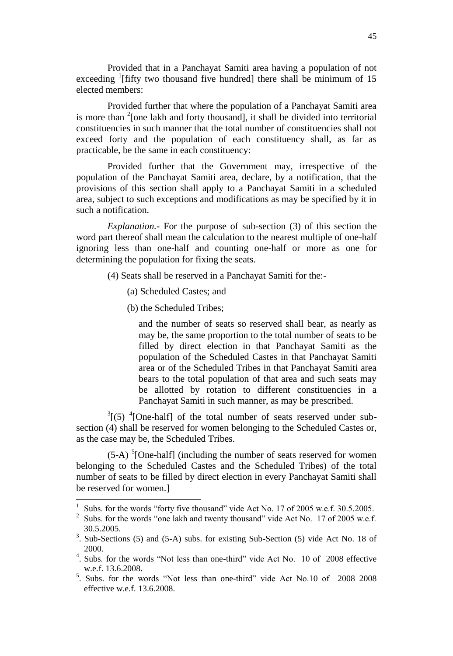Provided that in a Panchayat Samiti area having a population of not exceeding <sup>1</sup>[fifty two thousand five hundred] there shall be minimum of 15 elected members:

Provided further that where the population of a Panchayat Samiti area is more than  $2$ [one lakh and forty thousand], it shall be divided into territorial constituencies in such manner that the total number of constituencies shall not exceed forty and the population of each constituency shall, as far as practicable, be the same in each constituency:

Provided further that the Government may, irrespective of the population of the Panchayat Samiti area, declare, by a notification, that the provisions of this section shall apply to a Panchayat Samiti in a scheduled area, subject to such exceptions and modifications as may be specified by it in such a notification.

*Explanation.***-** For the purpose of sub-section (3) of this section the word part thereof shall mean the calculation to the nearest multiple of one-half ignoring less than one-half and counting one-half or more as one for determining the population for fixing the seats.

- (4) Seats shall be reserved in a Panchayat Samiti for the:-
	- (a) Scheduled Castes; and
	- (b) the Scheduled Tribes;

l

and the number of seats so reserved shall bear, as nearly as may be, the same proportion to the total number of seats to be filled by direct election in that Panchayat Samiti as the population of the Scheduled Castes in that Panchayat Samiti area or of the Scheduled Tribes in that Panchayat Samiti area bears to the total population of that area and such seats may be allotted by rotation to different constituencies in a Panchayat Samiti in such manner, as may be prescribed.

 $3(5)$  <sup>4</sup>[One-half] of the total number of seats reserved under subsection (4) shall be reserved for women belonging to the Scheduled Castes or, as the case may be, the Scheduled Tribes.

 $(5-A)$ <sup>5</sup>[One-half] (including the number of seats reserved for women belonging to the Scheduled Castes and the Scheduled Tribes) of the total number of seats to be filled by direct election in every Panchayat Samiti shall be reserved for women.]

<sup>1</sup> Subs. for the words "forty five thousand" vide Act No. 17 of 2005 w.e.f. 30.5.2005.

<sup>&</sup>lt;sup>2</sup> Subs. for the words "one lakh and twenty thousand" vide Act No. 17 of 2005 w.e.f. 30.5.2005.

<sup>3</sup> . Sub-Sections (5) and (5-A) subs. for existing Sub-Section (5) vide Act No. 18 of 2000.

<sup>&</sup>lt;sup>4</sup>. Subs. for the words "Not less than one-third" vide Act No. 10 of 2008 effective w.e.f. 13.6.2008.

<sup>&</sup>lt;sup>5</sup>. Subs. for the words "Not less than one-third" vide Act No.10 of 2008 2008 effective w.e.f. 13.6.2008.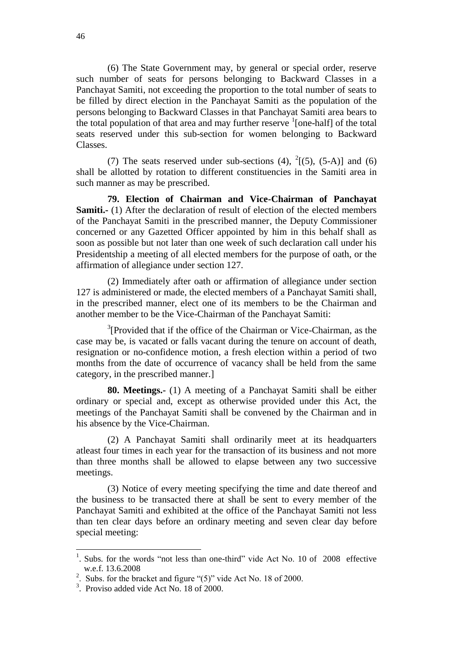(6) The State Government may, by general or special order, reserve such number of seats for persons belonging to Backward Classes in a Panchayat Samiti, not exceeding the proportion to the total number of seats to be filled by direct election in the Panchayat Samiti as the population of the persons belonging to Backward Classes in that Panchayat Samiti area bears to the total population of that area and may further reserve  $\frac{1}{2}$  [one-half] of the total seats reserved under this sub-section for women belonging to Backward Classes.

(7) The seats reserved under sub-sections (4),  $^{2}$ [(5), (5-A)] and (6) shall be allotted by rotation to different constituencies in the Samiti area in such manner as may be prescribed.

**79. Election of Chairman and Vice-Chairman of Panchayat Samiti.-** (1) After the declaration of result of election of the elected members of the Panchayat Samiti in the prescribed manner, the Deputy Commissioner concerned or any Gazetted Officer appointed by him in this behalf shall as soon as possible but not later than one week of such declaration call under his Presidentship a meeting of all elected members for the purpose of oath, or the affirmation of allegiance under section 127.

(2) Immediately after oath or affirmation of allegiance under section 127 is administered or made, the elected members of a Panchayat Samiti shall, in the prescribed manner, elect one of its members to be the Chairman and another member to be the Vice-Chairman of the Panchayat Samiti:

 $3$ [Provided that if the office of the Chairman or Vice-Chairman, as the case may be, is vacated or falls vacant during the tenure on account of death, resignation or no-confidence motion, a fresh election within a period of two months from the date of occurrence of vacancy shall be held from the same category, in the prescribed manner.]

**80. Meetings.-** (1) A meeting of a Panchayat Samiti shall be either ordinary or special and, except as otherwise provided under this Act, the meetings of the Panchayat Samiti shall be convened by the Chairman and in his absence by the Vice-Chairman.

(2) A Panchayat Samiti shall ordinarily meet at its headquarters atleast four times in each year for the transaction of its business and not more than three months shall be allowed to elapse between any two successive meetings.

(3) Notice of every meeting specifying the time and date thereof and the business to be transacted there at shall be sent to every member of the Panchayat Samiti and exhibited at the office of the Panchayat Samiti not less than ten clear days before an ordinary meeting and seven clear day before special meeting:

 $\overline{a}$ 

<sup>&</sup>lt;sup>1</sup>. Subs. for the words "not less than one-third" vide Act No. 10 of 2008 effective w.e.f. 13.6.2008

<sup>&</sup>lt;sup>2</sup>. Subs. for the bracket and figure " $(5)$ " vide Act No. 18 of 2000.

<sup>&</sup>lt;sup>3</sup>. Proviso added vide Act No. 18 of 2000.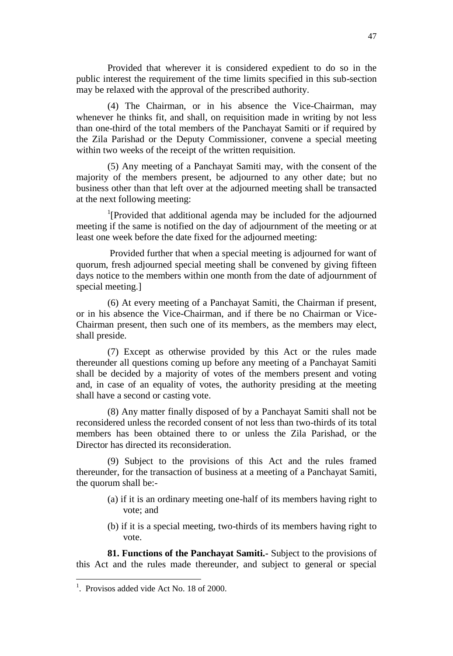Provided that wherever it is considered expedient to do so in the public interest the requirement of the time limits specified in this sub-section may be relaxed with the approval of the prescribed authority.

(4) The Chairman, or in his absence the Vice-Chairman, may whenever he thinks fit, and shall, on requisition made in writing by not less than one-third of the total members of the Panchayat Samiti or if required by the Zila Parishad or the Deputy Commissioner, convene a special meeting within two weeks of the receipt of the written requisition.

(5) Any meeting of a Panchayat Samiti may, with the consent of the majority of the members present, be adjourned to any other date; but no business other than that left over at the adjourned meeting shall be transacted at the next following meeting:

<sup>1</sup>[Provided that additional agenda may be included for the adjourned meeting if the same is notified on the day of adjournment of the meeting or at least one week before the date fixed for the adjourned meeting:

Provided further that when a special meeting is adjourned for want of quorum, fresh adjourned special meeting shall be convened by giving fifteen days notice to the members within one month from the date of adjournment of special meeting.]

(6) At every meeting of a Panchayat Samiti, the Chairman if present, or in his absence the Vice-Chairman, and if there be no Chairman or Vice-Chairman present, then such one of its members, as the members may elect, shall preside.

(7) Except as otherwise provided by this Act or the rules made thereunder all questions coming up before any meeting of a Panchayat Samiti shall be decided by a majority of votes of the members present and voting and, in case of an equality of votes, the authority presiding at the meeting shall have a second or casting vote.

(8) Any matter finally disposed of by a Panchayat Samiti shall not be reconsidered unless the recorded consent of not less than two-thirds of its total members has been obtained there to or unless the Zila Parishad, or the Director has directed its reconsideration.

(9) Subject to the provisions of this Act and the rules framed thereunder, for the transaction of business at a meeting of a Panchayat Samiti, the quorum shall be:-

- (a) if it is an ordinary meeting one-half of its members having right to vote; and
- (b) if it is a special meeting, two-thirds of its members having right to vote.

**81. Functions of the Panchayat Samiti.-** Subject to the provisions of this Act and the rules made thereunder, and subject to general or special

<sup>&</sup>lt;sup>1</sup>. Provisos added vide Act No. 18 of 2000.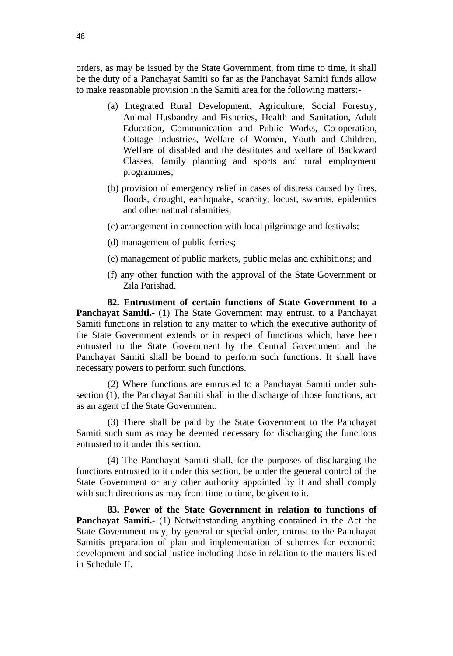orders, as may be issued by the State Government, from time to time, it shall be the duty of a Panchayat Samiti so far as the Panchayat Samiti funds allow to make reasonable provision in the Samiti area for the following matters:-

- (a) Integrated Rural Development, Agriculture, Social Forestry, Animal Husbandry and Fisheries, Health and Sanitation, Adult Education, Communication and Public Works, Co-operation, Cottage Industries, Welfare of Women, Youth and Children, Welfare of disabled and the destitutes and welfare of Backward Classes, family planning and sports and rural employment programmes;
- (b) provision of emergency relief in cases of distress caused by fires, floods, drought, earthquake, scarcity, locust, swarms, epidemics and other natural calamities;
- (c) arrangement in connection with local pilgrimage and festivals;
- (d) management of public ferries;
- (e) management of public markets, public melas and exhibitions; and
- (f) any other function with the approval of the State Government or Zila Parishad.

**82. Entrustment of certain functions of State Government to a Panchayat Samiti.-** (1) The State Government may entrust, to a Panchayat Samiti functions in relation to any matter to which the executive authority of the State Government extends or in respect of functions which, have been entrusted to the State Government by the Central Government and the Panchayat Samiti shall be bound to perform such functions. It shall have necessary powers to perform such functions.

(2) Where functions are entrusted to a Panchayat Samiti under subsection (1), the Panchayat Samiti shall in the discharge of those functions, act as an agent of the State Government.

(3) There shall be paid by the State Government to the Panchayat Samiti such sum as may be deemed necessary for discharging the functions entrusted to it under this section.

(4) The Panchayat Samiti shall, for the purposes of discharging the functions entrusted to it under this section, be under the general control of the State Government or any other authority appointed by it and shall comply with such directions as may from time to time, be given to it.

**83. Power of the State Government in relation to functions of Panchayat Samiti.-** (1) Notwithstanding anything contained in the Act the State Government may, by general or special order, entrust to the Panchayat Samitis preparation of plan and implementation of schemes for economic development and social justice including those in relation to the matters listed in Schedule-II.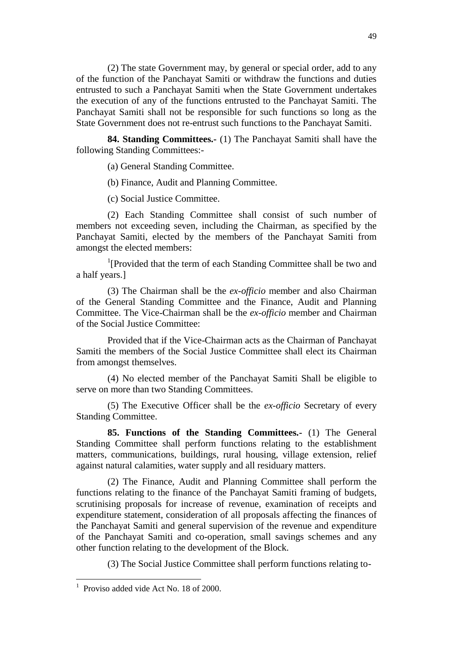(2) The state Government may, by general or special order, add to any of the function of the Panchayat Samiti or withdraw the functions and duties entrusted to such a Panchayat Samiti when the State Government undertakes the execution of any of the functions entrusted to the Panchayat Samiti. The Panchayat Samiti shall not be responsible for such functions so long as the State Government does not re-entrust such functions to the Panchayat Samiti.

**84. Standing Committees.-** (1) The Panchayat Samiti shall have the following Standing Committees:-

(a) General Standing Committee.

(b) Finance, Audit and Planning Committee.

(c) Social Justice Committee.

(2) Each Standing Committee shall consist of such number of members not exceeding seven, including the Chairman, as specified by the Panchayat Samiti, elected by the members of the Panchayat Samiti from amongst the elected members:

<sup>1</sup>[Provided that the term of each Standing Committee shall be two and a half years.]

(3) The Chairman shall be the *ex-officio* member and also Chairman of the General Standing Committee and the Finance, Audit and Planning Committee. The Vice-Chairman shall be the *ex-officio* member and Chairman of the Social Justice Committee:

Provided that if the Vice-Chairman acts as the Chairman of Panchayat Samiti the members of the Social Justice Committee shall elect its Chairman from amongst themselves.

(4) No elected member of the Panchayat Samiti Shall be eligible to serve on more than two Standing Committees.

(5) The Executive Officer shall be the *ex-officio* Secretary of every Standing Committee.

**85. Functions of the Standing Committees.-** (1) The General Standing Committee shall perform functions relating to the establishment matters, communications, buildings, rural housing, village extension, relief against natural calamities, water supply and all residuary matters.

(2) The Finance, Audit and Planning Committee shall perform the functions relating to the finance of the Panchayat Samiti framing of budgets, scrutinising proposals for increase of revenue, examination of receipts and expenditure statement, consideration of all proposals affecting the finances of the Panchayat Samiti and general supervision of the revenue and expenditure of the Panchayat Samiti and co-operation, small savings schemes and any other function relating to the development of the Block.

(3) The Social Justice Committee shall perform functions relating to-

<sup>&</sup>lt;sup>1</sup> Proviso added vide Act No. 18 of 2000.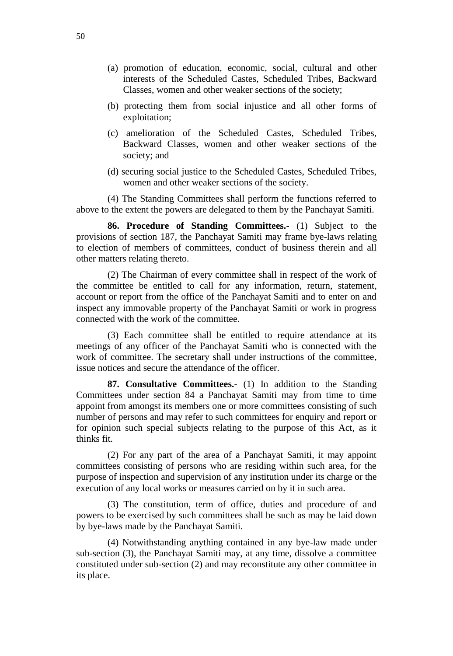- (a) promotion of education, economic, social, cultural and other interests of the Scheduled Castes, Scheduled Tribes, Backward Classes, women and other weaker sections of the society;
- (b) protecting them from social injustice and all other forms of exploitation;
- (c) amelioration of the Scheduled Castes, Scheduled Tribes, Backward Classes, women and other weaker sections of the society; and
- (d) securing social justice to the Scheduled Castes, Scheduled Tribes, women and other weaker sections of the society.

(4) The Standing Committees shall perform the functions referred to above to the extent the powers are delegated to them by the Panchayat Samiti.

**86. Procedure of Standing Committees.-** (1) Subject to the provisions of section 187, the Panchayat Samiti may frame bye-laws relating to election of members of committees, conduct of business therein and all other matters relating thereto.

(2) The Chairman of every committee shall in respect of the work of the committee be entitled to call for any information, return, statement, account or report from the office of the Panchayat Samiti and to enter on and inspect any immovable property of the Panchayat Samiti or work in progress connected with the work of the committee.

(3) Each committee shall be entitled to require attendance at its meetings of any officer of the Panchayat Samiti who is connected with the work of committee. The secretary shall under instructions of the committee, issue notices and secure the attendance of the officer.

**87. Consultative Committees.-** (1) In addition to the Standing Committees under section 84 a Panchayat Samiti may from time to time appoint from amongst its members one or more committees consisting of such number of persons and may refer to such committees for enquiry and report or for opinion such special subjects relating to the purpose of this Act, as it thinks fit.

(2) For any part of the area of a Panchayat Samiti, it may appoint committees consisting of persons who are residing within such area, for the purpose of inspection and supervision of any institution under its charge or the execution of any local works or measures carried on by it in such area.

(3) The constitution, term of office, duties and procedure of and powers to be exercised by such committees shall be such as may be laid down by bye-laws made by the Panchayat Samiti.

(4) Notwithstanding anything contained in any bye-law made under sub-section (3), the Panchayat Samiti may, at any time, dissolve a committee constituted under sub-section (2) and may reconstitute any other committee in its place.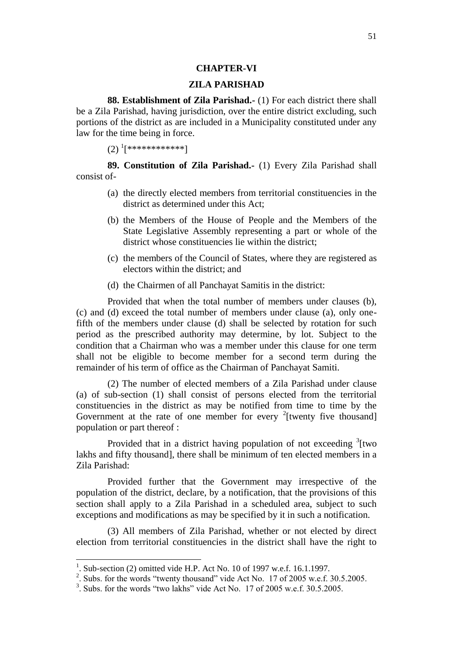### **CHAPTER-VI**

### **ZILA PARISHAD**

**88. Establishment of Zila Parishad.-** (1) For each district there shall be a Zila Parishad, having jurisdiction, over the entire district excluding, such portions of the district as are included in a Municipality constituted under any law for the time being in force.

 $(2)$   $^{1}[***************]$ 

**89. Constitution of Zila Parishad.-** (1) Every Zila Parishad shall consist of-

- (a) the directly elected members from territorial constituencies in the district as determined under this Act;
- (b) the Members of the House of People and the Members of the State Legislative Assembly representing a part or whole of the district whose constituencies lie within the district;
- (c) the members of the Council of States, where they are registered as electors within the district; and
- (d) the Chairmen of all Panchayat Samitis in the district:

Provided that when the total number of members under clauses (b), (c) and (d) exceed the total number of members under clause (a), only onefifth of the members under clause (d) shall be selected by rotation for such period as the prescribed authority may determine, by lot. Subject to the condition that a Chairman who was a member under this clause for one term shall not be eligible to become member for a second term during the remainder of his term of office as the Chairman of Panchayat Samiti.

(2) The number of elected members of a Zila Parishad under clause (a) of sub-section (1) shall consist of persons elected from the territorial constituencies in the district as may be notified from time to time by the Government at the rate of one member for every  $2$ [twenty five thousand] population or part thereof :

Provided that in a district having population of not exceeding  $\frac{3}{1}$  two lakhs and fifty thousand], there shall be minimum of ten elected members in a Zila Parishad:

Provided further that the Government may irrespective of the population of the district, declare, by a notification, that the provisions of this section shall apply to a Zila Parishad in a scheduled area, subject to such exceptions and modifications as may be specified by it in such a notification.

(3) All members of Zila Parishad, whether or not elected by direct election from territorial constituencies in the district shall have the right to

<sup>1</sup> . Sub-section (2) omitted vide H.P. Act No. 10 of 1997 w.e.f. 16.1.1997.

<sup>&</sup>lt;sup>2</sup>. Subs. for the words "twenty thousand" vide Act No. 17 of 2005 w.e.f. 30.5.2005.

 $3$ . Subs. for the words "two lakhs" vide Act No. 17 of 2005 w.e.f. 30.5.2005.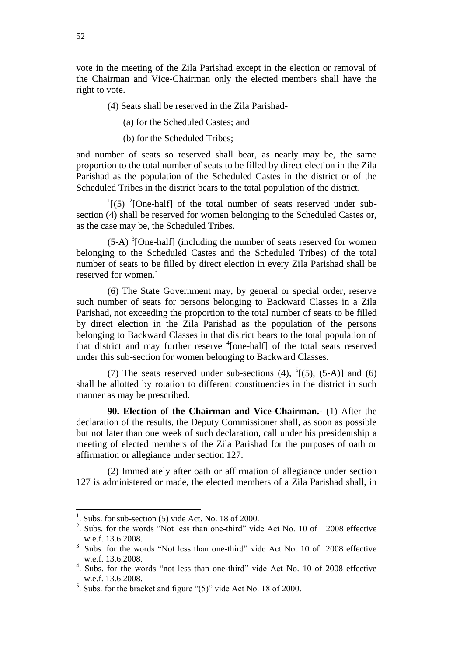vote in the meeting of the Zila Parishad except in the election or removal of the Chairman and Vice-Chairman only the elected members shall have the right to vote.

(4) Seats shall be reserved in the Zila Parishad-

(a) for the Scheduled Castes; and

(b) for the Scheduled Tribes;

and number of seats so reserved shall bear, as nearly may be, the same proportion to the total number of seats to be filled by direct election in the Zila Parishad as the population of the Scheduled Castes in the district or of the Scheduled Tribes in the district bears to the total population of the district.

 $\frac{1}{1}$ [(5)  $\frac{2}{1}$ [One-half] of the total number of seats reserved under subsection (4) shall be reserved for women belonging to the Scheduled Castes or, as the case may be, the Scheduled Tribes.

 $(5-A)^3$ [One-half] (including the number of seats reserved for women belonging to the Scheduled Castes and the Scheduled Tribes) of the total number of seats to be filled by direct election in every Zila Parishad shall be reserved for women.]

(6) The State Government may, by general or special order, reserve such number of seats for persons belonging to Backward Classes in a Zila Parishad, not exceeding the proportion to the total number of seats to be filled by direct election in the Zila Parishad as the population of the persons belonging to Backward Classes in that district bears to the total population of that district and may further reserve <sup>4</sup>[one-half] of the total seats reserved under this sub-section for women belonging to Backward Classes.

(7) The seats reserved under sub-sections (4),  $<sup>5</sup>[(5), (5-A)]$  and (6)</sup> shall be allotted by rotation to different constituencies in the district in such manner as may be prescribed.

**90. Election of the Chairman and Vice-Chairman.-** (1) After the declaration of the results, the Deputy Commissioner shall, as soon as possible but not later than one week of such declaration, call under his presidentship a meeting of elected members of the Zila Parishad for the purposes of oath or affirmation or allegiance under section 127.

(2) Immediately after oath or affirmation of allegiance under section 127 is administered or made, the elected members of a Zila Parishad shall, in

 $\overline{a}$ 

<sup>&</sup>lt;sup>1</sup>. Subs. for sub-section  $(5)$  vide Act. No. 18 of 2000.

<sup>&</sup>lt;sup>2</sup>. Subs. for the words "Not less than one-third" vide Act No. 10 of 2008 effective w.e.f. 13.6.2008.

<sup>&</sup>lt;sup>3</sup>. Subs. for the words "Not less than one-third" vide Act No. 10 of 2008 effective w.e.f. 13.6.2008.

<sup>4</sup> . Subs. for the words "not less than one-third" vide Act No. 10 of 2008 effective w.e.f. 13.6.2008.

 $<sup>5</sup>$ . Subs. for the bracket and figure "(5)" vide Act No. 18 of 2000.</sup>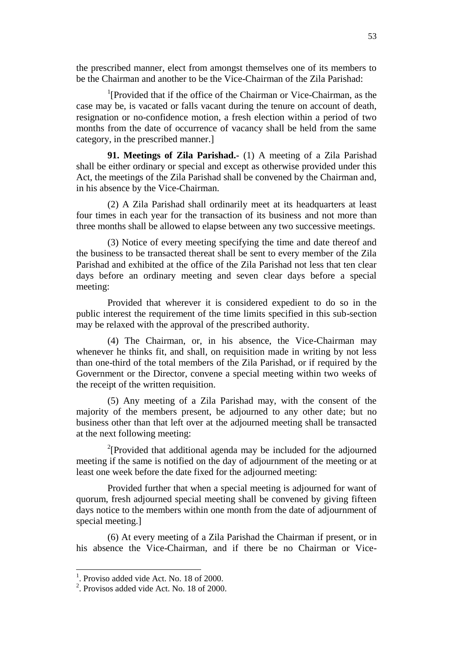the prescribed manner, elect from amongst themselves one of its members to be the Chairman and another to be the Vice-Chairman of the Zila Parishad:

<sup>1</sup>[Provided that if the office of the Chairman or Vice-Chairman, as the case may be, is vacated or falls vacant during the tenure on account of death, resignation or no-confidence motion, a fresh election within a period of two months from the date of occurrence of vacancy shall be held from the same category, in the prescribed manner.]

**91. Meetings of Zila Parishad.-** (1) A meeting of a Zila Parishad shall be either ordinary or special and except as otherwise provided under this Act, the meetings of the Zila Parishad shall be convened by the Chairman and, in his absence by the Vice-Chairman.

(2) A Zila Parishad shall ordinarily meet at its headquarters at least four times in each year for the transaction of its business and not more than three months shall be allowed to elapse between any two successive meetings.

(3) Notice of every meeting specifying the time and date thereof and the business to be transacted thereat shall be sent to every member of the Zila Parishad and exhibited at the office of the Zila Parishad not less that ten clear days before an ordinary meeting and seven clear days before a special meeting:

Provided that wherever it is considered expedient to do so in the public interest the requirement of the time limits specified in this sub-section may be relaxed with the approval of the prescribed authority.

(4) The Chairman, or, in his absence, the Vice-Chairman may whenever he thinks fit, and shall, on requisition made in writing by not less than one-third of the total members of the Zila Parishad, or if required by the Government or the Director, convene a special meeting within two weeks of the receipt of the written requisition.

(5) Any meeting of a Zila Parishad may, with the consent of the majority of the members present, be adjourned to any other date; but no business other than that left over at the adjourned meeting shall be transacted at the next following meeting:

 $2$ [Provided that additional agenda may be included for the adjourned meeting if the same is notified on the day of adjournment of the meeting or at least one week before the date fixed for the adjourned meeting:

Provided further that when a special meeting is adjourned for want of quorum, fresh adjourned special meeting shall be convened by giving fifteen days notice to the members within one month from the date of adjournment of special meeting.]

(6) At every meeting of a Zila Parishad the Chairman if present, or in his absence the Vice-Chairman, and if there be no Chairman or Vice-

<sup>&</sup>lt;sup>1</sup>. Proviso added vide Act. No. 18 of 2000.

 $2$ . Provisos added vide Act. No. 18 of 2000.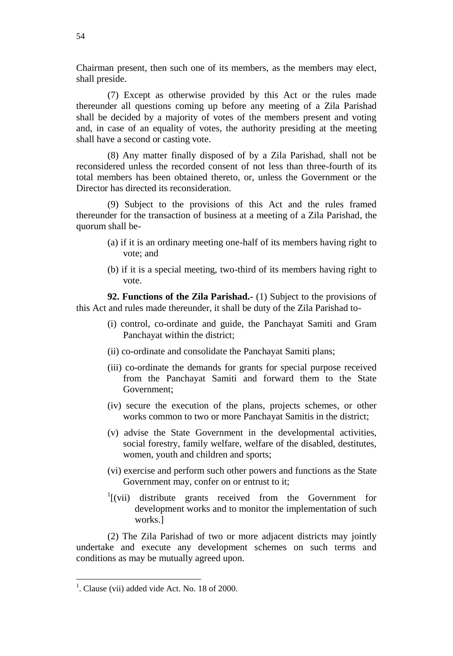Chairman present, then such one of its members, as the members may elect, shall preside.

(7) Except as otherwise provided by this Act or the rules made thereunder all questions coming up before any meeting of a Zila Parishad shall be decided by a majority of votes of the members present and voting and, in case of an equality of votes, the authority presiding at the meeting shall have a second or casting vote.

(8) Any matter finally disposed of by a Zila Parishad, shall not be reconsidered unless the recorded consent of not less than three-fourth of its total members has been obtained thereto, or, unless the Government or the Director has directed its reconsideration.

(9) Subject to the provisions of this Act and the rules framed thereunder for the transaction of business at a meeting of a Zila Parishad, the quorum shall be-

- (a) if it is an ordinary meeting one-half of its members having right to vote; and
- (b) if it is a special meeting, two-third of its members having right to vote.

**92. Functions of the Zila Parishad.-** (1) Subject to the provisions of this Act and rules made thereunder, it shall be duty of the Zila Parishad to-

- (i) control, co-ordinate and guide, the Panchayat Samiti and Gram Panchayat within the district;
- (ii) co-ordinate and consolidate the Panchayat Samiti plans;
- (iii) co-ordinate the demands for grants for special purpose received from the Panchayat Samiti and forward them to the State Government;
- (iv) secure the execution of the plans, projects schemes, or other works common to two or more Panchayat Samitis in the district;
- (v) advise the State Government in the developmental activities, social forestry, family welfare, welfare of the disabled, destitutes, women, youth and children and sports;
- (vi) exercise and perform such other powers and functions as the State Government may, confer on or entrust to it;
- $\frac{1}{1}$ [(vii) distribute grants received from the Government for development works and to monitor the implementation of such works.]

(2) The Zila Parishad of two or more adjacent districts may jointly undertake and execute any development schemes on such terms and conditions as may be mutually agreed upon.

 $<sup>1</sup>$ . Clause (vii) added vide Act. No. 18 of 2000.</sup>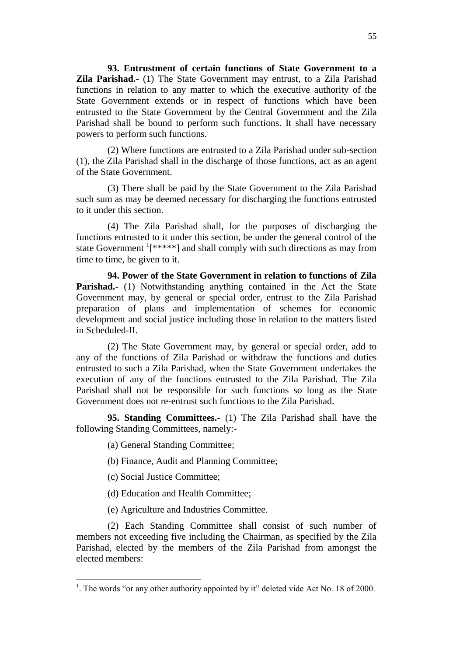**93. Entrustment of certain functions of State Government to a Zila Parishad.-** (1) The State Government may entrust, to a Zila Parishad functions in relation to any matter to which the executive authority of the State Government extends or in respect of functions which have been entrusted to the State Government by the Central Government and the Zila Parishad shall be bound to perform such functions. It shall have necessary powers to perform such functions.

(2) Where functions are entrusted to a Zila Parishad under sub-section (1), the Zila Parishad shall in the discharge of those functions, act as an agent of the State Government.

(3) There shall be paid by the State Government to the Zila Parishad such sum as may be deemed necessary for discharging the functions entrusted to it under this section.

(4) The Zila Parishad shall, for the purposes of discharging the functions entrusted to it under this section, be under the general control of the state Government  $\frac{1}{x^{***}}$ ] and shall comply with such directions as may from time to time, be given to it.

**94. Power of the State Government in relation to functions of Zila Parishad.**- (1) Notwithstanding anything contained in the Act the State Government may, by general or special order, entrust to the Zila Parishad preparation of plans and implementation of schemes for economic development and social justice including those in relation to the matters listed in Scheduled-II.

(2) The State Government may, by general or special order, add to any of the functions of Zila Parishad or withdraw the functions and duties entrusted to such a Zila Parishad, when the State Government undertakes the execution of any of the functions entrusted to the Zila Parishad. The Zila Parishad shall not be responsible for such functions so long as the State Government does not re-entrust such functions to the Zila Parishad.

**95. Standing Committees.-** (1) The Zila Parishad shall have the following Standing Committees, namely:-

- (a) General Standing Committee;
- (b) Finance, Audit and Planning Committee;
- (c) Social Justice Committee;

l

- (d) Education and Health Committee;
- (e) Agriculture and Industries Committee.

(2) Each Standing Committee shall consist of such number of members not exceeding five including the Chairman, as specified by the Zila Parishad, elected by the members of the Zila Parishad from amongst the elected members:

<sup>&</sup>lt;sup>1</sup>. The words "or any other authority appointed by it" deleted vide Act No. 18 of 2000.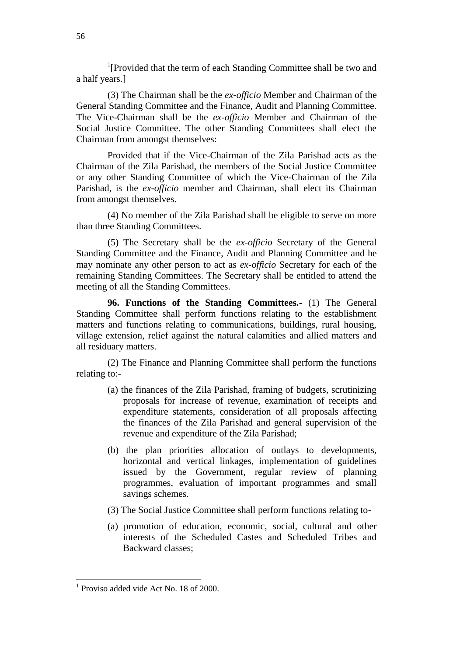<sup>1</sup>[Provided that the term of each Standing Committee shall be two and a half years.]

(3) The Chairman shall be the *ex-officio* Member and Chairman of the General Standing Committee and the Finance, Audit and Planning Committee. The Vice-Chairman shall be the *ex-officio* Member and Chairman of the Social Justice Committee. The other Standing Committees shall elect the Chairman from amongst themselves:

Provided that if the Vice-Chairman of the Zila Parishad acts as the Chairman of the Zila Parishad, the members of the Social Justice Committee or any other Standing Committee of which the Vice-Chairman of the Zila Parishad, is the *ex-officio* member and Chairman, shall elect its Chairman from amongst themselves.

(4) No member of the Zila Parishad shall be eligible to serve on more than three Standing Committees.

(5) The Secretary shall be the *ex-officio* Secretary of the General Standing Committee and the Finance, Audit and Planning Committee and he may nominate any other person to act as *ex-officio* Secretary for each of the remaining Standing Committees. The Secretary shall be entitled to attend the meeting of all the Standing Committees.

**96. Functions of the Standing Committees.-** (1) The General Standing Committee shall perform functions relating to the establishment matters and functions relating to communications, buildings, rural housing, village extension, relief against the natural calamities and allied matters and all residuary matters.

(2) The Finance and Planning Committee shall perform the functions relating to:-

- (a) the finances of the Zila Parishad, framing of budgets, scrutinizing proposals for increase of revenue, examination of receipts and expenditure statements, consideration of all proposals affecting the finances of the Zila Parishad and general supervision of the revenue and expenditure of the Zila Parishad;
- (b) the plan priorities allocation of outlays to developments, horizontal and vertical linkages, implementation of guidelines issued by the Government, regular review of planning programmes, evaluation of important programmes and small savings schemes.
- (3) The Social Justice Committee shall perform functions relating to-
- (a) promotion of education, economic, social, cultural and other interests of the Scheduled Castes and Scheduled Tribes and Backward classes;

<sup>1</sup> Proviso added vide Act No. 18 of 2000.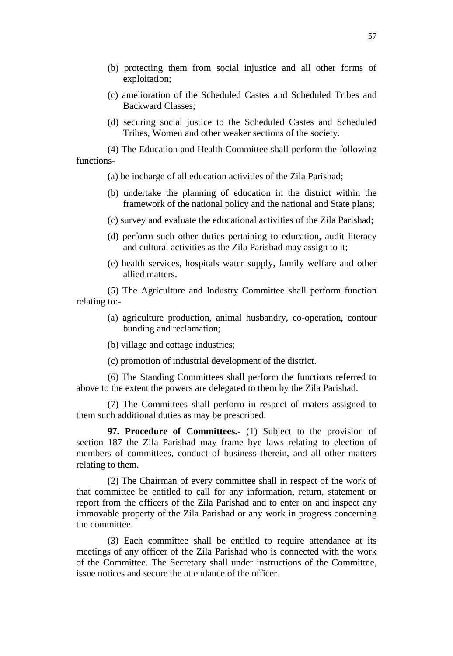- (b) protecting them from social injustice and all other forms of exploitation;
- (c) amelioration of the Scheduled Castes and Scheduled Tribes and Backward Classes;
- (d) securing social justice to the Scheduled Castes and Scheduled Tribes, Women and other weaker sections of the society.

(4) The Education and Health Committee shall perform the following functions-

(a) be incharge of all education activities of the Zila Parishad;

- (b) undertake the planning of education in the district within the framework of the national policy and the national and State plans;
- (c) survey and evaluate the educational activities of the Zila Parishad;
- (d) perform such other duties pertaining to education, audit literacy and cultural activities as the Zila Parishad may assign to it;
- (e) health services, hospitals water supply, family welfare and other allied matters.

(5) The Agriculture and Industry Committee shall perform function relating to:-

- (a) agriculture production, animal husbandry, co-operation, contour bunding and reclamation;
- (b) village and cottage industries;

(c) promotion of industrial development of the district.

(6) The Standing Committees shall perform the functions referred to above to the extent the powers are delegated to them by the Zila Parishad.

(7) The Committees shall perform in respect of maters assigned to them such additional duties as may be prescribed.

**97. Procedure of Committees.-** (1) Subject to the provision of section 187 the Zila Parishad may frame bye laws relating to election of members of committees, conduct of business therein, and all other matters relating to them.

(2) The Chairman of every committee shall in respect of the work of that committee be entitled to call for any information, return, statement or report from the officers of the Zila Parishad and to enter on and inspect any immovable property of the Zila Parishad or any work in progress concerning the committee.

(3) Each committee shall be entitled to require attendance at its meetings of any officer of the Zila Parishad who is connected with the work of the Committee. The Secretary shall under instructions of the Committee, issue notices and secure the attendance of the officer.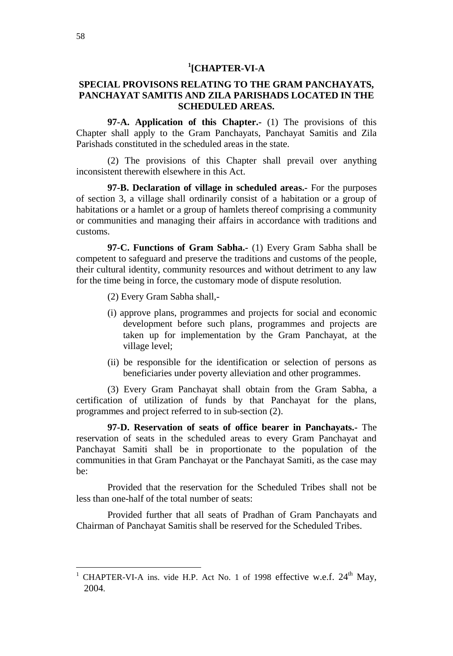# **1 [CHAPTER-VI-A**

# **SPECIAL PROVISONS RELATING TO THE GRAM PANCHAYATS, PANCHAYAT SAMITIS AND ZILA PARISHADS LOCATED IN THE SCHEDULED AREAS.**

**97-A. Application of this Chapter.-** (1) The provisions of this Chapter shall apply to the Gram Panchayats, Panchayat Samitis and Zila Parishads constituted in the scheduled areas in the state.

(2) The provisions of this Chapter shall prevail over anything inconsistent therewith elsewhere in this Act.

**97-B. Declaration of village in scheduled areas.-** For the purposes of section 3, a village shall ordinarily consist of a habitation or a group of habitations or a hamlet or a group of hamlets thereof comprising a community or communities and managing their affairs in accordance with traditions and customs.

**97-C. Functions of Gram Sabha.-** (1) Every Gram Sabha shall be competent to safeguard and preserve the traditions and customs of the people, their cultural identity, community resources and without detriment to any law for the time being in force, the customary mode of dispute resolution.

(2) Every Gram Sabha shall,-

- (i) approve plans, programmes and projects for social and economic development before such plans, programmes and projects are taken up for implementation by the Gram Panchayat, at the village level;
- (ii) be responsible for the identification or selection of persons as beneficiaries under poverty alleviation and other programmes.

(3) Every Gram Panchayat shall obtain from the Gram Sabha, a certification of utilization of funds by that Panchayat for the plans, programmes and project referred to in sub-section (2).

**97-D. Reservation of seats of office bearer in Panchayats.-** The reservation of seats in the scheduled areas to every Gram Panchayat and Panchayat Samiti shall be in proportionate to the population of the communities in that Gram Panchayat or the Panchayat Samiti, as the case may be:

Provided that the reservation for the Scheduled Tribes shall not be less than one-half of the total number of seats:

Provided further that all seats of Pradhan of Gram Panchayats and Chairman of Panchayat Samitis shall be reserved for the Scheduled Tribes.

 $\overline{\phantom{a}}$ 

CHAPTER-VI-A ins. vide H.P. Act No. 1 of 1998 effective w.e.f.  $24<sup>th</sup>$  May, 2004.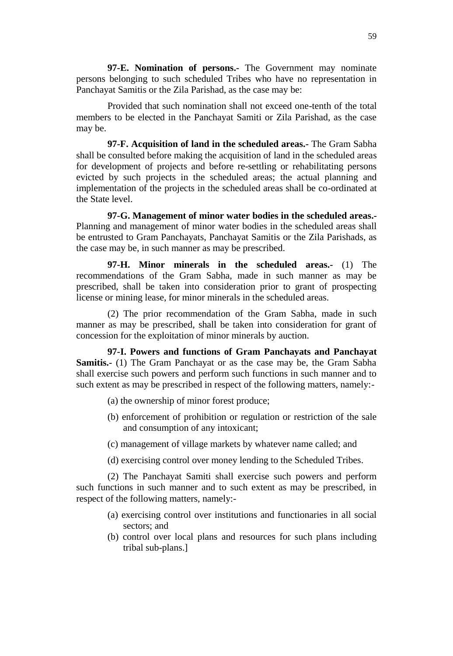**97-E. Nomination of persons.-** The Government may nominate persons belonging to such scheduled Tribes who have no representation in Panchayat Samitis or the Zila Parishad, as the case may be:

Provided that such nomination shall not exceed one-tenth of the total members to be elected in the Panchayat Samiti or Zila Parishad, as the case may be.

**97-F. Acquisition of land in the scheduled areas.-** The Gram Sabha shall be consulted before making the acquisition of land in the scheduled areas for development of projects and before re-settling or rehabilitating persons evicted by such projects in the scheduled areas; the actual planning and implementation of the projects in the scheduled areas shall be co-ordinated at the State level.

**97-G. Management of minor water bodies in the scheduled areas.-** Planning and management of minor water bodies in the scheduled areas shall be entrusted to Gram Panchayats, Panchayat Samitis or the Zila Parishads, as the case may be, in such manner as may be prescribed.

**97-H. Minor minerals in the scheduled areas.-** (1) The recommendations of the Gram Sabha, made in such manner as may be prescribed, shall be taken into consideration prior to grant of prospecting license or mining lease, for minor minerals in the scheduled areas.

(2) The prior recommendation of the Gram Sabha, made in such manner as may be prescribed, shall be taken into consideration for grant of concession for the exploitation of minor minerals by auction.

**97-I. Powers and functions of Gram Panchayats and Panchayat Samitis.-** (1) The Gram Panchayat or as the case may be, the Gram Sabha shall exercise such powers and perform such functions in such manner and to such extent as may be prescribed in respect of the following matters, namely:-

- (a) the ownership of minor forest produce;
- (b) enforcement of prohibition or regulation or restriction of the sale and consumption of any intoxicant;
- (c) management of village markets by whatever name called; and
- (d) exercising control over money lending to the Scheduled Tribes.

(2) The Panchayat Samiti shall exercise such powers and perform such functions in such manner and to such extent as may be prescribed, in respect of the following matters, namely:-

- (a) exercising control over institutions and functionaries in all social sectors; and
- (b) control over local plans and resources for such plans including tribal sub-plans.]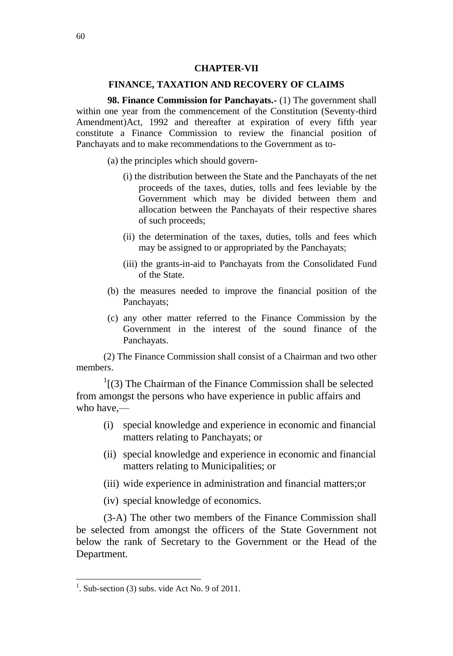### **CHAPTER-VII**

### **FINANCE, TAXATION AND RECOVERY OF CLAIMS**

**98. Finance Commission for Panchayats.-** (1) The government shall within one year from the commencement of the Constitution (Seventy-third Amendment)Act, 1992 and thereafter at expiration of every fifth year constitute a Finance Commission to review the financial position of Panchayats and to make recommendations to the Government as to-

(a) the principles which should govern-

- (i) the distribution between the State and the Panchayats of the net proceeds of the taxes, duties, tolls and fees leviable by the Government which may be divided between them and allocation between the Panchayats of their respective shares of such proceeds;
- (ii) the determination of the taxes, duties, tolls and fees which may be assigned to or appropriated by the Panchayats;
- (iii) the grants-in-aid to Panchayats from the Consolidated Fund of the State.
- (b) the measures needed to improve the financial position of the Panchayats;
- (c) any other matter referred to the Finance Commission by the Government in the interest of the sound finance of the Panchayats.

(2) The Finance Commission shall consist of a Chairman and two other members.

 $\frac{1}{1}$ [(3) The Chairman of the Finance Commission shall be selected from amongst the persons who have experience in public affairs and who have,—

- (i) special knowledge and experience in economic and financial matters relating to Panchayats; or
- (ii) special knowledge and experience in economic and financial matters relating to Municipalities; or
- (iii) wide experience in administration and financial matters;or

(iv) special knowledge of economics.

(3-A) The other two members of the Finance Commission shall be selected from amongst the officers of the State Government not below the rank of Secretary to the Government or the Head of the Department.

<sup>&</sup>lt;sup>1</sup>. Sub-section (3) subs. vide Act No. 9 of 2011.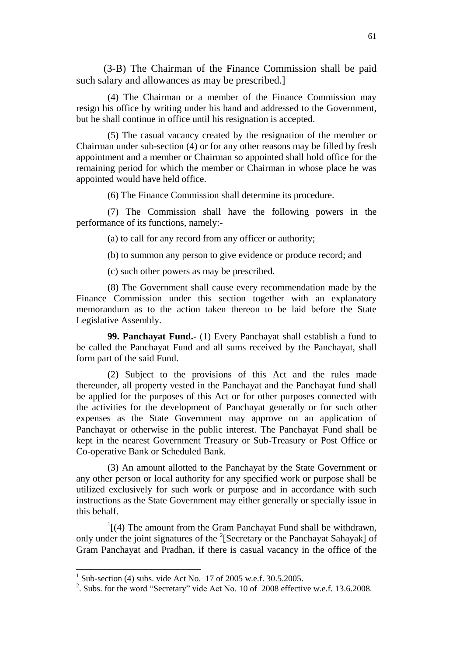(3-B) The Chairman of the Finance Commission shall be paid such salary and allowances as may be prescribed.]

(4) The Chairman or a member of the Finance Commission may resign his office by writing under his hand and addressed to the Government, but he shall continue in office until his resignation is accepted.

(5) The casual vacancy created by the resignation of the member or Chairman under sub-section (4) or for any other reasons may be filled by fresh appointment and a member or Chairman so appointed shall hold office for the remaining period for which the member or Chairman in whose place he was appointed would have held office.

(6) The Finance Commission shall determine its procedure.

(7) The Commission shall have the following powers in the performance of its functions, namely:-

(a) to call for any record from any officer or authority;

(b) to summon any person to give evidence or produce record; and

(c) such other powers as may be prescribed.

(8) The Government shall cause every recommendation made by the Finance Commission under this section together with an explanatory memorandum as to the action taken thereon to be laid before the State Legislative Assembly.

**99. Panchayat Fund.-** (1) Every Panchayat shall establish a fund to be called the Panchayat Fund and all sums received by the Panchayat, shall form part of the said Fund.

(2) Subject to the provisions of this Act and the rules made thereunder, all property vested in the Panchayat and the Panchayat fund shall be applied for the purposes of this Act or for other purposes connected with the activities for the development of Panchayat generally or for such other expenses as the State Government may approve on an application of Panchayat or otherwise in the public interest. The Panchayat Fund shall be kept in the nearest Government Treasury or Sub-Treasury or Post Office or Co-operative Bank or Scheduled Bank.

(3) An amount allotted to the Panchayat by the State Government or any other person or local authority for any specified work or purpose shall be utilized exclusively for such work or purpose and in accordance with such instructions as the State Government may either generally or specially issue in this behalf.

 $\frac{1}{1}$ [(4) The amount from the Gram Panchayat Fund shall be withdrawn, only under the joint signatures of the  $2$ [Secretary or the Panchayat Sahayak] of Gram Panchayat and Pradhan, if there is casual vacancy in the office of the

 $\overline{a}$ 

<sup>1</sup> Sub-section (4) subs. vide Act No. 17 of 2005 w.e.f. 30.5.2005.

<sup>&</sup>lt;sup>2</sup>. Subs. for the word "Secretary" vide Act No. 10 of 2008 effective w.e.f. 13.6.2008.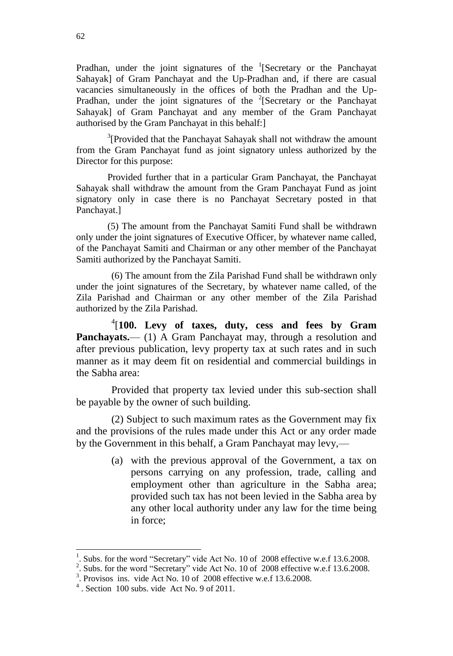Pradhan, under the joint signatures of the  $1$ [Secretary or the Panchayat Sahayak] of Gram Panchayat and the Up-Pradhan and, if there are casual vacancies simultaneously in the offices of both the Pradhan and the Up-Pradhan, under the joint signatures of the  $2$ [Secretary or the Panchayat Sahayak] of Gram Panchayat and any member of the Gram Panchayat authorised by the Gram Panchayat in this behalf:]

 $3$ [Provided that the Panchayat Sahayak shall not withdraw the amount from the Gram Panchayat fund as joint signatory unless authorized by the Director for this purpose:

Provided further that in a particular Gram Panchayat, the Panchayat Sahayak shall withdraw the amount from the Gram Panchayat Fund as joint signatory only in case there is no Panchayat Secretary posted in that Panchayat.]

(5) The amount from the Panchayat Samiti Fund shall be withdrawn only under the joint signatures of Executive Officer, by whatever name called, of the Panchayat Samiti and Chairman or any other member of the Panchayat Samiti authorized by the Panchayat Samiti.

(6) The amount from the Zila Parishad Fund shall be withdrawn only under the joint signatures of the Secretary, by whatever name called, of the Zila Parishad and Chairman or any other member of the Zila Parishad authorized by the Zila Parishad.

4 [**100. Levy of taxes, duty, cess and fees by Gram Panchayats.**— (1) A Gram Panchayat may, through a resolution and after previous publication, levy property tax at such rates and in such manner as it may deem fit on residential and commercial buildings in the Sabha area:

Provided that property tax levied under this sub-section shall be payable by the owner of such building.

(2) Subject to such maximum rates as the Government may fix and the provisions of the rules made under this Act or any order made by the Government in this behalf, a Gram Panchayat may levy,—

> (a) with the previous approval of the Government, a tax on persons carrying on any profession, trade, calling and employment other than agriculture in the Sabha area; provided such tax has not been levied in the Sabha area by any other local authority under any law for the time being in force;

 $\overline{\phantom{a}}$ 

<sup>1</sup> . Subs. for the word "Secretary" vide Act No. 10 of 2008 effective w.e.f 13.6.2008.

<sup>&</sup>lt;sup>2</sup>. Subs. for the word "Secretary" vide Act No. 10 of 2008 effective w.e.f 13.6.2008.

<sup>3</sup> . Provisos ins. vide Act No. 10 of 2008 effective w.e.f 13.6.2008.

 $4$ . Section 100 subs. vide Act No. 9 of 2011.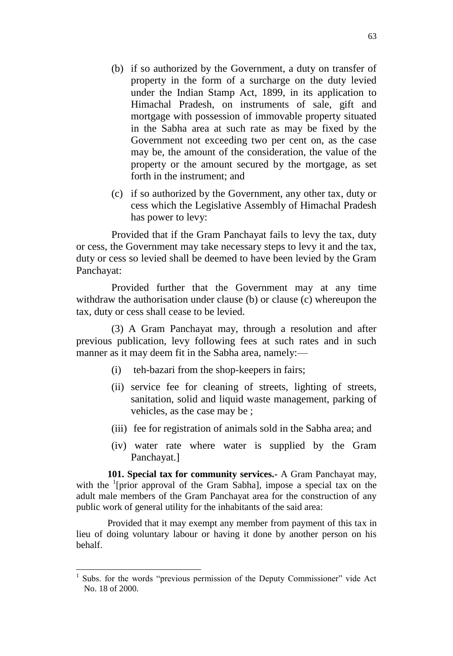- (b) if so authorized by the Government, a duty on transfer of property in the form of a surcharge on the duty levied under the Indian Stamp Act, 1899, in its application to Himachal Pradesh, on instruments of sale, gift and mortgage with possession of immovable property situated in the Sabha area at such rate as may be fixed by the Government not exceeding two per cent on, as the case may be, the amount of the consideration, the value of the property or the amount secured by the mortgage, as set forth in the instrument; and
- (c) if so authorized by the Government, any other tax, duty or cess which the Legislative Assembly of Himachal Pradesh has power to levy:

Provided that if the Gram Panchayat fails to levy the tax, duty or cess, the Government may take necessary steps to levy it and the tax, duty or cess so levied shall be deemed to have been levied by the Gram Panchayat:

Provided further that the Government may at any time withdraw the authorisation under clause (b) or clause (c) whereupon the tax, duty or cess shall cease to be levied.

(3) A Gram Panchayat may, through a resolution and after previous publication, levy following fees at such rates and in such manner as it may deem fit in the Sabha area, namely:—

- (i) teh-bazari from the shop-keepers in fairs;
- (ii) service fee for cleaning of streets, lighting of streets, sanitation, solid and liquid waste management, parking of vehicles, as the case may be ;
- (iii) fee for registration of animals sold in the Sabha area; and
- (iv) water rate where water is supplied by the Gram Panchayat.]

**101. Special tax for community services.-** A Gram Panchayat may, with the <sup>1</sup>[prior approval of the Gram Sabha], impose a special tax on the adult male members of the Gram Panchayat area for the construction of any public work of general utility for the inhabitants of the said area:

Provided that it may exempt any member from payment of this tax in lieu of doing voluntary labour or having it done by another person on his behalf.

 $\overline{a}$ 

<sup>1</sup> Subs. for the words "previous permission of the Deputy Commissioner" vide Act No. 18 of 2000.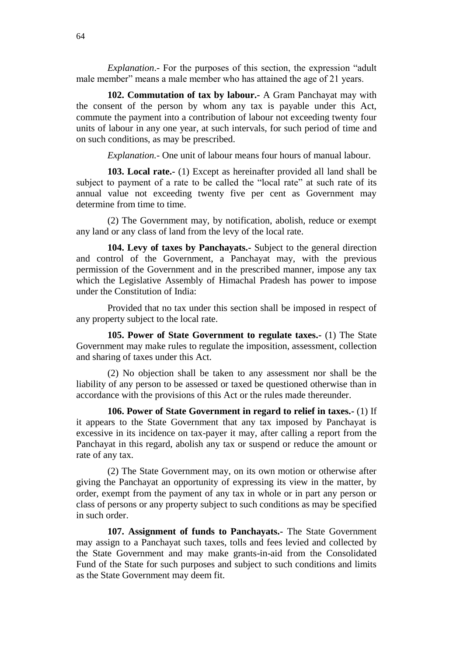*Explanation*.- For the purposes of this section, the expression "adult male member" means a male member who has attained the age of 21 years.

**102. Commutation of tax by labour.-** A Gram Panchayat may with the consent of the person by whom any tax is payable under this Act, commute the payment into a contribution of labour not exceeding twenty four units of labour in any one year, at such intervals, for such period of time and on such conditions, as may be prescribed.

*Explanation.-* One unit of labour means four hours of manual labour.

**103. Local rate.-** (1) Except as hereinafter provided all land shall be subject to payment of a rate to be called the "local rate" at such rate of its annual value not exceeding twenty five per cent as Government may determine from time to time.

(2) The Government may, by notification, abolish, reduce or exempt any land or any class of land from the levy of the local rate.

**104. Levy of taxes by Panchayats.-** Subject to the general direction and control of the Government, a Panchayat may, with the previous permission of the Government and in the prescribed manner, impose any tax which the Legislative Assembly of Himachal Pradesh has power to impose under the Constitution of India:

Provided that no tax under this section shall be imposed in respect of any property subject to the local rate.

**105. Power of State Government to regulate taxes.-** (1) The State Government may make rules to regulate the imposition, assessment, collection and sharing of taxes under this Act.

(2) No objection shall be taken to any assessment nor shall be the liability of any person to be assessed or taxed be questioned otherwise than in accordance with the provisions of this Act or the rules made thereunder.

**106. Power of State Government in regard to relief in taxes.-** (1) If it appears to the State Government that any tax imposed by Panchayat is excessive in its incidence on tax-payer it may, after calling a report from the Panchayat in this regard, abolish any tax or suspend or reduce the amount or rate of any tax.

(2) The State Government may, on its own motion or otherwise after giving the Panchayat an opportunity of expressing its view in the matter, by order, exempt from the payment of any tax in whole or in part any person or class of persons or any property subject to such conditions as may be specified in such order.

**107. Assignment of funds to Panchayats.-** The State Government may assign to a Panchayat such taxes, tolls and fees levied and collected by the State Government and may make grants-in-aid from the Consolidated Fund of the State for such purposes and subject to such conditions and limits as the State Government may deem fit.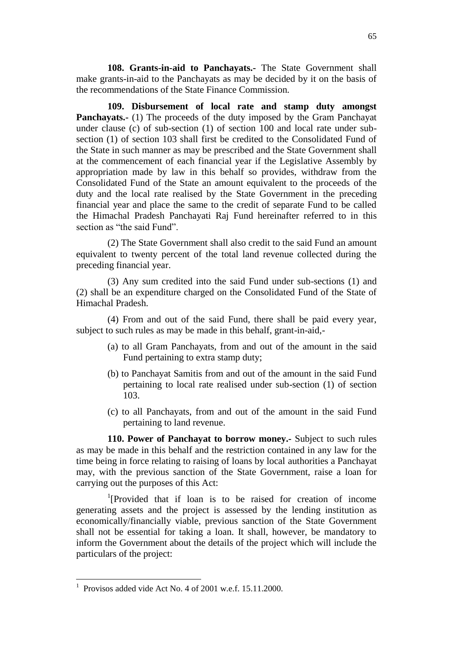**108. Grants-in-aid to Panchayats.-** The State Government shall make grants-in-aid to the Panchayats as may be decided by it on the basis of the recommendations of the State Finance Commission.

**109. Disbursement of local rate and stamp duty amongst Panchayats.**- (1) The proceeds of the duty imposed by the Gram Panchayat under clause (c) of sub-section (1) of section 100 and local rate under subsection (1) of section 103 shall first be credited to the Consolidated Fund of the State in such manner as may be prescribed and the State Government shall at the commencement of each financial year if the Legislative Assembly by appropriation made by law in this behalf so provides, withdraw from the Consolidated Fund of the State an amount equivalent to the proceeds of the duty and the local rate realised by the State Government in the preceding financial year and place the same to the credit of separate Fund to be called the Himachal Pradesh Panchayati Raj Fund hereinafter referred to in this section as "the said Fund".

(2) The State Government shall also credit to the said Fund an amount equivalent to twenty percent of the total land revenue collected during the preceding financial year.

(3) Any sum credited into the said Fund under sub-sections (1) and (2) shall be an expenditure charged on the Consolidated Fund of the State of Himachal Pradesh.

(4) From and out of the said Fund, there shall be paid every year, subject to such rules as may be made in this behalf, grant-in-aid,-

- (a) to all Gram Panchayats, from and out of the amount in the said Fund pertaining to extra stamp duty;
- (b) to Panchayat Samitis from and out of the amount in the said Fund pertaining to local rate realised under sub-section (1) of section 103.
- (c) to all Panchayats, from and out of the amount in the said Fund pertaining to land revenue.

**110. Power of Panchayat to borrow money.-** Subject to such rules as may be made in this behalf and the restriction contained in any law for the time being in force relating to raising of loans by local authorities a Panchayat may, with the previous sanction of the State Government, raise a loan for carrying out the purposes of this Act:

1 [Provided that if loan is to be raised for creation of income generating assets and the project is assessed by the lending institution as economically/financially viable, previous sanction of the State Government shall not be essential for taking a loan. It shall, however, be mandatory to inform the Government about the details of the project which will include the particulars of the project:

<sup>&</sup>lt;sup>1</sup> Provisos added vide Act No. 4 of 2001 w.e.f. 15.11.2000.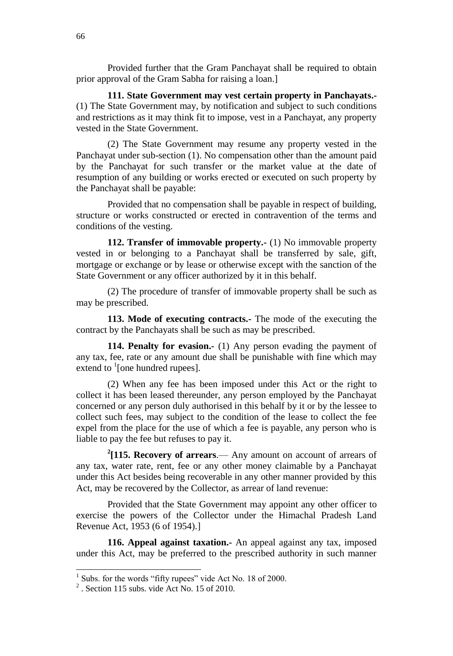Provided further that the Gram Panchayat shall be required to obtain prior approval of the Gram Sabha for raising a loan.]

**111. State Government may vest certain property in Panchayats.-** (1) The State Government may, by notification and subject to such conditions and restrictions as it may think fit to impose, vest in a Panchayat, any property vested in the State Government.

(2) The State Government may resume any property vested in the Panchayat under sub-section (1). No compensation other than the amount paid by the Panchayat for such transfer or the market value at the date of resumption of any building or works erected or executed on such property by the Panchayat shall be payable:

Provided that no compensation shall be payable in respect of building, structure or works constructed or erected in contravention of the terms and conditions of the vesting.

**112. Transfer of immovable property.-** (1) No immovable property vested in or belonging to a Panchayat shall be transferred by sale, gift, mortgage or exchange or by lease or otherwise except with the sanction of the State Government or any officer authorized by it in this behalf.

(2) The procedure of transfer of immovable property shall be such as may be prescribed.

**113. Mode of executing contracts.-** The mode of the executing the contract by the Panchayats shall be such as may be prescribed.

**114. Penalty for evasion.-** (1) Any person evading the payment of any tax, fee, rate or any amount due shall be punishable with fine which may extend to  $\frac{1}{2}$  [one hundred rupees].

(2) When any fee has been imposed under this Act or the right to collect it has been leased thereunder, any person employed by the Panchayat concerned or any person duly authorised in this behalf by it or by the lessee to collect such fees, may subject to the condition of the lease to collect the fee expel from the place for the use of which a fee is payable, any person who is liable to pay the fee but refuses to pay it.

**2 [115. Recovery of arrears**.— Any amount on account of arrears of any tax, water rate, rent, fee or any other money claimable by a Panchayat under this Act besides being recoverable in any other manner provided by this Act, may be recovered by the Collector, as arrear of land revenue:

Provided that the State Government may appoint any other officer to exercise the powers of the Collector under the Himachal Pradesh Land Revenue Act, 1953 (6 of 1954).]

**116. Appeal against taxation.-** An appeal against any tax, imposed under this Act, may be preferred to the prescribed authority in such manner

 $\overline{a}$ 

<sup>1</sup> Subs. for the words "fifty rupees" vide Act No. 18 of 2000.

 $2^2$ . Section 115 subs. vide Act No. 15 of 2010.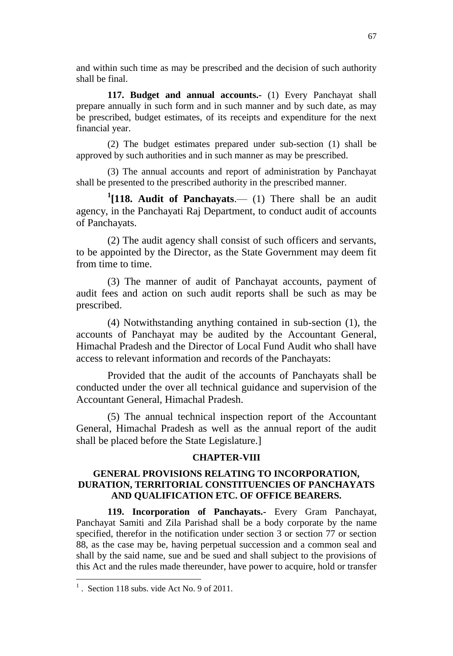and within such time as may be prescribed and the decision of such authority shall be final.

**117. Budget and annual accounts.-** (1) Every Panchayat shall prepare annually in such form and in such manner and by such date, as may be prescribed, budget estimates, of its receipts and expenditure for the next financial year.

(2) The budget estimates prepared under sub-section (1) shall be approved by such authorities and in such manner as may be prescribed.

(3) The annual accounts and report of administration by Panchayat shall be presented to the prescribed authority in the prescribed manner.

**1 [118. Audit of Panchayats**.— (1) There shall be an audit agency, in the Panchayati Raj Department, to conduct audit of accounts of Panchayats.

(2) The audit agency shall consist of such officers and servants, to be appointed by the Director, as the State Government may deem fit from time to time.

(3) The manner of audit of Panchayat accounts, payment of audit fees and action on such audit reports shall be such as may be prescribed.

(4) Notwithstanding anything contained in sub-section (1), the accounts of Panchayat may be audited by the Accountant General, Himachal Pradesh and the Director of Local Fund Audit who shall have access to relevant information and records of the Panchayats:

Provided that the audit of the accounts of Panchayats shall be conducted under the over all technical guidance and supervision of the Accountant General, Himachal Pradesh.

(5) The annual technical inspection report of the Accountant General, Himachal Pradesh as well as the annual report of the audit shall be placed before the State Legislature.]

### **CHAPTER-VIII**

# **GENERAL PROVISIONS RELATING TO INCORPORATION, DURATION, TERRITORIAL CONSTITUENCIES OF PANCHAYATS AND QUALIFICATION ETC. OF OFFICE BEARERS.**

**119. Incorporation of Panchayats.-** Every Gram Panchayat, Panchayat Samiti and Zila Parishad shall be a body corporate by the name specified, therefor in the notification under section 3 or section 77 or section 88, as the case may be, having perpetual succession and a common seal and shall by the said name, sue and be sued and shall subject to the provisions of this Act and the rules made thereunder, have power to acquire, hold or transfer

 $<sup>1</sup>$ . Section 118 subs. vide Act No. 9 of 2011.</sup>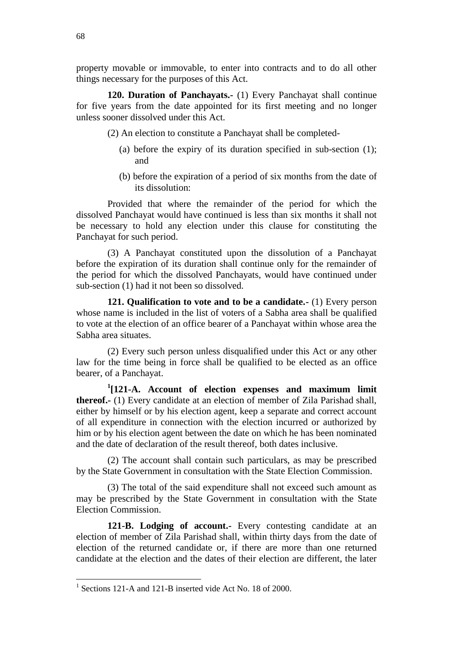property movable or immovable, to enter into contracts and to do all other things necessary for the purposes of this Act.

**120. Duration of Panchayats.-** (1) Every Panchayat shall continue for five years from the date appointed for its first meeting and no longer unless sooner dissolved under this Act.

(2) An election to constitute a Panchayat shall be completed-

- (a) before the expiry of its duration specified in sub-section (1); and
- (b) before the expiration of a period of six months from the date of its dissolution:

Provided that where the remainder of the period for which the dissolved Panchayat would have continued is less than six months it shall not be necessary to hold any election under this clause for constituting the Panchayat for such period.

(3) A Panchayat constituted upon the dissolution of a Panchayat before the expiration of its duration shall continue only for the remainder of the period for which the dissolved Panchayats, would have continued under sub-section (1) had it not been so dissolved.

**121. Qualification to vote and to be a candidate.-** (1) Every person whose name is included in the list of voters of a Sabha area shall be qualified to vote at the election of an office bearer of a Panchayat within whose area the Sabha area situates.

(2) Every such person unless disqualified under this Act or any other law for the time being in force shall be qualified to be elected as an office bearer, of a Panchayat.

**1 [121-A. Account of election expenses and maximum limit thereof.-** (1) Every candidate at an election of member of Zila Parishad shall, either by himself or by his election agent, keep a separate and correct account of all expenditure in connection with the election incurred or authorized by him or by his election agent between the date on which he has been nominated and the date of declaration of the result thereof, both dates inclusive.

(2) The account shall contain such particulars, as may be prescribed by the State Government in consultation with the State Election Commission.

(3) The total of the said expenditure shall not exceed such amount as may be prescribed by the State Government in consultation with the State Election Commission.

**121-B. Lodging of account.-** Every contesting candidate at an election of member of Zila Parishad shall, within thirty days from the date of election of the returned candidate or, if there are more than one returned candidate at the election and the dates of their election are different, the later

<sup>&</sup>lt;sup>1</sup> Sections 121-A and 121-B inserted vide Act No. 18 of 2000.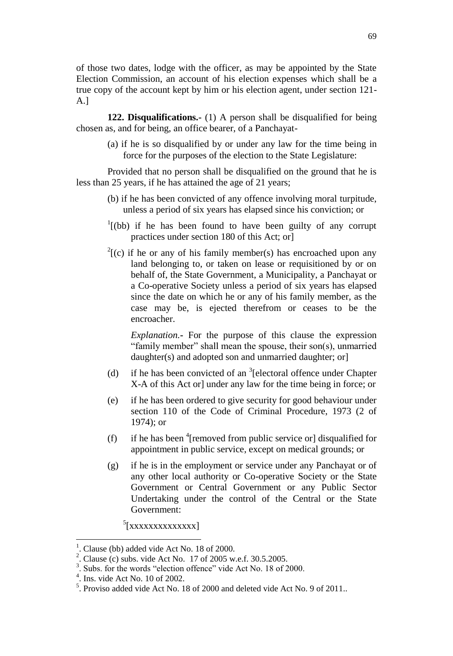of those two dates, lodge with the officer, as may be appointed by the State Election Commission, an account of his election expenses which shall be a true copy of the account kept by him or his election agent, under section 121- A.]

**122. Disqualifications.-** (1) A person shall be disqualified for being chosen as, and for being, an office bearer, of a Panchayat-

> (a) if he is so disqualified by or under any law for the time being in force for the purposes of the election to the State Legislature:

Provided that no person shall be disqualified on the ground that he is less than 25 years, if he has attained the age of 21 years;

- (b) if he has been convicted of any offence involving moral turpitude, unless a period of six years has elapsed since his conviction; or
- $1$ <sup>1</sup>[(bb) if he has been found to have been guilty of any corrupt practices under section 180 of this Act; or]
- $2^{2}$ [(c) if he or any of his family member(s) has encroached upon any land belonging to, or taken on lease or requisitioned by or on behalf of, the State Government, a Municipality, a Panchayat or a Co-operative Society unless a period of six years has elapsed since the date on which he or any of his family member, as the case may be, is ejected therefrom or ceases to be the encroacher.

*Explanation.***-** For the purpose of this clause the expression "family member" shall mean the spouse, their son(s), unmarried daughter(s) and adopted son and unmarried daughter; or

- (d) if he has been convicted of an  ${}^{3}$ [electoral offence under Chapter X-A of this Act or] under any law for the time being in force; or
- (e) if he has been ordered to give security for good behaviour under section 110 of the Code of Criminal Procedure, 1973 (2 of 1974); or
- (f) if he has been  $\textsuperscript{4}$  [removed from public service or] disqualified for appointment in public service, except on medical grounds; or
- (g) if he is in the employment or service under any Panchayat or of any other local authority or Co-operative Society or the State Government or Central Government or any Public Sector Undertaking under the control of the Central or the State Government:

<sup>5</sup>[xxxxxxxxxxxxx]

 $\overline{\phantom{a}}$ 

<sup>1</sup> . Clause (bb) added vide Act No. 18 of 2000. 2

<sup>.</sup> Clause (c) subs. vide Act No. 17 of 2005 w.e.f. 30.5.2005.

<sup>3</sup> . Subs. for the words "election offence" vide Act No. 18 of 2000.

<sup>4</sup> . Ins. vide Act No. 10 of 2002.

<sup>&</sup>lt;sup>5</sup>. Proviso added vide Act No. 18 of 2000 and deleted vide Act No. 9 of 2011..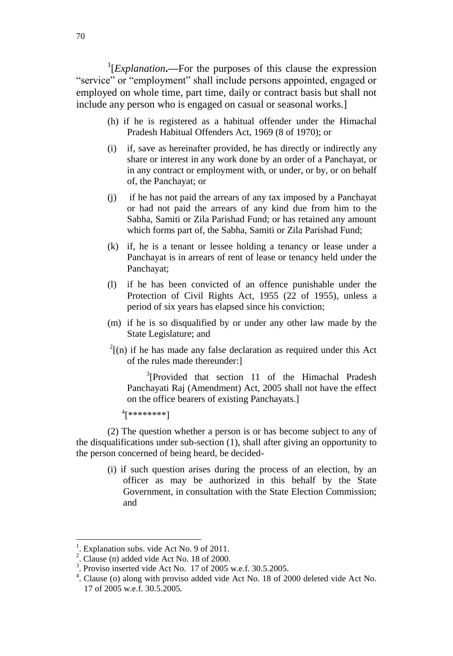<sup>1</sup>[*Explanation*.—For the purposes of this clause the expression "service" or "employment" shall include persons appointed, engaged or employed on whole time, part time, daily or contract basis but shall not include any person who is engaged on casual or seasonal works.]

- (h) if he is registered as a habitual offender under the Himachal Pradesh Habitual Offenders Act, 1969 (8 of 1970); or
- (i) if, save as hereinafter provided, he has directly or indirectly any share or interest in any work done by an order of a Panchayat, or in any contract or employment with, or under, or by, or on behalf of, the Panchayat; or
- (j) if he has not paid the arrears of any tax imposed by a Panchayat or had not paid the arrears of any kind due from him to the Sabha, Samiti or Zila Parishad Fund; or has retained any amount which forms part of, the Sabha, Samiti or Zila Parishad Fund;
- (k) if, he is a tenant or lessee holding a tenancy or lease under a Panchayat is in arrears of rent of lease or tenancy held under the Panchayat;
- (l) if he has been convicted of an offence punishable under the Protection of Civil Rights Act, 1955 (22 of 1955), unless a period of six years has elapsed since his conviction;
- (m) if he is so disqualified by or under any other law made by the State Legislature; and
- $2^{2}$ [(n) if he has made any false declaration as required under this Act of the rules made thereunder:]

 $3$ [Provided that section 11 of the Himachal Pradesh Panchayati Raj (Amendment) Act, 2005 shall not have the effect on the office bearers of existing Panchayats.]

4 [\*\*\*\*\*\*\*\*]

(2) The question whether a person is or has become subject to any of the disqualifications under sub-section (1), shall after giving an opportunity to the person concerned of being heard, be decided-

> (i) if such question arises during the process of an election, by an officer as may be authorized in this behalf by the State Government, in consultation with the State Election Commission; and

 $\overline{\phantom{a}}$ 

<sup>&</sup>lt;sup>1</sup>. Explanation subs. vide Act No. 9 of 2011.

 $2^2$ . Clause (n) added vide Act No. 18 of 2000.

<sup>&</sup>lt;sup>3</sup>. Proviso inserted vide Act No. 17 of 2005 w.e.f. 30.5.2005.

<sup>&</sup>lt;sup>4</sup>. Clause (o) along with proviso added vide Act No. 18 of 2000 deleted vide Act No. 17 of 2005 w.e.f. 30.5.2005.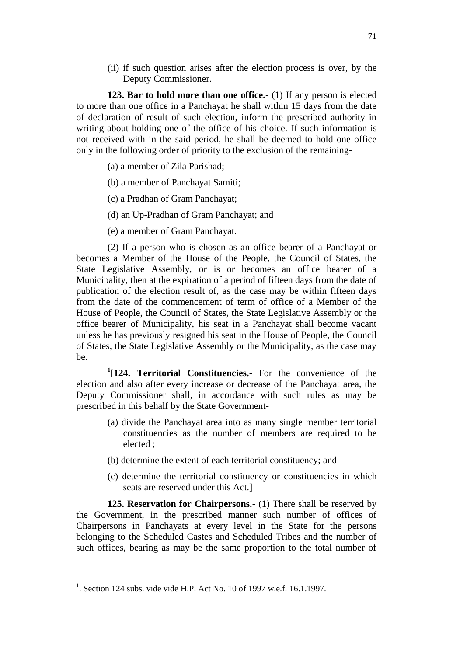(ii) if such question arises after the election process is over, by the Deputy Commissioner.

**123. Bar to hold more than one office.-** (1) If any person is elected to more than one office in a Panchayat he shall within 15 days from the date of declaration of result of such election, inform the prescribed authority in writing about holding one of the office of his choice. If such information is not received with in the said period, he shall be deemed to hold one office only in the following order of priority to the exclusion of the remaining-

(a) a member of Zila Parishad;

(b) a member of Panchayat Samiti;

(c) a Pradhan of Gram Panchayat;

(d) an Up-Pradhan of Gram Panchayat; and

(e) a member of Gram Panchayat.

(2) If a person who is chosen as an office bearer of a Panchayat or becomes a Member of the House of the People, the Council of States, the State Legislative Assembly, or is or becomes an office bearer of a Municipality, then at the expiration of a period of fifteen days from the date of publication of the election result of, as the case may be within fifteen days from the date of the commencement of term of office of a Member of the House of People, the Council of States, the State Legislative Assembly or the office bearer of Municipality, his seat in a Panchayat shall become vacant unless he has previously resigned his seat in the House of People, the Council of States, the State Legislative Assembly or the Municipality, as the case may be.

**1 [124. Territorial Constituencies.-** For the convenience of the election and also after every increase or decrease of the Panchayat area, the Deputy Commissioner shall, in accordance with such rules as may be prescribed in this behalf by the State Government-

- (a) divide the Panchayat area into as many single member territorial constituencies as the number of members are required to be elected ;
- (b) determine the extent of each territorial constituency; and
- (c) determine the territorial constituency or constituencies in which seats are reserved under this Act.]

**125. Reservation for Chairpersons.-** (1) There shall be reserved by the Government, in the prescribed manner such number of offices of Chairpersons in Panchayats at every level in the State for the persons belonging to the Scheduled Castes and Scheduled Tribes and the number of such offices, bearing as may be the same proportion to the total number of

<sup>&</sup>lt;sup>1</sup>. Section 124 subs. vide vide H.P. Act No. 10 of 1997 w.e.f. 16.1.1997.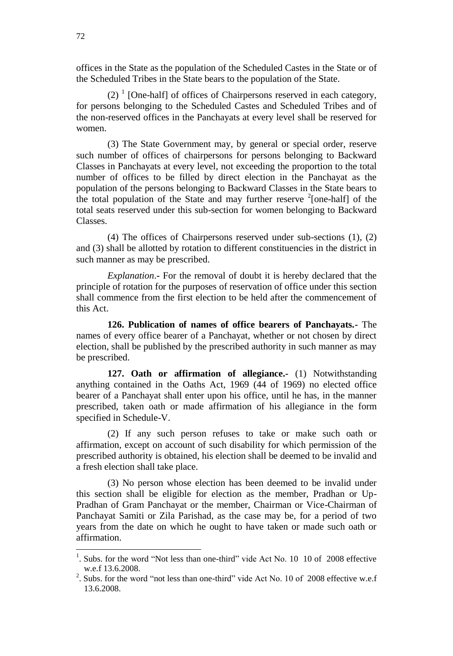offices in the State as the population of the Scheduled Castes in the State or of the Scheduled Tribes in the State bears to the population of the State.

 $(2)$ <sup>1</sup> [One-half] of offices of Chairpersons reserved in each category, for persons belonging to the Scheduled Castes and Scheduled Tribes and of the non-reserved offices in the Panchayats at every level shall be reserved for women.

(3) The State Government may, by general or special order, reserve such number of offices of chairpersons for persons belonging to Backward Classes in Panchayats at every level, not exceeding the proportion to the total number of offices to be filled by direct election in the Panchayat as the population of the persons belonging to Backward Classes in the State bears to the total population of the State and may further reserve  $2$ [one-half] of the total seats reserved under this sub-section for women belonging to Backward Classes.

(4) The offices of Chairpersons reserved under sub-sections (1), (2) and (3) shall be allotted by rotation to different constituencies in the district in such manner as may be prescribed.

*Explanation*.**-** For the removal of doubt it is hereby declared that the principle of rotation for the purposes of reservation of office under this section shall commence from the first election to be held after the commencement of this Act.

**126. Publication of names of office bearers of Panchayats.-** The names of every office bearer of a Panchayat, whether or not chosen by direct election, shall be published by the prescribed authority in such manner as may be prescribed.

**127. Oath or affirmation of allegiance.-** (1) Notwithstanding anything contained in the Oaths Act, 1969 (44 of 1969) no elected office bearer of a Panchayat shall enter upon his office, until he has, in the manner prescribed, taken oath or made affirmation of his allegiance in the form specified in Schedule-V.

(2) If any such person refuses to take or make such oath or affirmation, except on account of such disability for which permission of the prescribed authority is obtained, his election shall be deemed to be invalid and a fresh election shall take place.

(3) No person whose election has been deemed to be invalid under this section shall be eligible for election as the member, Pradhan or Up-Pradhan of Gram Panchayat or the member, Chairman or Vice-Chairman of Panchayat Samiti or Zila Parishad, as the case may be, for a period of two years from the date on which he ought to have taken or made such oath or affirmation.

 $\overline{\phantom{a}}$ 

<sup>&</sup>lt;sup>1</sup>. Subs. for the word "Not less than one-third" vide Act No. 10 10 of 2008 effective w.e.f 13.6.2008.

<sup>&</sup>lt;sup>2</sup>. Subs. for the word "not less than one-third" vide Act No. 10 of 2008 effective w.e.f 13.6.2008.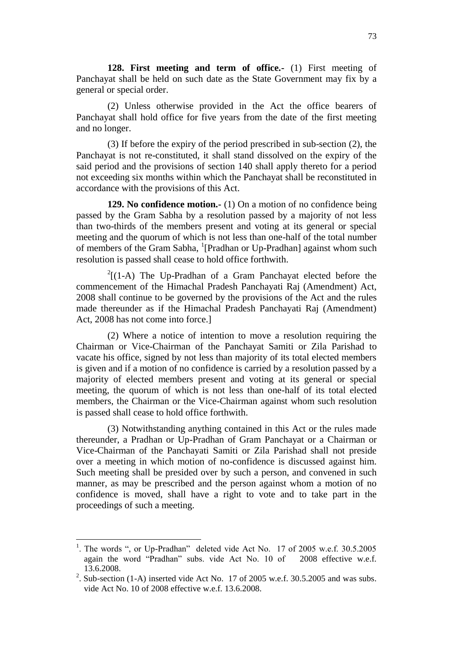**128. First meeting and term of office.-** (1) First meeting of Panchayat shall be held on such date as the State Government may fix by a general or special order.

(2) Unless otherwise provided in the Act the office bearers of Panchayat shall hold office for five years from the date of the first meeting and no longer.

(3) If before the expiry of the period prescribed in sub-section (2), the Panchayat is not re-constituted, it shall stand dissolved on the expiry of the said period and the provisions of section 140 shall apply thereto for a period not exceeding six months within which the Panchayat shall be reconstituted in accordance with the provisions of this Act.

**129. No confidence motion.-** (1) On a motion of no confidence being passed by the Gram Sabha by a resolution passed by a majority of not less than two-thirds of the members present and voting at its general or special meeting and the quorum of which is not less than one-half of the total number of members of the Gram Sabha, <sup>1</sup>[Pradhan or Up-Pradhan] against whom such resolution is passed shall cease to hold office forthwith.

 $2[(1-A)$  The Up-Pradhan of a Gram Panchayat elected before the commencement of the Himachal Pradesh Panchayati Raj (Amendment) Act, 2008 shall continue to be governed by the provisions of the Act and the rules made thereunder as if the Himachal Pradesh Panchayati Raj (Amendment) Act, 2008 has not come into force.]

(2) Where a notice of intention to move a resolution requiring the Chairman or Vice-Chairman of the Panchayat Samiti or Zila Parishad to vacate his office, signed by not less than majority of its total elected members is given and if a motion of no confidence is carried by a resolution passed by a majority of elected members present and voting at its general or special meeting, the quorum of which is not less than one-half of its total elected members, the Chairman or the Vice-Chairman against whom such resolution is passed shall cease to hold office forthwith.

(3) Notwithstanding anything contained in this Act or the rules made thereunder, a Pradhan or Up-Pradhan of Gram Panchayat or a Chairman or Vice-Chairman of the Panchayati Samiti or Zila Parishad shall not preside over a meeting in which motion of no-confidence is discussed against him. Such meeting shall be presided over by such a person, and convened in such manner, as may be prescribed and the person against whom a motion of no confidence is moved, shall have a right to vote and to take part in the proceedings of such a meeting.

<sup>&</sup>lt;sup>1</sup>. The words ", or Up-Pradhan" deleted vide Act No. 17 of 2005 w.e.f. 30.5.2005 again the word "Pradhan" subs. vide Act No. 10 of 2008 effective w.e.f. 13.6.2008.

<sup>&</sup>lt;sup>2</sup>. Sub-section (1-A) inserted vide Act No. 17 of 2005 w.e.f. 30.5.2005 and was subs. vide Act No. 10 of 2008 effective w.e.f. 13.6.2008.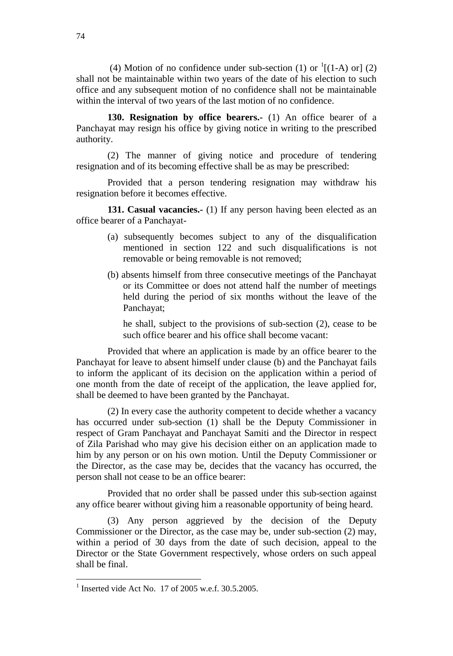(4) Motion of no confidence under sub-section (1) or  $\frac{1}{1}$  (1-A) or 1 (2) shall not be maintainable within two years of the date of his election to such office and any subsequent motion of no confidence shall not be maintainable within the interval of two years of the last motion of no confidence.

**130. Resignation by office bearers.-** (1) An office bearer of a Panchayat may resign his office by giving notice in writing to the prescribed authority.

(2) The manner of giving notice and procedure of tendering resignation and of its becoming effective shall be as may be prescribed:

Provided that a person tendering resignation may withdraw his resignation before it becomes effective.

**131. Casual vacancies.-** (1) If any person having been elected as an office bearer of a Panchayat-

- (a) subsequently becomes subject to any of the disqualification mentioned in section 122 and such disqualifications is not removable or being removable is not removed;
- (b) absents himself from three consecutive meetings of the Panchayat or its Committee or does not attend half the number of meetings held during the period of six months without the leave of the Panchayat;

he shall, subject to the provisions of sub-section (2), cease to be such office bearer and his office shall become vacant:

Provided that where an application is made by an office bearer to the Panchayat for leave to absent himself under clause (b) and the Panchayat fails to inform the applicant of its decision on the application within a period of one month from the date of receipt of the application, the leave applied for, shall be deemed to have been granted by the Panchayat.

(2) In every case the authority competent to decide whether a vacancy has occurred under sub-section (1) shall be the Deputy Commissioner in respect of Gram Panchayat and Panchayat Samiti and the Director in respect of Zila Parishad who may give his decision either on an application made to him by any person or on his own motion. Until the Deputy Commissioner or the Director, as the case may be, decides that the vacancy has occurred, the person shall not cease to be an office bearer:

Provided that no order shall be passed under this sub-section against any office bearer without giving him a reasonable opportunity of being heard.

(3) Any person aggrieved by the decision of the Deputy Commissioner or the Director, as the case may be, under sub-section (2) may, within a period of 30 days from the date of such decision, appeal to the Director or the State Government respectively, whose orders on such appeal shall be final.

<sup>&</sup>lt;sup>1</sup> Inserted vide Act No. 17 of 2005 w.e.f. 30.5.2005.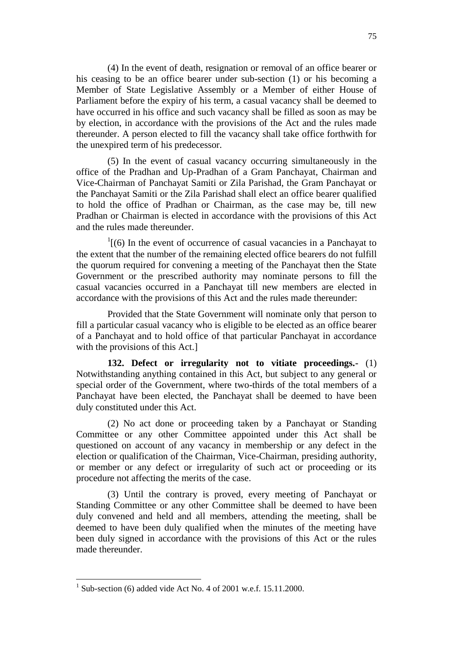(4) In the event of death, resignation or removal of an office bearer or his ceasing to be an office bearer under sub-section (1) or his becoming a Member of State Legislative Assembly or a Member of either House of Parliament before the expiry of his term, a casual vacancy shall be deemed to have occurred in his office and such vacancy shall be filled as soon as may be by election, in accordance with the provisions of the Act and the rules made thereunder. A person elected to fill the vacancy shall take office forthwith for the unexpired term of his predecessor.

(5) In the event of casual vacancy occurring simultaneously in the office of the Pradhan and Up-Pradhan of a Gram Panchayat, Chairman and Vice-Chairman of Panchayat Samiti or Zila Parishad, the Gram Panchayat or the Panchayat Samiti or the Zila Parishad shall elect an office bearer qualified to hold the office of Pradhan or Chairman, as the case may be, till new Pradhan or Chairman is elected in accordance with the provisions of this Act and the rules made thereunder.

 $\frac{1}{1}$ [(6) In the event of occurrence of casual vacancies in a Panchayat to the extent that the number of the remaining elected office bearers do not fulfill the quorum required for convening a meeting of the Panchayat then the State Government or the prescribed authority may nominate persons to fill the casual vacancies occurred in a Panchayat till new members are elected in accordance with the provisions of this Act and the rules made thereunder:

Provided that the State Government will nominate only that person to fill a particular casual vacancy who is eligible to be elected as an office bearer of a Panchayat and to hold office of that particular Panchayat in accordance with the provisions of this Act.]

**132. Defect or irregularity not to vitiate proceedings.-** (1) Notwithstanding anything contained in this Act, but subject to any general or special order of the Government, where two-thirds of the total members of a Panchayat have been elected, the Panchayat shall be deemed to have been duly constituted under this Act.

(2) No act done or proceeding taken by a Panchayat or Standing Committee or any other Committee appointed under this Act shall be questioned on account of any vacancy in membership or any defect in the election or qualification of the Chairman, Vice-Chairman, presiding authority, or member or any defect or irregularity of such act or proceeding or its procedure not affecting the merits of the case.

(3) Until the contrary is proved, every meeting of Panchayat or Standing Committee or any other Committee shall be deemed to have been duly convened and held and all members, attending the meeting, shall be deemed to have been duly qualified when the minutes of the meeting have been duly signed in accordance with the provisions of this Act or the rules made thereunder.

 $1$  Sub-section (6) added vide Act No. 4 of 2001 w.e.f. 15.11.2000.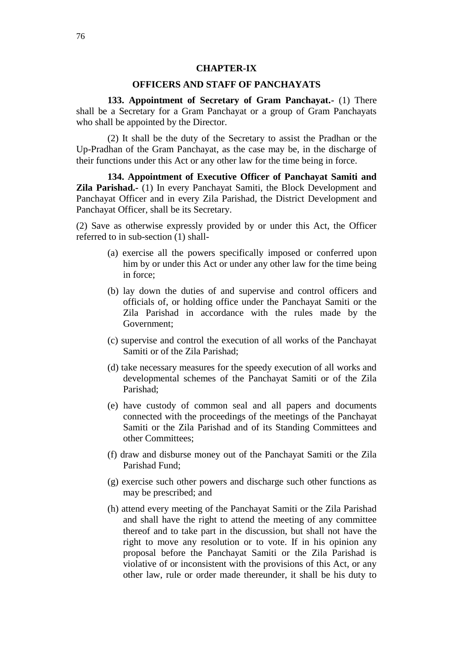## **CHAPTER-IX**

# **OFFICERS AND STAFF OF PANCHAYATS**

**133. Appointment of Secretary of Gram Panchayat.-** (1) There shall be a Secretary for a Gram Panchayat or a group of Gram Panchayats who shall be appointed by the Director.

(2) It shall be the duty of the Secretary to assist the Pradhan or the Up-Pradhan of the Gram Panchayat, as the case may be, in the discharge of their functions under this Act or any other law for the time being in force.

**134. Appointment of Executive Officer of Panchayat Samiti and Zila Parishad.-** (1) In every Panchayat Samiti, the Block Development and Panchayat Officer and in every Zila Parishad, the District Development and Panchayat Officer, shall be its Secretary.

(2) Save as otherwise expressly provided by or under this Act, the Officer referred to in sub-section (1) shall-

- (a) exercise all the powers specifically imposed or conferred upon him by or under this Act or under any other law for the time being in force;
- (b) lay down the duties of and supervise and control officers and officials of, or holding office under the Panchayat Samiti or the Zila Parishad in accordance with the rules made by the Government;
- (c) supervise and control the execution of all works of the Panchayat Samiti or of the Zila Parishad;
- (d) take necessary measures for the speedy execution of all works and developmental schemes of the Panchayat Samiti or of the Zila Parishad;
- (e) have custody of common seal and all papers and documents connected with the proceedings of the meetings of the Panchayat Samiti or the Zila Parishad and of its Standing Committees and other Committees;
- (f) draw and disburse money out of the Panchayat Samiti or the Zila Parishad Fund;
- (g) exercise such other powers and discharge such other functions as may be prescribed; and
- (h) attend every meeting of the Panchayat Samiti or the Zila Parishad and shall have the right to attend the meeting of any committee thereof and to take part in the discussion, but shall not have the right to move any resolution or to vote. If in his opinion any proposal before the Panchayat Samiti or the Zila Parishad is violative of or inconsistent with the provisions of this Act, or any other law, rule or order made thereunder, it shall be his duty to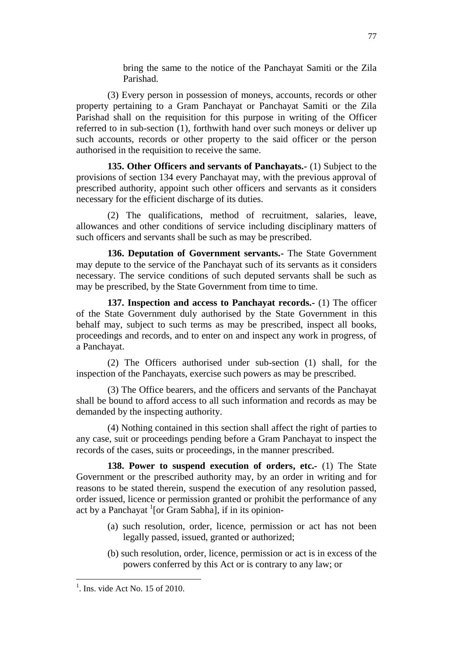bring the same to the notice of the Panchayat Samiti or the Zila Parishad.

(3) Every person in possession of moneys, accounts, records or other property pertaining to a Gram Panchayat or Panchayat Samiti or the Zila Parishad shall on the requisition for this purpose in writing of the Officer referred to in sub-section (1), forthwith hand over such moneys or deliver up such accounts, records or other property to the said officer or the person authorised in the requisition to receive the same.

**135. Other Officers and servants of Panchayats.-** (1) Subject to the provisions of section 134 every Panchayat may, with the previous approval of prescribed authority, appoint such other officers and servants as it considers necessary for the efficient discharge of its duties.

(2) The qualifications, method of recruitment, salaries, leave, allowances and other conditions of service including disciplinary matters of such officers and servants shall be such as may be prescribed.

**136. Deputation of Government servants.-** The State Government may depute to the service of the Panchayat such of its servants as it considers necessary. The service conditions of such deputed servants shall be such as may be prescribed, by the State Government from time to time.

**137. Inspection and access to Panchayat records.-** (1) The officer of the State Government duly authorised by the State Government in this behalf may, subject to such terms as may be prescribed, inspect all books, proceedings and records, and to enter on and inspect any work in progress, of a Panchayat.

(2) The Officers authorised under sub-section (1) shall, for the inspection of the Panchayats, exercise such powers as may be prescribed.

(3) The Office bearers, and the officers and servants of the Panchayat shall be bound to afford access to all such information and records as may be demanded by the inspecting authority.

(4) Nothing contained in this section shall affect the right of parties to any case, suit or proceedings pending before a Gram Panchayat to inspect the records of the cases, suits or proceedings, in the manner prescribed.

**138. Power to suspend execution of orders, etc.-** (1) The State Government or the prescribed authority may, by an order in writing and for reasons to be stated therein, suspend the execution of any resolution passed, order issued, licence or permission granted or prohibit the performance of any act by a Panchayat <sup>1</sup>[or Gram Sabha], if in its opinion-

- (a) such resolution, order, licence, permission or act has not been legally passed, issued, granted or authorized;
- (b) such resolution, order, licence, permission or act is in excess of the powers conferred by this Act or is contrary to any law; or

<sup>77</sup>

 $<sup>1</sup>$ . Ins. vide Act No. 15 of 2010.</sup>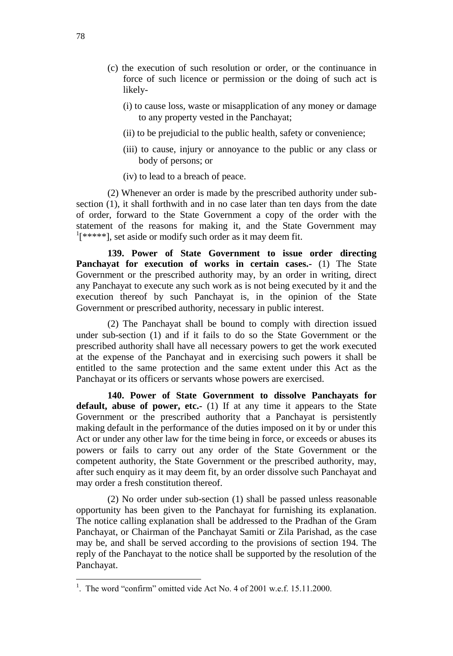- (c) the execution of such resolution or order, or the continuance in force of such licence or permission or the doing of such act is likely-
	- (i) to cause loss, waste or misapplication of any money or damage to any property vested in the Panchayat;
	- (ii) to be prejudicial to the public health, safety or convenience;
	- (iii) to cause, injury or annoyance to the public or any class or body of persons; or
	- (iv) to lead to a breach of peace.

(2) Whenever an order is made by the prescribed authority under subsection (1), it shall forthwith and in no case later than ten days from the date of order, forward to the State Government a copy of the order with the statement of the reasons for making it, and the State Government may <sup>1</sup>[\*\*\*\*\*], set aside or modify such order as it may deem fit.

**139. Power of State Government to issue order directing Panchayat for execution of works in certain cases.-** (1) The State Government or the prescribed authority may, by an order in writing, direct any Panchayat to execute any such work as is not being executed by it and the execution thereof by such Panchayat is, in the opinion of the State Government or prescribed authority, necessary in public interest.

(2) The Panchayat shall be bound to comply with direction issued under sub-section (1) and if it fails to do so the State Government or the prescribed authority shall have all necessary powers to get the work executed at the expense of the Panchayat and in exercising such powers it shall be entitled to the same protection and the same extent under this Act as the Panchayat or its officers or servants whose powers are exercised.

**140. Power of State Government to dissolve Panchayats for**  default, abuse of power, etc.- (1) If at any time it appears to the State Government or the prescribed authority that a Panchayat is persistently making default in the performance of the duties imposed on it by or under this Act or under any other law for the time being in force, or exceeds or abuses its powers or fails to carry out any order of the State Government or the competent authority, the State Government or the prescribed authority, may, after such enquiry as it may deem fit, by an order dissolve such Panchayat and may order a fresh constitution thereof.

(2) No order under sub-section (1) shall be passed unless reasonable opportunity has been given to the Panchayat for furnishing its explanation. The notice calling explanation shall be addressed to the Pradhan of the Gram Panchayat, or Chairman of the Panchayat Samiti or Zila Parishad, as the case may be, and shall be served according to the provisions of section 194. The reply of the Panchayat to the notice shall be supported by the resolution of the Panchayat.

<sup>&</sup>lt;sup>1</sup>. The word "confirm" omitted vide Act No. 4 of 2001 w.e.f. 15.11.2000.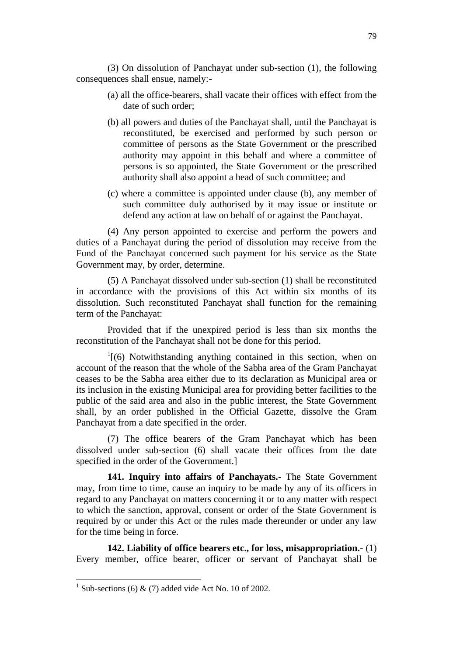(3) On dissolution of Panchayat under sub-section (1), the following consequences shall ensue, namely:-

- (a) all the office-bearers, shall vacate their offices with effect from the date of such order;
- (b) all powers and duties of the Panchayat shall, until the Panchayat is reconstituted, be exercised and performed by such person or committee of persons as the State Government or the prescribed authority may appoint in this behalf and where a committee of persons is so appointed, the State Government or the prescribed authority shall also appoint a head of such committee; and
- (c) where a committee is appointed under clause (b), any member of such committee duly authorised by it may issue or institute or defend any action at law on behalf of or against the Panchayat.

(4) Any person appointed to exercise and perform the powers and duties of a Panchayat during the period of dissolution may receive from the Fund of the Panchayat concerned such payment for his service as the State Government may, by order, determine.

(5) A Panchayat dissolved under sub-section (1) shall be reconstituted in accordance with the provisions of this Act within six months of its dissolution. Such reconstituted Panchayat shall function for the remaining term of the Panchayat:

Provided that if the unexpired period is less than six months the reconstitution of the Panchayat shall not be done for this period.

<sup>1</sup>[(6) Notwithstanding anything contained in this section, when on account of the reason that the whole of the Sabha area of the Gram Panchayat ceases to be the Sabha area either due to its declaration as Municipal area or its inclusion in the existing Municipal area for providing better facilities to the public of the said area and also in the public interest, the State Government shall, by an order published in the Official Gazette, dissolve the Gram Panchayat from a date specified in the order.

(7) The office bearers of the Gram Panchayat which has been dissolved under sub-section (6) shall vacate their offices from the date specified in the order of the Government.]

**141. Inquiry into affairs of Panchayats.-** The State Government may, from time to time, cause an inquiry to be made by any of its officers in regard to any Panchayat on matters concerning it or to any matter with respect to which the sanction, approval, consent or order of the State Government is required by or under this Act or the rules made thereunder or under any law for the time being in force.

**142. Liability of office bearers etc., for loss, misappropriation.-** (1) Every member, office bearer, officer or servant of Panchayat shall be

<sup>&</sup>lt;sup>1</sup> Sub-sections (6) & (7) added vide Act No. 10 of 2002.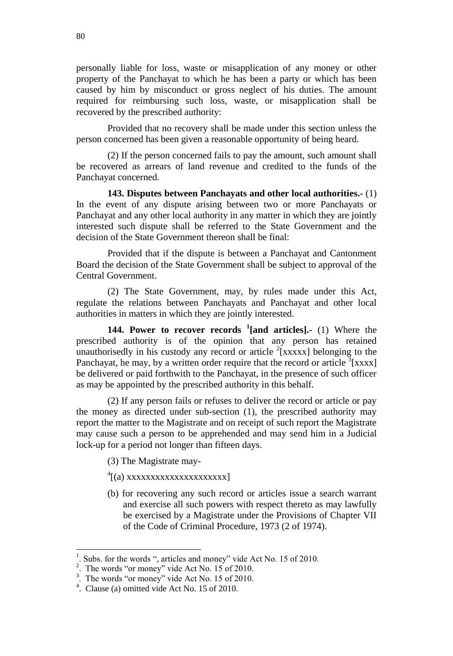personally liable for loss, waste or misapplication of any money or other property of the Panchayat to which he has been a party or which has been caused by him by misconduct or gross neglect of his duties. The amount required for reimbursing such loss, waste, or misapplication shall be recovered by the prescribed authority:

Provided that no recovery shall be made under this section unless the person concerned has been given a reasonable opportunity of being heard.

(2) If the person concerned fails to pay the amount, such amount shall be recovered as arrears of land revenue and credited to the funds of the Panchayat concerned.

**143. Disputes between Panchayats and other local authorities.-** (1) In the event of any dispute arising between two or more Panchayats or Panchayat and any other local authority in any matter in which they are jointly interested such dispute shall be referred to the State Government and the decision of the State Government thereon shall be final:

Provided that if the dispute is between a Panchayat and Cantonment Board the decision of the State Government shall be subject to approval of the Central Government.

(2) The State Government, may, by rules made under this Act, regulate the relations between Panchayats and Panchayat and other local authorities in matters in which they are jointly interested.

**144. Power to recover records <sup>1</sup> [and articles].-** (1) Where the prescribed authority is of the opinion that any person has retained unauthorisedly in his custody any record or article  $2$ [xxxxx] belonging to the Panchayat, he may, by a written order require that the record or article  $\frac{3}{3}$ [xxxx] be delivered or paid forthwith to the Panchayat, in the presence of such officer as may be appointed by the prescribed authority in this behalf.

(2) If any person fails or refuses to deliver the record or article or pay the money as directed under sub-section (1), the prescribed authority may report the matter to the Magistrate and on receipt of such report the Magistrate may cause such a person to be apprehended and may send him in a Judicial lock-up for a period not longer than fifteen days.

- (3) The Magistrate may-
- 4 [(a) xxxxxxxxxxxxxxxxxxxxx]
- (b) for recovering any such record or articles issue a search warrant and exercise all such powers with respect thereto as may lawfully be exercised by a Magistrate under the Provisions of Chapter VII of the Code of Criminal Procedure, 1973 (2 of 1974).

<sup>1</sup> . Subs. for the words ", articles and money" vide Act No. 15 of 2010.

<sup>&</sup>lt;sup>2</sup>. The words "or money" vide Act No. 15 of 2010.

<sup>&</sup>lt;sup>3</sup>. The words "or money" vide Act No. 15 of 2010.

<sup>4</sup> . Clause (a) omitted vide Act No. 15 of 2010.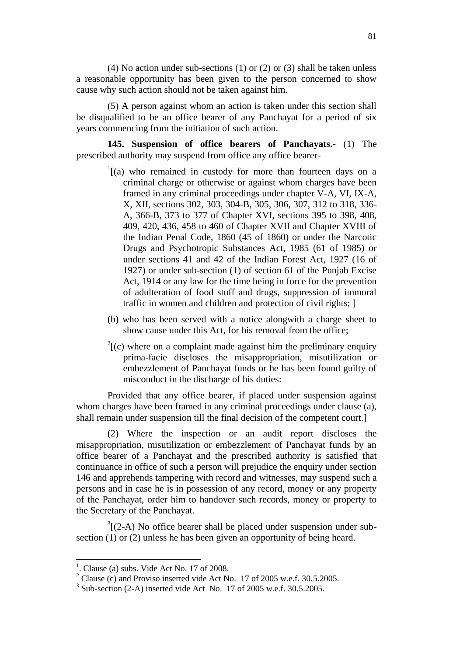(4) No action under sub-sections (1) or (2) or (3) shall be taken unless a reasonable opportunity has been given to the person concerned to show cause why such action should not be taken against him.

(5) A person against whom an action is taken under this section shall be disqualified to be an office bearer of any Panchayat for a period of six years commencing from the initiation of such action.

**145. Suspension of office bearers of Panchayats.-** (1) The prescribed authority may suspend from office any office bearer-

- $1$ [(a) who remained in custody for more than fourteen days on a criminal charge or otherwise or against whom charges have been framed in any criminal proceedings under chapter V-A, VI, IX-A, X, XII, sections 302, 303, 304-B, 305, 306, 307, 312 to 318, 336- A, 366-B, 373 to 377 of Chapter XVI, sections 395 to 398, 408, 409, 420, 436, 458 to 460 of Chapter XVII and Chapter XVIII of the Indian Penal Code, 1860 (45 of 1860) or under the Narcotic Drugs and Psychotropic Substances Act, 1985 (61 of 1985) or under sections 41 and 42 of the Indian Forest Act, 1927 (16 of 1927) or under sub-section (1) of section 61 of the Punjab Excise Act, 1914 or any law for the time being in force for the prevention of adulteration of food stuff and drugs, suppression of immoral traffic in women and children and protection of civil rights; ]
- (b) who has been served with a notice alongwith a charge sheet to show cause under this Act, for his removal from the office;
- $2^{2}$ [(c) where on a complaint made against him the preliminary enquiry prima-facie discloses the misappropriation, misutilization or embezzlement of Panchayat funds or he has been found guilty of misconduct in the discharge of his duties:

Provided that any office bearer, if placed under suspension against whom charges have been framed in any criminal proceedings under clause (a), shall remain under suspension till the final decision of the competent court.]

(2) Where the inspection or an audit report discloses the misappropriation, misutilization or embezzlement of Panchayat funds by an office bearer of a Panchayat and the prescribed authority is satisfied that continuance in office of such a person will prejudice the enquiry under section 146 and apprehends tampering with record and witnesses, may suspend such a persons and in case he is in possession of any record, money or any property of the Panchayat, order him to handover such records, money or property to the Secretary of the Panchayat.

 $3(2-A)$  No office bearer shall be placed under suspension under subsection (1) or (2) unless he has been given an opportunity of being heard.

<sup>1</sup> . Clause (a) subs. Vide Act No. 17 of 2008.

<sup>&</sup>lt;sup>2</sup> Clause (c) and Proviso inserted vide Act No. 17 of 2005 w.e.f. 30.5.2005.

 $3$  Sub-section (2-A) inserted vide Act No. 17 of 2005 w.e.f. 30.5.2005.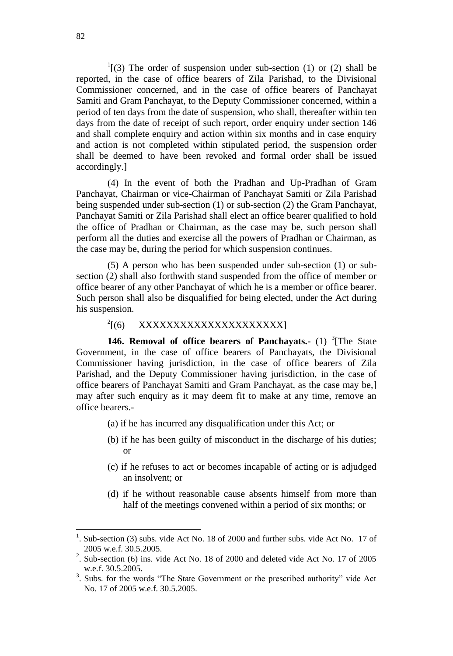$1(3)$  The order of suspension under sub-section (1) or (2) shall be reported, in the case of office bearers of Zila Parishad, to the Divisional Commissioner concerned, and in the case of office bearers of Panchayat Samiti and Gram Panchayat, to the Deputy Commissioner concerned, within a period of ten days from the date of suspension, who shall, thereafter within ten days from the date of receipt of such report, order enquiry under section 146 and shall complete enquiry and action within six months and in case enquiry and action is not completed within stipulated period, the suspension order shall be deemed to have been revoked and formal order shall be issued accordingly.]

(4) In the event of both the Pradhan and Up-Pradhan of Gram Panchayat, Chairman or vice-Chairman of Panchayat Samiti or Zila Parishad being suspended under sub-section (1) or sub-section (2) the Gram Panchayat, Panchayat Samiti or Zila Parishad shall elect an office bearer qualified to hold the office of Pradhan or Chairman, as the case may be, such person shall perform all the duties and exercise all the powers of Pradhan or Chairman, as the case may be, during the period for which suspension continues.

(5) A person who has been suspended under sub-section (1) or subsection (2) shall also forthwith stand suspended from the office of member or office bearer of any other Panchayat of which he is a member or office bearer. Such person shall also be disqualified for being elected, under the Act during his suspension.

#### $^{2}$ [(6) [(6) XXXXXXXXXXXXXXXXXXXXX]

**146. Removal of office bearers of Panchayats.**- (1) <sup>3</sup>[The State Government, in the case of office bearers of Panchayats, the Divisional Commissioner having jurisdiction, in the case of office bearers of Zila Parishad, and the Deputy Commissioner having jurisdiction, in the case of office bearers of Panchayat Samiti and Gram Panchayat, as the case may be,] may after such enquiry as it may deem fit to make at any time, remove an office bearers.-

- (a) if he has incurred any disqualification under this Act; or
- (b) if he has been guilty of misconduct in the discharge of his duties; or
- (c) if he refuses to act or becomes incapable of acting or is adjudged an insolvent; or
- (d) if he without reasonable cause absents himself from more than half of the meetings convened within a period of six months; or

 $<sup>1</sup>$ . Sub-section (3) subs. vide Act No. 18 of 2000 and further subs. vide Act No. 17 of</sup> 2005 w.e.f. 30.5.2005.

<sup>&</sup>lt;sup>2</sup>. Sub-section (6) ins. vide Act No. 18 of 2000 and deleted vide Act No. 17 of 2005 w.e.f. 30.5.2005.

<sup>&</sup>lt;sup>3</sup>. Subs. for the words "The State Government or the prescribed authority" vide Act No. 17 of 2005 w.e.f. 30.5.2005.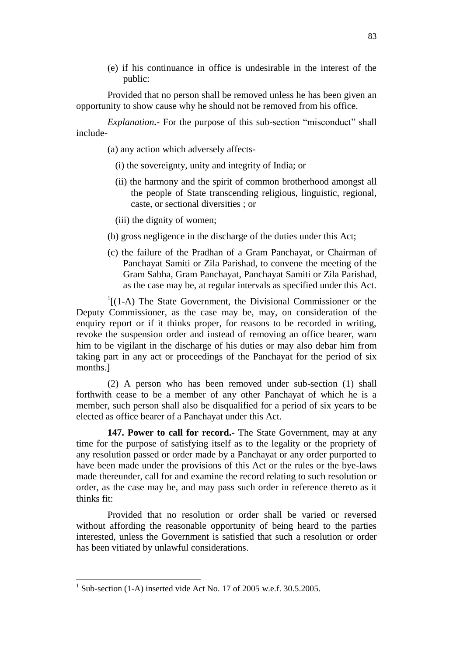(e) if his continuance in office is undesirable in the interest of the public:

Provided that no person shall be removed unless he has been given an opportunity to show cause why he should not be removed from his office.

*Explanation***.-** For the purpose of this sub-section "misconduct" shall include-

(a) any action which adversely affects-

- (i) the sovereignty, unity and integrity of India; or
- (ii) the harmony and the spirit of common brotherhood amongst all the people of State transcending religious, linguistic, regional, caste, or sectional diversities ; or
- (iii) the dignity of women;
- (b) gross negligence in the discharge of the duties under this Act;
- (c) the failure of the Pradhan of a Gram Panchayat, or Chairman of Panchayat Samiti or Zila Parishad, to convene the meeting of the Gram Sabha, Gram Panchayat, Panchayat Samiti or Zila Parishad, as the case may be, at regular intervals as specified under this Act.

 $<sup>1</sup>$ [(1-A) The State Government, the Divisional Commissioner or the</sup> Deputy Commissioner, as the case may be, may, on consideration of the enquiry report or if it thinks proper, for reasons to be recorded in writing, revoke the suspension order and instead of removing an office bearer, warn him to be vigilant in the discharge of his duties or may also debar him from taking part in any act or proceedings of the Panchayat for the period of six months.]

(2) A person who has been removed under sub-section (1) shall forthwith cease to be a member of any other Panchayat of which he is a member, such person shall also be disqualified for a period of six years to be elected as office bearer of a Panchayat under this Act.

**147. Power to call for record.-** The State Government, may at any time for the purpose of satisfying itself as to the legality or the propriety of any resolution passed or order made by a Panchayat or any order purported to have been made under the provisions of this Act or the rules or the bye-laws made thereunder, call for and examine the record relating to such resolution or order, as the case may be, and may pass such order in reference thereto as it thinks fit:

Provided that no resolution or order shall be varied or reversed without affording the reasonable opportunity of being heard to the parties interested, unless the Government is satisfied that such a resolution or order has been vitiated by unlawful considerations.

 $1$  Sub-section (1-A) inserted vide Act No. 17 of 2005 w.e.f. 30.5.2005.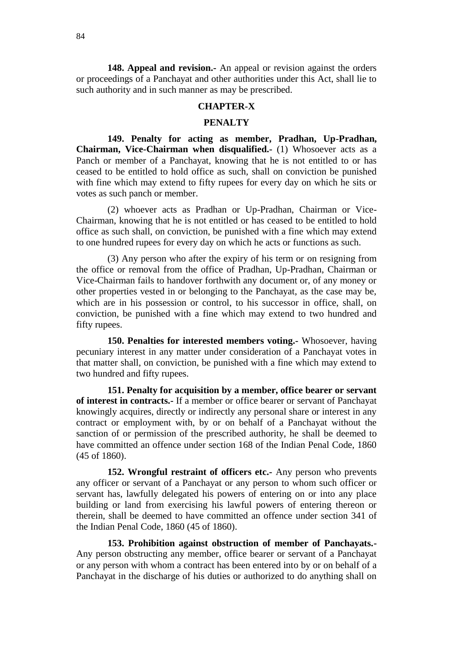**148. Appeal and revision.-** An appeal or revision against the orders or proceedings of a Panchayat and other authorities under this Act, shall lie to such authority and in such manner as may be prescribed.

#### **CHAPTER-X**

### **PENALTY**

**149. Penalty for acting as member, Pradhan, Up-Pradhan, Chairman, Vice-Chairman when disqualified.-** (1) Whosoever acts as a Panch or member of a Panchayat, knowing that he is not entitled to or has ceased to be entitled to hold office as such, shall on conviction be punished with fine which may extend to fifty rupees for every day on which he sits or votes as such panch or member.

(2) whoever acts as Pradhan or Up-Pradhan, Chairman or Vice-Chairman, knowing that he is not entitled or has ceased to be entitled to hold office as such shall, on conviction, be punished with a fine which may extend to one hundred rupees for every day on which he acts or functions as such.

(3) Any person who after the expiry of his term or on resigning from the office or removal from the office of Pradhan, Up-Pradhan, Chairman or Vice-Chairman fails to handover forthwith any document or, of any money or other properties vested in or belonging to the Panchayat, as the case may be, which are in his possession or control, to his successor in office, shall, on conviction, be punished with a fine which may extend to two hundred and fifty rupees.

**150. Penalties for interested members voting.-** Whosoever, having pecuniary interest in any matter under consideration of a Panchayat votes in that matter shall, on conviction, be punished with a fine which may extend to two hundred and fifty rupees.

**151. Penalty for acquisition by a member, office bearer or servant of interest in contracts.-** If a member or office bearer or servant of Panchayat knowingly acquires, directly or indirectly any personal share or interest in any contract or employment with, by or on behalf of a Panchayat without the sanction of or permission of the prescribed authority, he shall be deemed to have committed an offence under section 168 of the Indian Penal Code, 1860 (45 of 1860).

**152. Wrongful restraint of officers etc.-** Any person who prevents any officer or servant of a Panchayat or any person to whom such officer or servant has, lawfully delegated his powers of entering on or into any place building or land from exercising his lawful powers of entering thereon or therein, shall be deemed to have committed an offence under section 341 of the Indian Penal Code, 1860 (45 of 1860).

**153. Prohibition against obstruction of member of Panchayats.-** Any person obstructing any member, office bearer or servant of a Panchayat or any person with whom a contract has been entered into by or on behalf of a Panchayat in the discharge of his duties or authorized to do anything shall on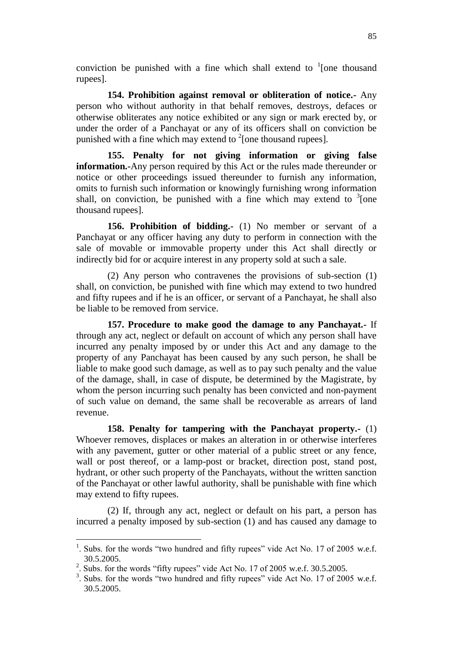conviction be punished with a fine which shall extend to  $\frac{1}{2}$  [one thousand rupees].

**154. Prohibition against removal or obliteration of notice.-** Any person who without authority in that behalf removes, destroys, defaces or otherwise obliterates any notice exhibited or any sign or mark erected by, or under the order of a Panchayat or any of its officers shall on conviction be punished with a fine which may extend to  $2$ [one thousand rupees].

**155. Penalty for not giving information or giving false information.-**Any person required by this Act or the rules made thereunder or notice or other proceedings issued thereunder to furnish any information, omits to furnish such information or knowingly furnishing wrong information shall, on conviction, be punished with a fine which may extend to  $3$ [one thousand rupees].

**156. Prohibition of bidding.-** (1) No member or servant of a Panchayat or any officer having any duty to perform in connection with the sale of movable or immovable property under this Act shall directly or indirectly bid for or acquire interest in any property sold at such a sale.

(2) Any person who contravenes the provisions of sub-section (1) shall, on conviction, be punished with fine which may extend to two hundred and fifty rupees and if he is an officer, or servant of a Panchayat, he shall also be liable to be removed from service.

**157. Procedure to make good the damage to any Panchayat.-** If through any act, neglect or default on account of which any person shall have incurred any penalty imposed by or under this Act and any damage to the property of any Panchayat has been caused by any such person, he shall be liable to make good such damage, as well as to pay such penalty and the value of the damage, shall, in case of dispute, be determined by the Magistrate, by whom the person incurring such penalty has been convicted and non-payment of such value on demand, the same shall be recoverable as arrears of land revenue.

**158. Penalty for tampering with the Panchayat property.-** (1) Whoever removes, displaces or makes an alteration in or otherwise interferes with any pavement, gutter or other material of a public street or any fence, wall or post thereof, or a lamp-post or bracket, direction post, stand post, hydrant, or other such property of the Panchayats, without the written sanction of the Panchayat or other lawful authority, shall be punishable with fine which may extend to fifty rupees.

(2) If, through any act, neglect or default on his part, a person has incurred a penalty imposed by sub-section (1) and has caused any damage to

<sup>&</sup>lt;sup>1</sup>. Subs. for the words "two hundred and fifty rupees" vide Act No. 17 of 2005 w.e.f. 30.5.2005.

<sup>&</sup>lt;sup>2</sup>. Subs. for the words "fifty rupees" vide Act No. 17 of 2005 w.e.f. 30.5.2005.

<sup>&</sup>lt;sup>3</sup>. Subs. for the words "two hundred and fifty rupees" vide Act No. 17 of 2005 w.e.f. 30.5.2005.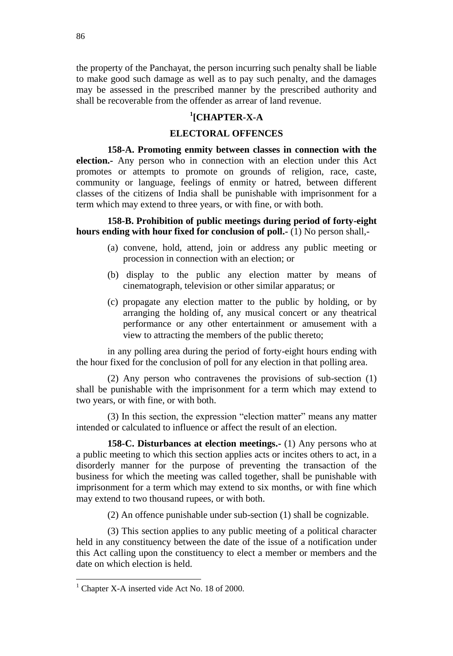the property of the Panchayat, the person incurring such penalty shall be liable to make good such damage as well as to pay such penalty, and the damages may be assessed in the prescribed manner by the prescribed authority and shall be recoverable from the offender as arrear of land revenue.

# **1 [CHAPTER-X-A**

### **ELECTORAL OFFENCES**

**158-A. Promoting enmity between classes in connection with the election.-** Any person who in connection with an election under this Act promotes or attempts to promote on grounds of religion, race, caste, community or language, feelings of enmity or hatred, between different classes of the citizens of India shall be punishable with imprisonment for a term which may extend to three years, or with fine, or with both.

**158-B. Prohibition of public meetings during period of forty-eight hours ending with hour fixed for conclusion of poll.-** (1) No person shall,-

- (a) convene, hold, attend, join or address any public meeting or procession in connection with an election; or
- (b) display to the public any election matter by means of cinematograph, television or other similar apparatus; or
- (c) propagate any election matter to the public by holding, or by arranging the holding of, any musical concert or any theatrical performance or any other entertainment or amusement with a view to attracting the members of the public thereto;

in any polling area during the period of forty-eight hours ending with the hour fixed for the conclusion of poll for any election in that polling area.

(2) Any person who contravenes the provisions of sub-section (1) shall be punishable with the imprisonment for a term which may extend to two years, or with fine, or with both.

(3) In this section, the expression "election matter" means any matter intended or calculated to influence or affect the result of an election.

**158-C. Disturbances at election meetings.-** (1) Any persons who at a public meeting to which this section applies acts or incites others to act, in a disorderly manner for the purpose of preventing the transaction of the business for which the meeting was called together, shall be punishable with imprisonment for a term which may extend to six months, or with fine which may extend to two thousand rupees, or with both.

(2) An offence punishable under sub-section (1) shall be cognizable.

(3) This section applies to any public meeting of a political character held in any constituency between the date of the issue of a notification under this Act calling upon the constituency to elect a member or members and the date on which election is held.

 $<sup>1</sup>$  Chapter X-A inserted vide Act No. 18 of 2000.</sup>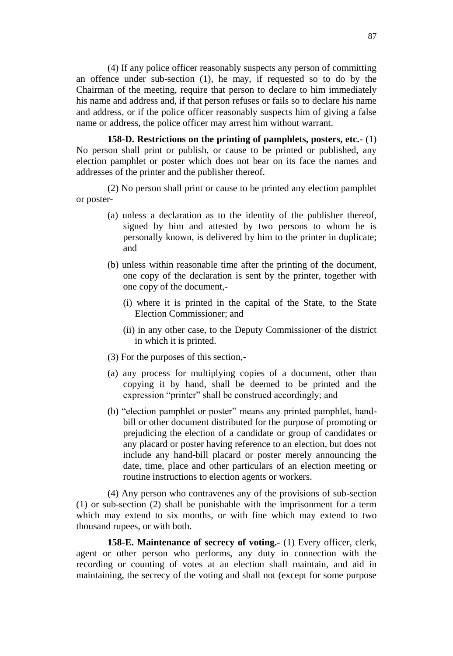(4) If any police officer reasonably suspects any person of committing an offence under sub-section (1), he may, if requested so to do by the Chairman of the meeting, require that person to declare to him immediately his name and address and, if that person refuses or fails so to declare his name and address, or if the police officer reasonably suspects him of giving a false name or address, the police officer may arrest him without warrant.

**158-D. Restrictions on the printing of pamphlets, posters, etc.-** (1) No person shall print or publish, or cause to be printed or published, any election pamphlet or poster which does not bear on its face the names and addresses of the printer and the publisher thereof.

(2) No person shall print or cause to be printed any election pamphlet or poster-

- (a) unless a declaration as to the identity of the publisher thereof, signed by him and attested by two persons to whom he is personally known, is delivered by him to the printer in duplicate; and
- (b) unless within reasonable time after the printing of the document, one copy of the declaration is sent by the printer, together with one copy of the document,-
	- (i) where it is printed in the capital of the State, to the State Election Commissioner; and
	- (ii) in any other case, to the Deputy Commissioner of the district in which it is printed.
- (3) For the purposes of this section,-
- (a) any process for multiplying copies of a document, other than copying it by hand, shall be deemed to be printed and the expression "printer" shall be construed accordingly; and
- (b) "election pamphlet or poster" means any printed pamphlet, handbill or other document distributed for the purpose of promoting or prejudicing the election of a candidate or group of candidates or any placard or poster having reference to an election, but does not include any hand-bill placard or poster merely announcing the date, time, place and other particulars of an election meeting or routine instructions to election agents or workers.

(4) Any person who contravenes any of the provisions of sub-section (1) or sub-section (2) shall be punishable with the imprisonment for a term which may extend to six months, or with fine which may extend to two thousand rupees, or with both.

**158-E. Maintenance of secrecy of voting.-** (1) Every officer, clerk, agent or other person who performs, any duty in connection with the recording or counting of votes at an election shall maintain, and aid in maintaining, the secrecy of the voting and shall not (except for some purpose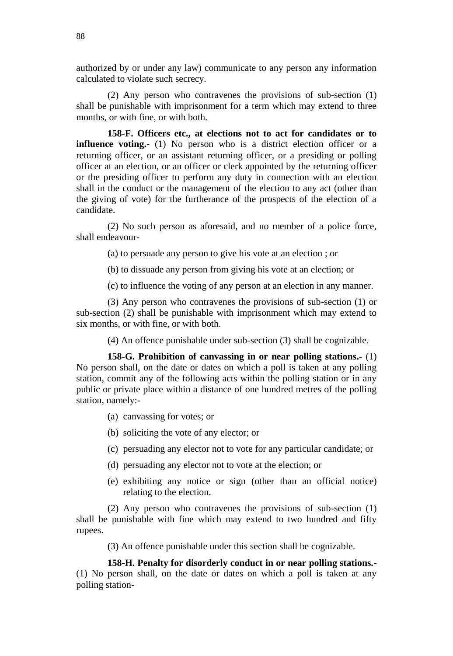authorized by or under any law) communicate to any person any information calculated to violate such secrecy.

(2) Any person who contravenes the provisions of sub-section (1) shall be punishable with imprisonment for a term which may extend to three months, or with fine, or with both.

**158-F. Officers etc., at elections not to act for candidates or to influence voting.**- (1) No person who is a district election officer or a returning officer, or an assistant returning officer, or a presiding or polling officer at an election, or an officer or clerk appointed by the returning officer or the presiding officer to perform any duty in connection with an election shall in the conduct or the management of the election to any act (other than the giving of vote) for the furtherance of the prospects of the election of a candidate.

(2) No such person as aforesaid, and no member of a police force, shall endeavour-

(a) to persuade any person to give his vote at an election ; or

(b) to dissuade any person from giving his vote at an election; or

(c) to influence the voting of any person at an election in any manner.

(3) Any person who contravenes the provisions of sub-section (1) or sub-section (2) shall be punishable with imprisonment which may extend to six months, or with fine, or with both.

(4) An offence punishable under sub-section (3) shall be cognizable.

**158-G. Prohibition of canvassing in or near polling stations.-** (1) No person shall, on the date or dates on which a poll is taken at any polling station, commit any of the following acts within the polling station or in any public or private place within a distance of one hundred metres of the polling station, namely:-

- (a) canvassing for votes; or
- (b) soliciting the vote of any elector; or
- (c) persuading any elector not to vote for any particular candidate; or
- (d) persuading any elector not to vote at the election; or
- (e) exhibiting any notice or sign (other than an official notice) relating to the election.

(2) Any person who contravenes the provisions of sub-section (1) shall be punishable with fine which may extend to two hundred and fifty rupees.

(3) An offence punishable under this section shall be cognizable.

**158-H. Penalty for disorderly conduct in or near polling stations.-** (1) No person shall, on the date or dates on which a poll is taken at any polling station-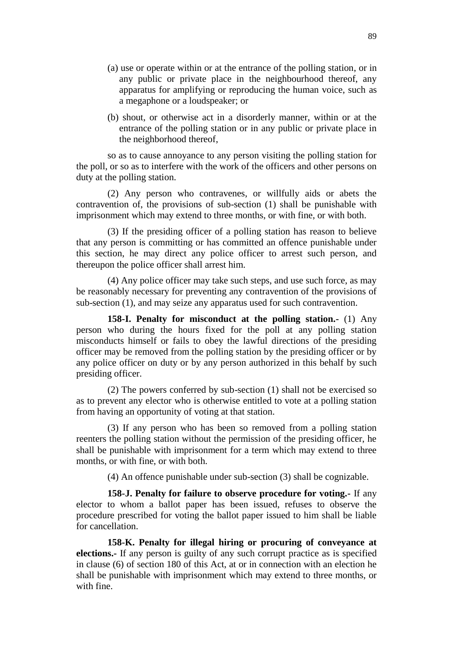- (a) use or operate within or at the entrance of the polling station, or in any public or private place in the neighbourhood thereof, any apparatus for amplifying or reproducing the human voice, such as a megaphone or a loudspeaker; or
- (b) shout, or otherwise act in a disorderly manner, within or at the entrance of the polling station or in any public or private place in the neighborhood thereof,

so as to cause annoyance to any person visiting the polling station for the poll, or so as to interfere with the work of the officers and other persons on duty at the polling station.

(2) Any person who contravenes, or willfully aids or abets the contravention of, the provisions of sub-section (1) shall be punishable with imprisonment which may extend to three months, or with fine, or with both.

(3) If the presiding officer of a polling station has reason to believe that any person is committing or has committed an offence punishable under this section, he may direct any police officer to arrest such person, and thereupon the police officer shall arrest him.

(4) Any police officer may take such steps, and use such force, as may be reasonably necessary for preventing any contravention of the provisions of sub-section (1), and may seize any apparatus used for such contravention.

**158-I. Penalty for misconduct at the polling station.-** (1) Any person who during the hours fixed for the poll at any polling station misconducts himself or fails to obey the lawful directions of the presiding officer may be removed from the polling station by the presiding officer or by any police officer on duty or by any person authorized in this behalf by such presiding officer.

(2) The powers conferred by sub-section (1) shall not be exercised so as to prevent any elector who is otherwise entitled to vote at a polling station from having an opportunity of voting at that station.

(3) If any person who has been so removed from a polling station reenters the polling station without the permission of the presiding officer, he shall be punishable with imprisonment for a term which may extend to three months, or with fine, or with both.

(4) An offence punishable under sub-section (3) shall be cognizable.

**158-J. Penalty for failure to observe procedure for voting.-** If any elector to whom a ballot paper has been issued, refuses to observe the procedure prescribed for voting the ballot paper issued to him shall be liable for cancellation.

**158-K. Penalty for illegal hiring or procuring of conveyance at elections.-** If any person is guilty of any such corrupt practice as is specified in clause (6) of section 180 of this Act, at or in connection with an election he shall be punishable with imprisonment which may extend to three months, or with fine.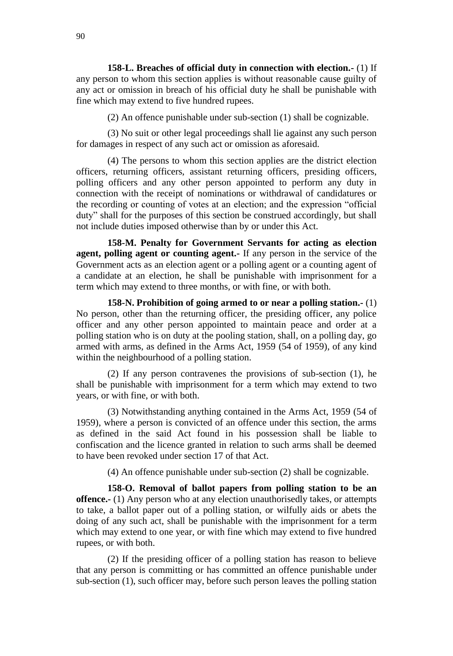**158-L. Breaches of official duty in connection with election.-** (1) If any person to whom this section applies is without reasonable cause guilty of any act or omission in breach of his official duty he shall be punishable with fine which may extend to five hundred rupees.

(2) An offence punishable under sub-section (1) shall be cognizable.

(3) No suit or other legal proceedings shall lie against any such person for damages in respect of any such act or omission as aforesaid.

(4) The persons to whom this section applies are the district election officers, returning officers, assistant returning officers, presiding officers, polling officers and any other person appointed to perform any duty in connection with the receipt of nominations or withdrawal of candidatures or the recording or counting of votes at an election; and the expression "official duty" shall for the purposes of this section be construed accordingly, but shall not include duties imposed otherwise than by or under this Act.

**158-M. Penalty for Government Servants for acting as election agent, polling agent or counting agent.-** If any person in the service of the Government acts as an election agent or a polling agent or a counting agent of a candidate at an election, he shall be punishable with imprisonment for a term which may extend to three months, or with fine, or with both.

**158-N. Prohibition of going armed to or near a polling station.-** (1) No person, other than the returning officer, the presiding officer, any police officer and any other person appointed to maintain peace and order at a polling station who is on duty at the pooling station, shall, on a polling day, go armed with arms, as defined in the Arms Act, 1959 (54 of 1959), of any kind within the neighbourhood of a polling station.

(2) If any person contravenes the provisions of sub-section (1), he shall be punishable with imprisonment for a term which may extend to two years, or with fine, or with both.

(3) Notwithstanding anything contained in the Arms Act, 1959 (54 of 1959), where a person is convicted of an offence under this section, the arms as defined in the said Act found in his possession shall be liable to confiscation and the licence granted in relation to such arms shall be deemed to have been revoked under section 17 of that Act.

(4) An offence punishable under sub-section (2) shall be cognizable.

**158-O. Removal of ballot papers from polling station to be an offence.-** (1) Any person who at any election unauthorisedly takes, or attempts to take, a ballot paper out of a polling station, or wilfully aids or abets the doing of any such act, shall be punishable with the imprisonment for a term which may extend to one year, or with fine which may extend to five hundred rupees, or with both.

(2) If the presiding officer of a polling station has reason to believe that any person is committing or has committed an offence punishable under sub-section (1), such officer may, before such person leaves the polling station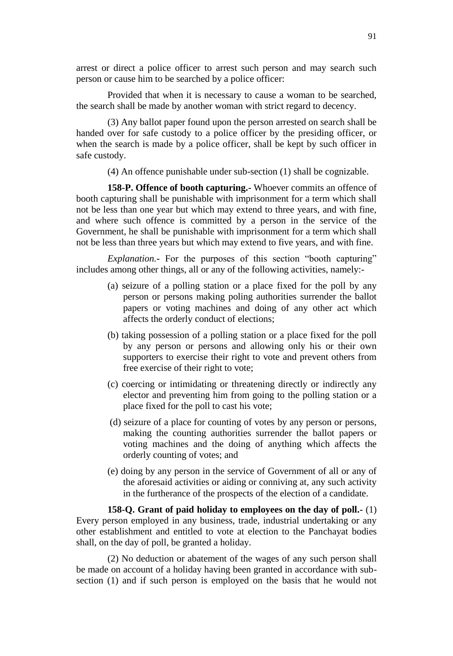arrest or direct a police officer to arrest such person and may search such person or cause him to be searched by a police officer:

Provided that when it is necessary to cause a woman to be searched, the search shall be made by another woman with strict regard to decency.

(3) Any ballot paper found upon the person arrested on search shall be handed over for safe custody to a police officer by the presiding officer, or when the search is made by a police officer, shall be kept by such officer in safe custody.

(4) An offence punishable under sub-section (1) shall be cognizable.

**158-P. Offence of booth capturing.-** Whoever commits an offence of booth capturing shall be punishable with imprisonment for a term which shall not be less than one year but which may extend to three years, and with fine, and where such offence is committed by a person in the service of the Government, he shall be punishable with imprisonment for a term which shall not be less than three years but which may extend to five years, and with fine.

*Explanation.***-** For the purposes of this section "booth capturing" includes among other things, all or any of the following activities, namely:-

- (a) seizure of a polling station or a place fixed for the poll by any person or persons making poling authorities surrender the ballot papers or voting machines and doing of any other act which affects the orderly conduct of elections;
- (b) taking possession of a polling station or a place fixed for the poll by any person or persons and allowing only his or their own supporters to exercise their right to vote and prevent others from free exercise of their right to vote;
- (c) coercing or intimidating or threatening directly or indirectly any elector and preventing him from going to the polling station or a place fixed for the poll to cast his vote;
- (d) seizure of a place for counting of votes by any person or persons, making the counting authorities surrender the ballot papers or voting machines and the doing of anything which affects the orderly counting of votes; and
- (e) doing by any person in the service of Government of all or any of the aforesaid activities or aiding or conniving at, any such activity in the furtherance of the prospects of the election of a candidate.

**158-Q. Grant of paid holiday to employees on the day of poll.-** (1) Every person employed in any business, trade, industrial undertaking or any other establishment and entitled to vote at election to the Panchayat bodies shall, on the day of poll, be granted a holiday.

(2) No deduction or abatement of the wages of any such person shall be made on account of a holiday having been granted in accordance with subsection (1) and if such person is employed on the basis that he would not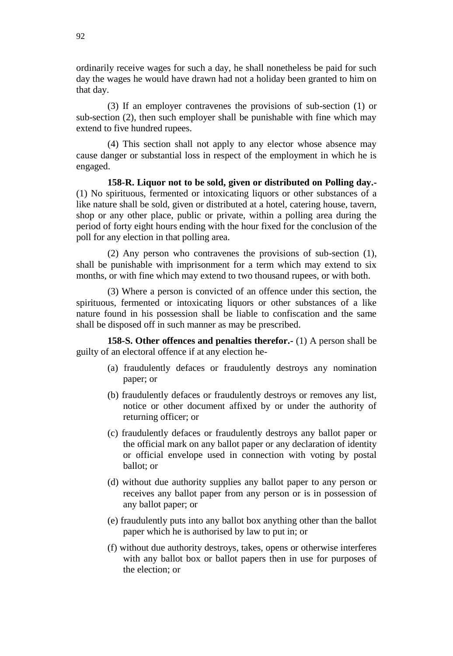ordinarily receive wages for such a day, he shall nonetheless be paid for such day the wages he would have drawn had not a holiday been granted to him on that day.

(3) If an employer contravenes the provisions of sub-section (1) or sub-section (2), then such employer shall be punishable with fine which may extend to five hundred rupees.

(4) This section shall not apply to any elector whose absence may cause danger or substantial loss in respect of the employment in which he is engaged.

**158-R. Liquor not to be sold, given or distributed on Polling day.-** (1) No spirituous, fermented or intoxicating liquors or other substances of a like nature shall be sold, given or distributed at a hotel, catering house, tavern, shop or any other place, public or private, within a polling area during the period of forty eight hours ending with the hour fixed for the conclusion of the poll for any election in that polling area.

(2) Any person who contravenes the provisions of sub-section (1), shall be punishable with imprisonment for a term which may extend to six months, or with fine which may extend to two thousand rupees, or with both.

(3) Where a person is convicted of an offence under this section, the spirituous, fermented or intoxicating liquors or other substances of a like nature found in his possession shall be liable to confiscation and the same shall be disposed off in such manner as may be prescribed.

**158-S. Other offences and penalties therefor.-** (1) A person shall be guilty of an electoral offence if at any election he-

- (a) fraudulently defaces or fraudulently destroys any nomination paper; or
- (b) fraudulently defaces or fraudulently destroys or removes any list, notice or other document affixed by or under the authority of returning officer; or
- (c) fraudulently defaces or fraudulently destroys any ballot paper or the official mark on any ballot paper or any declaration of identity or official envelope used in connection with voting by postal ballot; or
- (d) without due authority supplies any ballot paper to any person or receives any ballot paper from any person or is in possession of any ballot paper; or
- (e) fraudulently puts into any ballot box anything other than the ballot paper which he is authorised by law to put in; or
- (f) without due authority destroys, takes, opens or otherwise interferes with any ballot box or ballot papers then in use for purposes of the election; or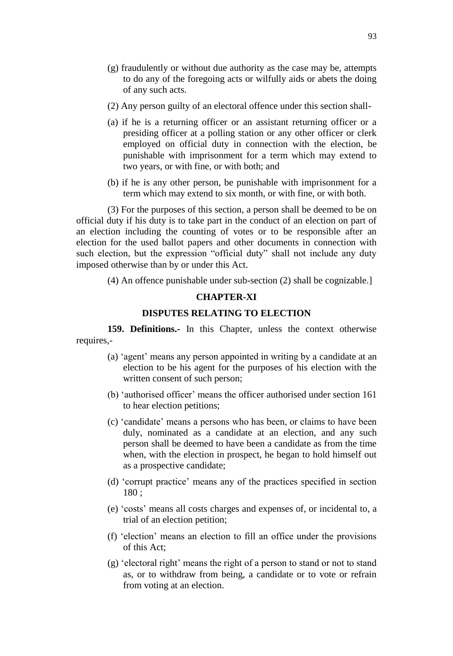- (g) fraudulently or without due authority as the case may be, attempts to do any of the foregoing acts or wilfully aids or abets the doing of any such acts.
- (2) Any person guilty of an electoral offence under this section shall-
- (a) if he is a returning officer or an assistant returning officer or a presiding officer at a polling station or any other officer or clerk employed on official duty in connection with the election, be punishable with imprisonment for a term which may extend to two years, or with fine, or with both; and
- (b) if he is any other person, be punishable with imprisonment for a term which may extend to six month, or with fine, or with both.

(3) For the purposes of this section, a person shall be deemed to be on official duty if his duty is to take part in the conduct of an election on part of an election including the counting of votes or to be responsible after an election for the used ballot papers and other documents in connection with such election, but the expression "official duty" shall not include any duty imposed otherwise than by or under this Act.

(4) An offence punishable under sub-section (2) shall be cognizable.]

#### **CHAPTER-XI**

### **DISPUTES RELATING TO ELECTION**

**159. Definitions.-** In this Chapter, unless the context otherwise requires,-

- (a) 'agent' means any person appointed in writing by a candidate at an election to be his agent for the purposes of his election with the written consent of such person;
- (b) 'authorised officer' means the officer authorised under section 161 to hear election petitions;
- (c) 'candidate' means a persons who has been, or claims to have been duly, nominated as a candidate at an election, and any such person shall be deemed to have been a candidate as from the time when, with the election in prospect, he began to hold himself out as a prospective candidate;
- (d) 'corrupt practice' means any of the practices specified in section 180 ;
- (e) 'costs' means all costs charges and expenses of, or incidental to, a trial of an election petition;
- (f) 'election' means an election to fill an office under the provisions of this Act;
- (g) 'electoral right' means the right of a person to stand or not to stand as, or to withdraw from being, a candidate or to vote or refrain from voting at an election.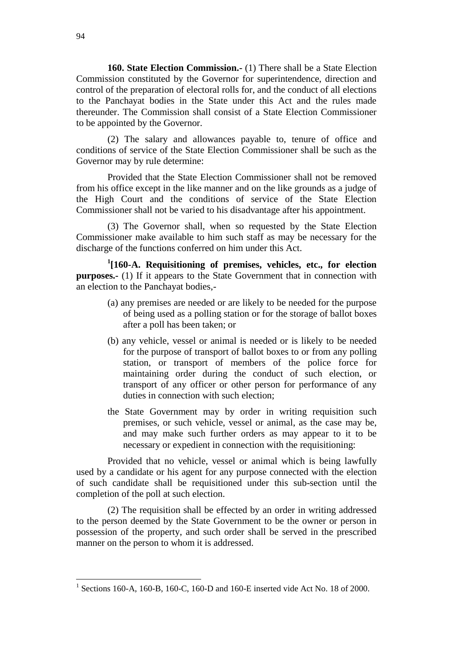**160. State Election Commission.-** (1) There shall be a State Election Commission constituted by the Governor for superintendence, direction and control of the preparation of electoral rolls for, and the conduct of all elections to the Panchayat bodies in the State under this Act and the rules made thereunder. The Commission shall consist of a State Election Commissioner to be appointed by the Governor.

(2) The salary and allowances payable to, tenure of office and conditions of service of the State Election Commissioner shall be such as the Governor may by rule determine:

Provided that the State Election Commissioner shall not be removed from his office except in the like manner and on the like grounds as a judge of the High Court and the conditions of service of the State Election Commissioner shall not be varied to his disadvantage after his appointment.

(3) The Governor shall, when so requested by the State Election Commissioner make available to him such staff as may be necessary for the discharge of the functions conferred on him under this Act.

**1 [160-A. Requisitioning of premises, vehicles, etc., for election purposes.-** (1) If it appears to the State Government that in connection with an election to the Panchayat bodies,-

- (a) any premises are needed or are likely to be needed for the purpose of being used as a polling station or for the storage of ballot boxes after a poll has been taken; or
- (b) any vehicle, vessel or animal is needed or is likely to be needed for the purpose of transport of ballot boxes to or from any polling station, or transport of members of the police force for maintaining order during the conduct of such election, or transport of any officer or other person for performance of any duties in connection with such election;
- the State Government may by order in writing requisition such premises, or such vehicle, vessel or animal, as the case may be, and may make such further orders as may appear to it to be necessary or expedient in connection with the requisitioning:

Provided that no vehicle, vessel or animal which is being lawfully used by a candidate or his agent for any purpose connected with the election of such candidate shall be requisitioned under this sub-section until the completion of the poll at such election.

(2) The requisition shall be effected by an order in writing addressed to the person deemed by the State Government to be the owner or person in possession of the property, and such order shall be served in the prescribed manner on the person to whom it is addressed.

<sup>&</sup>lt;sup>1</sup> Sections 160-A, 160-B, 160-C, 160-D and 160-E inserted vide Act No. 18 of 2000.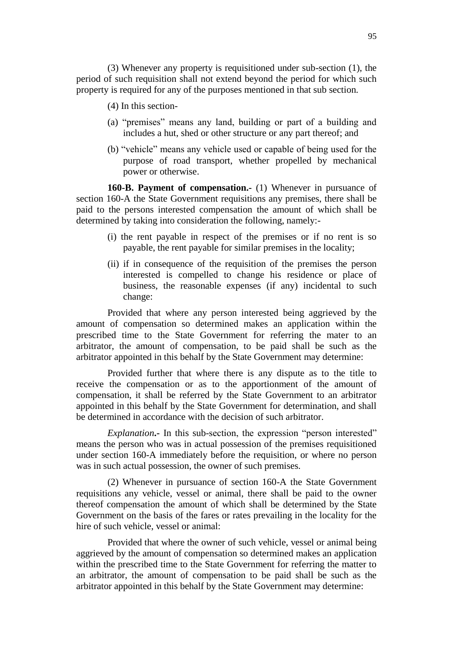- (4) In this section-
- (a) "premises" means any land, building or part of a building and includes a hut, shed or other structure or any part thereof; and
- (b) "vehicle" means any vehicle used or capable of being used for the purpose of road transport, whether propelled by mechanical power or otherwise.

**160-B. Payment of compensation.-** (1) Whenever in pursuance of section 160-A the State Government requisitions any premises, there shall be paid to the persons interested compensation the amount of which shall be determined by taking into consideration the following, namely:-

- (i) the rent payable in respect of the premises or if no rent is so payable, the rent payable for similar premises in the locality;
- (ii) if in consequence of the requisition of the premises the person interested is compelled to change his residence or place of business, the reasonable expenses (if any) incidental to such change:

Provided that where any person interested being aggrieved by the amount of compensation so determined makes an application within the prescribed time to the State Government for referring the mater to an arbitrator, the amount of compensation, to be paid shall be such as the arbitrator appointed in this behalf by the State Government may determine:

Provided further that where there is any dispute as to the title to receive the compensation or as to the apportionment of the amount of compensation, it shall be referred by the State Government to an arbitrator appointed in this behalf by the State Government for determination, and shall be determined in accordance with the decision of such arbitrator.

*Explanation*. In this sub-section, the expression "person interested" means the person who was in actual possession of the premises requisitioned under section 160-A immediately before the requisition, or where no person was in such actual possession, the owner of such premises.

(2) Whenever in pursuance of section 160-A the State Government requisitions any vehicle, vessel or animal, there shall be paid to the owner thereof compensation the amount of which shall be determined by the State Government on the basis of the fares or rates prevailing in the locality for the hire of such vehicle, vessel or animal:

Provided that where the owner of such vehicle, vessel or animal being aggrieved by the amount of compensation so determined makes an application within the prescribed time to the State Government for referring the matter to an arbitrator, the amount of compensation to be paid shall be such as the arbitrator appointed in this behalf by the State Government may determine: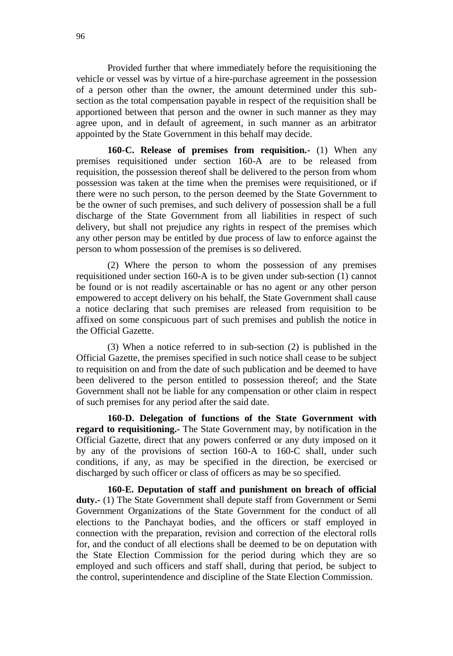Provided further that where immediately before the requisitioning the vehicle or vessel was by virtue of a hire-purchase agreement in the possession of a person other than the owner, the amount determined under this subsection as the total compensation payable in respect of the requisition shall be apportioned between that person and the owner in such manner as they may agree upon, and in default of agreement, in such manner as an arbitrator appointed by the State Government in this behalf may decide.

**160-C. Release of premises from requisition.-** (1) When any premises requisitioned under section 160-A are to be released from requisition, the possession thereof shall be delivered to the person from whom possession was taken at the time when the premises were requisitioned, or if there were no such person, to the person deemed by the State Government to be the owner of such premises, and such delivery of possession shall be a full discharge of the State Government from all liabilities in respect of such delivery, but shall not prejudice any rights in respect of the premises which any other person may be entitled by due process of law to enforce against the person to whom possession of the premises is so delivered.

(2) Where the person to whom the possession of any premises requisitioned under section 160-A is to be given under sub-section (1) cannot be found or is not readily ascertainable or has no agent or any other person empowered to accept delivery on his behalf, the State Government shall cause a notice declaring that such premises are released from requisition to be affixed on some conspicuous part of such premises and publish the notice in the Official Gazette.

(3) When a notice referred to in sub-section (2) is published in the Official Gazette, the premises specified in such notice shall cease to be subject to requisition on and from the date of such publication and be deemed to have been delivered to the person entitled to possession thereof; and the State Government shall not be liable for any compensation or other claim in respect of such premises for any period after the said date.

**160-D. Delegation of functions of the State Government with regard to requisitioning.-** The State Government may, by notification in the Official Gazette, direct that any powers conferred or any duty imposed on it by any of the provisions of section 160-A to 160-C shall, under such conditions, if any, as may be specified in the direction, be exercised or discharged by such officer or class of officers as may be so specified.

**160-E. Deputation of staff and punishment on breach of official duty.-** (1) The State Government shall depute staff from Government or Semi Government Organizations of the State Government for the conduct of all elections to the Panchayat bodies, and the officers or staff employed in connection with the preparation, revision and correction of the electoral rolls for, and the conduct of all elections shall be deemed to be on deputation with the State Election Commission for the period during which they are so employed and such officers and staff shall, during that period, be subject to the control, superintendence and discipline of the State Election Commission.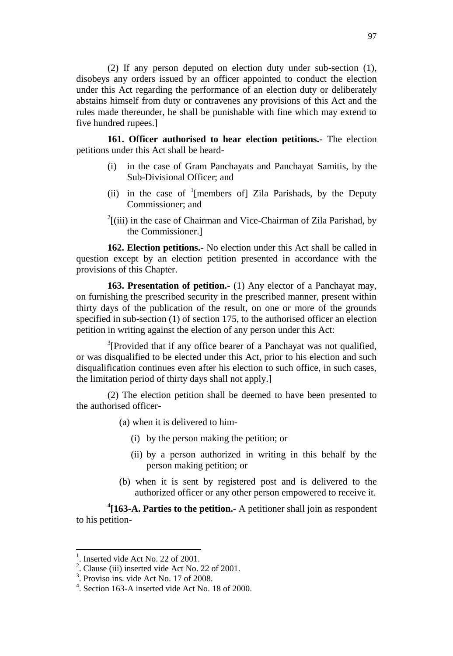(2) If any person deputed on election duty under sub-section (1), disobeys any orders issued by an officer appointed to conduct the election under this Act regarding the performance of an election duty or deliberately abstains himself from duty or contravenes any provisions of this Act and the rules made thereunder, he shall be punishable with fine which may extend to five hundred rupees.]

**161. Officer authorised to hear election petitions.-** The election petitions under this Act shall be heard-

- (i) in the case of Gram Panchayats and Panchayat Samitis, by the Sub-Divisional Officer; and
- (ii) in the case of  $\frac{1}{2}$  [members of] Zila Parishads, by the Deputy Commissioner; and
- $2^2$ [(iii) in the case of Chairman and Vice-Chairman of Zila Parishad, by the Commissioner.]

**162. Election petitions.-** No election under this Act shall be called in question except by an election petition presented in accordance with the provisions of this Chapter.

**163. Presentation of petition.-** (1) Any elector of a Panchayat may, on furnishing the prescribed security in the prescribed manner, present within thirty days of the publication of the result, on one or more of the grounds specified in sub-section (1) of section 175, to the authorised officer an election petition in writing against the election of any person under this Act:

 $3$ [Provided that if any office bearer of a Panchayat was not qualified, or was disqualified to be elected under this Act, prior to his election and such disqualification continues even after his election to such office, in such cases, the limitation period of thirty days shall not apply.]

(2) The election petition shall be deemed to have been presented to the authorised officer-

- (a) when it is delivered to him-
	- (i) by the person making the petition; or
	- (ii) by a person authorized in writing in this behalf by the person making petition; or
- (b) when it is sent by registered post and is delivered to the authorized officer or any other person empowered to receive it.

**4 [163-A. Parties to the petition.-** A petitioner shall join as respondent to his petition-

<sup>&</sup>lt;sup>1</sup>. Inserted vide Act No. 22 of 2001.

 $2^2$ . Clause (iii) inserted vide Act No. 22 of 2001.

<sup>3</sup> . Proviso ins. vide Act No. 17 of 2008.

<sup>4</sup> . Section 163-A inserted vide Act No. 18 of 2000.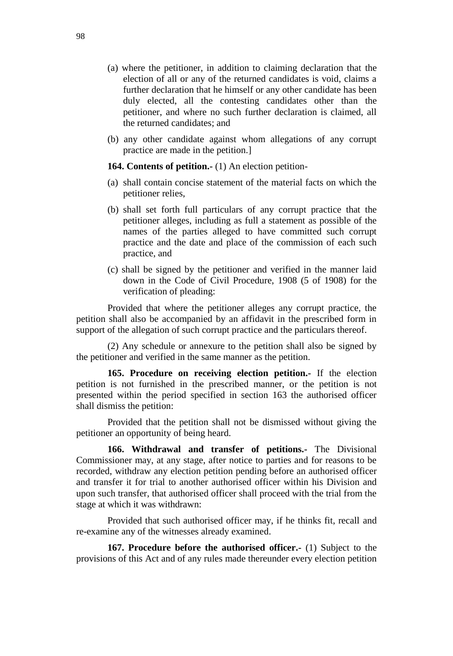- (a) where the petitioner, in addition to claiming declaration that the election of all or any of the returned candidates is void, claims a further declaration that he himself or any other candidate has been duly elected, all the contesting candidates other than the petitioner, and where no such further declaration is claimed, all the returned candidates; and
- (b) any other candidate against whom allegations of any corrupt practice are made in the petition.]

**164. Contents of petition.-** (1) An election petition-

- (a) shall contain concise statement of the material facts on which the petitioner relies,
- (b) shall set forth full particulars of any corrupt practice that the petitioner alleges, including as full a statement as possible of the names of the parties alleged to have committed such corrupt practice and the date and place of the commission of each such practice, and
- (c) shall be signed by the petitioner and verified in the manner laid down in the Code of Civil Procedure, 1908 (5 of 1908) for the verification of pleading:

Provided that where the petitioner alleges any corrupt practice, the petition shall also be accompanied by an affidavit in the prescribed form in support of the allegation of such corrupt practice and the particulars thereof.

(2) Any schedule or annexure to the petition shall also be signed by the petitioner and verified in the same manner as the petition.

**165. Procedure on receiving election petition.-** If the election petition is not furnished in the prescribed manner, or the petition is not presented within the period specified in section 163 the authorised officer shall dismiss the petition:

Provided that the petition shall not be dismissed without giving the petitioner an opportunity of being heard.

**166. Withdrawal and transfer of petitions.-** The Divisional Commissioner may, at any stage, after notice to parties and for reasons to be recorded, withdraw any election petition pending before an authorised officer and transfer it for trial to another authorised officer within his Division and upon such transfer, that authorised officer shall proceed with the trial from the stage at which it was withdrawn:

Provided that such authorised officer may, if he thinks fit, recall and re-examine any of the witnesses already examined.

**167. Procedure before the authorised officer.-** (1) Subject to the provisions of this Act and of any rules made thereunder every election petition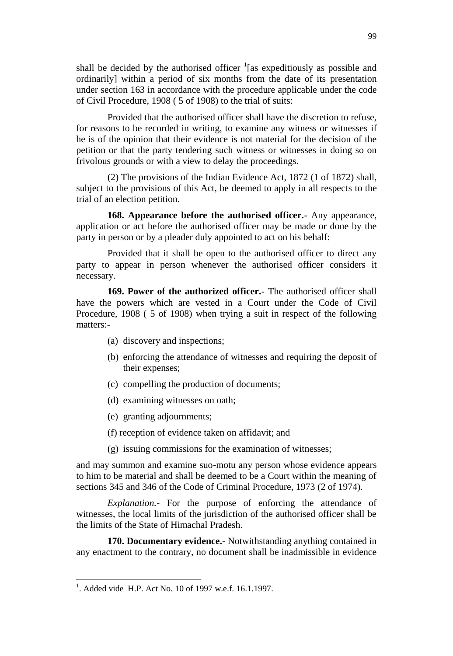shall be decided by the authorised officer  $\frac{1}{1}$  as expeditiously as possible and ordinarily] within a period of six months from the date of its presentation under section 163 in accordance with the procedure applicable under the code of Civil Procedure, 1908 ( 5 of 1908) to the trial of suits:

Provided that the authorised officer shall have the discretion to refuse, for reasons to be recorded in writing, to examine any witness or witnesses if he is of the opinion that their evidence is not material for the decision of the petition or that the party tendering such witness or witnesses in doing so on frivolous grounds or with a view to delay the proceedings.

(2) The provisions of the Indian Evidence Act, 1872 (1 of 1872) shall, subject to the provisions of this Act, be deemed to apply in all respects to the trial of an election petition.

**168. Appearance before the authorised officer.-** Any appearance, application or act before the authorised officer may be made or done by the party in person or by a pleader duly appointed to act on his behalf:

Provided that it shall be open to the authorised officer to direct any party to appear in person whenever the authorised officer considers it necessary.

**169. Power of the authorized officer.-** The authorised officer shall have the powers which are vested in a Court under the Code of Civil Procedure, 1908 ( 5 of 1908) when trying a suit in respect of the following matters:-

- (a) discovery and inspections;
- (b) enforcing the attendance of witnesses and requiring the deposit of their expenses;
- (c) compelling the production of documents;
- (d) examining witnesses on oath;
- (e) granting adjournments;
- (f) reception of evidence taken on affidavit; and
- (g) issuing commissions for the examination of witnesses;

and may summon and examine suo-motu any person whose evidence appears to him to be material and shall be deemed to be a Court within the meaning of sections 345 and 346 of the Code of Criminal Procedure, 1973 (2 of 1974).

*Explanation.-* For the purpose of enforcing the attendance of witnesses, the local limits of the jurisdiction of the authorised officer shall be the limits of the State of Himachal Pradesh.

**170. Documentary evidence.-** Notwithstanding anything contained in any enactment to the contrary, no document shall be inadmissible in evidence

<sup>&</sup>lt;sup>1</sup>. Added vide H.P. Act No. 10 of 1997 w.e.f. 16.1.1997.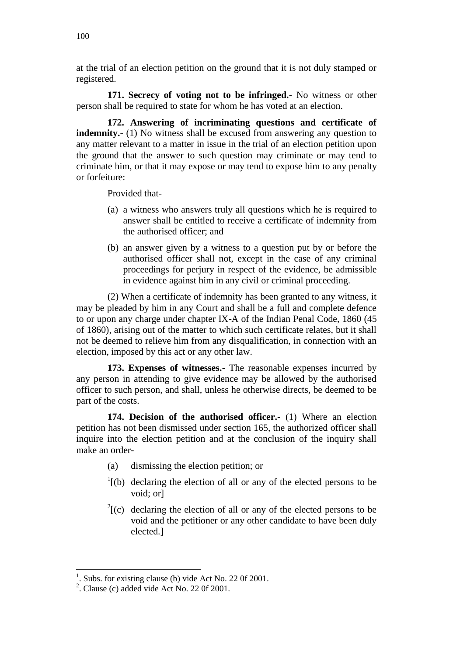at the trial of an election petition on the ground that it is not duly stamped or registered.

**171. Secrecy of voting not to be infringed.-** No witness or other person shall be required to state for whom he has voted at an election.

**172. Answering of incriminating questions and certificate of indemnity.** (1) No witness shall be excused from answering any question to any matter relevant to a matter in issue in the trial of an election petition upon the ground that the answer to such question may criminate or may tend to criminate him, or that it may expose or may tend to expose him to any penalty or forfeiture:

Provided that-

- (a) a witness who answers truly all questions which he is required to answer shall be entitled to receive a certificate of indemnity from the authorised officer; and
- (b) an answer given by a witness to a question put by or before the authorised officer shall not, except in the case of any criminal proceedings for perjury in respect of the evidence, be admissible in evidence against him in any civil or criminal proceeding.

(2) When a certificate of indemnity has been granted to any witness, it may be pleaded by him in any Court and shall be a full and complete defence to or upon any charge under chapter IX-A of the Indian Penal Code, 1860 (45 of 1860), arising out of the matter to which such certificate relates, but it shall not be deemed to relieve him from any disqualification, in connection with an election, imposed by this act or any other law.

**173. Expenses of witnesses.-** The reasonable expenses incurred by any person in attending to give evidence may be allowed by the authorised officer to such person, and shall, unless he otherwise directs, be deemed to be part of the costs.

**174. Decision of the authorised officer.-** (1) Where an election petition has not been dismissed under section 165, the authorized officer shall inquire into the election petition and at the conclusion of the inquiry shall make an order-

- (a) dismissing the election petition; or
- $\frac{1}{1}$ (b) declaring the election of all or any of the elected persons to be void; or]
- $2^{2}$ [(c) declaring the election of all or any of the elected persons to be void and the petitioner or any other candidate to have been duly elected.]

<sup>1</sup> . Subs. for existing clause (b) vide Act No. 22 0f 2001.

 $2^2$ . Clause (c) added vide Act No. 22 0f 2001.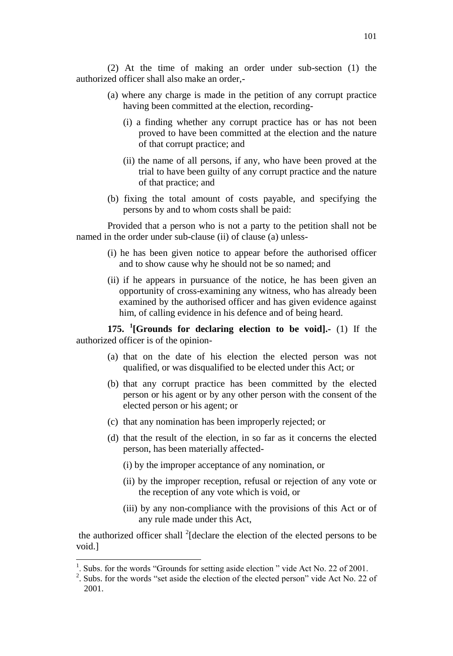(2) At the time of making an order under sub-section (1) the authorized officer shall also make an order,-

- (a) where any charge is made in the petition of any corrupt practice having been committed at the election, recording-
	- (i) a finding whether any corrupt practice has or has not been proved to have been committed at the election and the nature of that corrupt practice; and
	- (ii) the name of all persons, if any, who have been proved at the trial to have been guilty of any corrupt practice and the nature of that practice; and
- (b) fixing the total amount of costs payable, and specifying the persons by and to whom costs shall be paid:

Provided that a person who is not a party to the petition shall not be named in the order under sub-clause (ii) of clause (a) unless-

- (i) he has been given notice to appear before the authorised officer and to show cause why he should not be so named; and
- (ii) if he appears in pursuance of the notice, he has been given an opportunity of cross-examining any witness, who has already been examined by the authorised officer and has given evidence against him, of calling evidence in his defence and of being heard.

**175. <sup>1</sup> [Grounds for declaring election to be void].-** (1) If the authorized officer is of the opinion-

- (a) that on the date of his election the elected person was not qualified, or was disqualified to be elected under this Act; or
- (b) that any corrupt practice has been committed by the elected person or his agent or by any other person with the consent of the elected person or his agent; or
- (c) that any nomination has been improperly rejected; or
- (d) that the result of the election, in so far as it concerns the elected person, has been materially affected-
	- (i) by the improper acceptance of any nomination, or
	- (ii) by the improper reception, refusal or rejection of any vote or the reception of any vote which is void, or
	- (iii) by any non-compliance with the provisions of this Act or of any rule made under this Act,

the authorized officer shall <sup>2</sup>[declare the election of the elected persons to be void.]

<sup>1</sup> . Subs. for the words "Grounds for setting aside election " vide Act No. 22 of 2001.

<sup>&</sup>lt;sup>2</sup>. Subs. for the words "set aside the election of the elected person" vide Act No. 22 of 2001.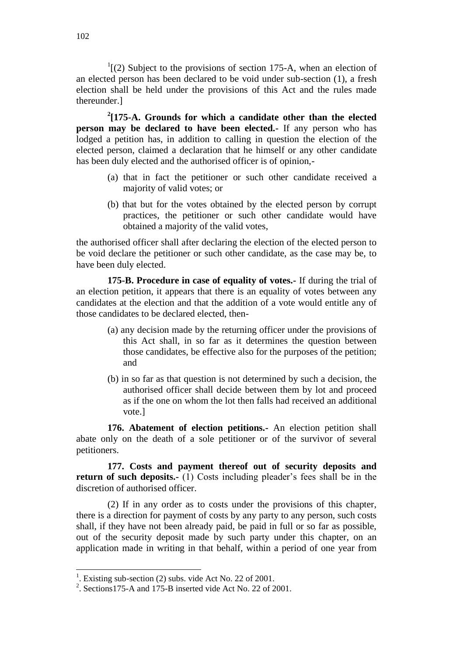$1(2)$  Subject to the provisions of section 175-A, when an election of an elected person has been declared to be void under sub-section (1), a fresh election shall be held under the provisions of this Act and the rules made thereunder.]

**2 [175-A. Grounds for which a candidate other than the elected person may be declared to have been elected.-** If any person who has lodged a petition has, in addition to calling in question the election of the elected person, claimed a declaration that he himself or any other candidate has been duly elected and the authorised officer is of opinion,-

- (a) that in fact the petitioner or such other candidate received a majority of valid votes; or
- (b) that but for the votes obtained by the elected person by corrupt practices, the petitioner or such other candidate would have obtained a majority of the valid votes,

the authorised officer shall after declaring the election of the elected person to be void declare the petitioner or such other candidate, as the case may be, to have been duly elected.

**175-B. Procedure in case of equality of votes.-** If during the trial of an election petition, it appears that there is an equality of votes between any candidates at the election and that the addition of a vote would entitle any of those candidates to be declared elected, then-

- (a) any decision made by the returning officer under the provisions of this Act shall, in so far as it determines the question between those candidates, be effective also for the purposes of the petition; and
- (b) in so far as that question is not determined by such a decision, the authorised officer shall decide between them by lot and proceed as if the one on whom the lot then falls had received an additional vote.]

**176. Abatement of election petitions.-** An election petition shall abate only on the death of a sole petitioner or of the survivor of several petitioners.

**177. Costs and payment thereof out of security deposits and return of such deposits.-** (1) Costs including pleader's fees shall be in the discretion of authorised officer.

(2) If in any order as to costs under the provisions of this chapter, there is a direction for payment of costs by any party to any person, such costs shall, if they have not been already paid, be paid in full or so far as possible, out of the security deposit made by such party under this chapter, on an application made in writing in that behalf, within a period of one year from

<sup>&</sup>lt;sup>1</sup>. Existing sub-section (2) subs. vide Act No. 22 of 2001.

<sup>&</sup>lt;sup>2</sup>. Sections175-A and 175-B inserted vide Act No. 22 of 2001.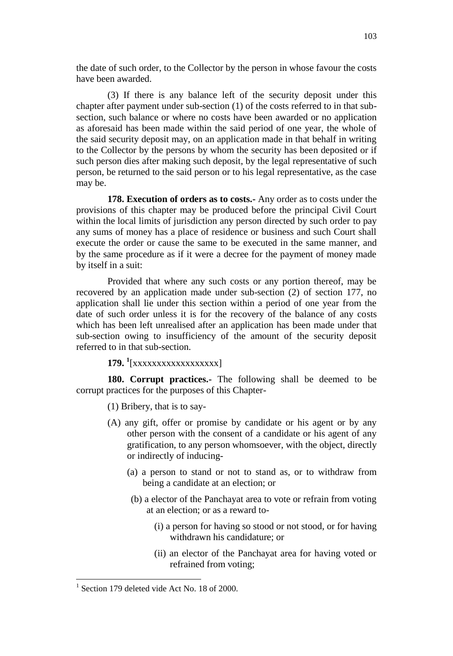the date of such order, to the Collector by the person in whose favour the costs have been awarded.

(3) If there is any balance left of the security deposit under this chapter after payment under sub-section (1) of the costs referred to in that subsection, such balance or where no costs have been awarded or no application as aforesaid has been made within the said period of one year, the whole of the said security deposit may, on an application made in that behalf in writing to the Collector by the persons by whom the security has been deposited or if such person dies after making such deposit, by the legal representative of such person, be returned to the said person or to his legal representative, as the case may be.

**178. Execution of orders as to costs.-** Any order as to costs under the provisions of this chapter may be produced before the principal Civil Court within the local limits of jurisdiction any person directed by such order to pay any sums of money has a place of residence or business and such Court shall execute the order or cause the same to be executed in the same manner, and by the same procedure as if it were a decree for the payment of money made by itself in a suit:

Provided that where any such costs or any portion thereof, may be recovered by an application made under sub-section (2) of section 177, no application shall lie under this section within a period of one year from the date of such order unless it is for the recovery of the balance of any costs which has been left unrealised after an application has been made under that sub-section owing to insufficiency of the amount of the security deposit referred to in that sub-section.

**179. <sup>1</sup>** [xxxxxxxxxxxxxxxxxx]

**180. Corrupt practices.-** The following shall be deemed to be corrupt practices for the purposes of this Chapter-

(1) Bribery, that is to say-

- (A) any gift, offer or promise by candidate or his agent or by any other person with the consent of a candidate or his agent of any gratification, to any person whomsoever, with the object, directly or indirectly of inducing-
	- (a) a person to stand or not to stand as, or to withdraw from being a candidate at an election; or
	- (b) a elector of the Panchayat area to vote or refrain from voting at an election; or as a reward to-
		- (i) a person for having so stood or not stood, or for having withdrawn his candidature; or
		- (ii) an elector of the Panchayat area for having voted or refrained from voting;

<sup>&</sup>lt;sup>1</sup> Section 179 deleted vide Act No. 18 of 2000.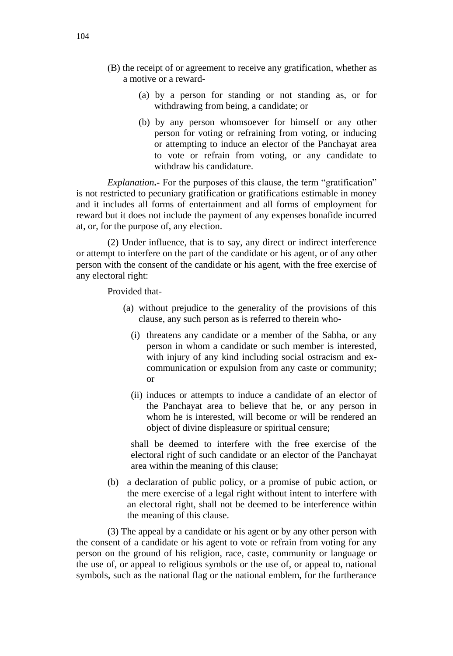- (B) the receipt of or agreement to receive any gratification, whether as a motive or a reward-
	- (a) by a person for standing or not standing as, or for withdrawing from being, a candidate; or
	- (b) by any person whomsoever for himself or any other person for voting or refraining from voting, or inducing or attempting to induce an elector of the Panchayat area to vote or refrain from voting, or any candidate to withdraw his candidature.

*Explanation*. For the purposes of this clause, the term "gratification" is not restricted to pecuniary gratification or gratifications estimable in money and it includes all forms of entertainment and all forms of employment for reward but it does not include the payment of any expenses bonafide incurred at, or, for the purpose of, any election.

(2) Under influence, that is to say, any direct or indirect interference or attempt to interfere on the part of the candidate or his agent, or of any other person with the consent of the candidate or his agent, with the free exercise of any electoral right:

Provided that-

- (a) without prejudice to the generality of the provisions of this clause, any such person as is referred to therein who-
	- (i) threatens any candidate or a member of the Sabha, or any person in whom a candidate or such member is interested, with injury of any kind including social ostracism and excommunication or expulsion from any caste or community; or
	- (ii) induces or attempts to induce a candidate of an elector of the Panchayat area to believe that he, or any person in whom he is interested, will become or will be rendered an object of divine displeasure or spiritual censure;

shall be deemed to interfere with the free exercise of the electoral right of such candidate or an elector of the Panchayat area within the meaning of this clause;

(b) a declaration of public policy, or a promise of pubic action, or the mere exercise of a legal right without intent to interfere with an electoral right, shall not be deemed to be interference within the meaning of this clause.

(3) The appeal by a candidate or his agent or by any other person with the consent of a candidate or his agent to vote or refrain from voting for any person on the ground of his religion, race, caste, community or language or the use of, or appeal to religious symbols or the use of, or appeal to, national symbols, such as the national flag or the national emblem, for the furtherance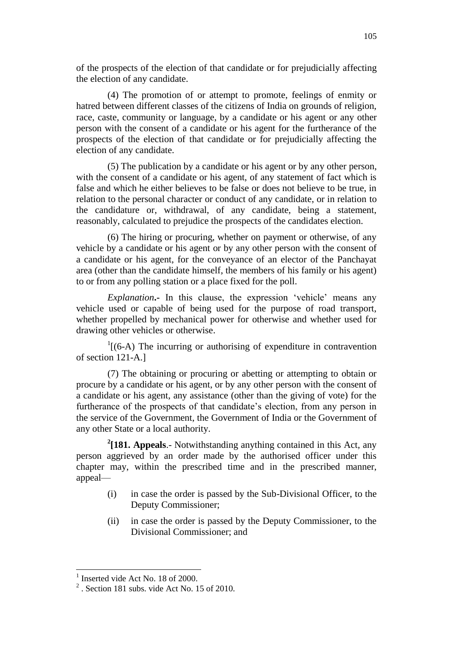of the prospects of the election of that candidate or for prejudicially affecting the election of any candidate.

(4) The promotion of or attempt to promote, feelings of enmity or hatred between different classes of the citizens of India on grounds of religion, race, caste, community or language, by a candidate or his agent or any other person with the consent of a candidate or his agent for the furtherance of the prospects of the election of that candidate or for prejudicially affecting the election of any candidate.

(5) The publication by a candidate or his agent or by any other person, with the consent of a candidate or his agent, of any statement of fact which is false and which he either believes to be false or does not believe to be true, in relation to the personal character or conduct of any candidate, or in relation to the candidature or, withdrawal, of any candidate, being a statement, reasonably, calculated to prejudice the prospects of the candidates election.

(6) The hiring or procuring, whether on payment or otherwise, of any vehicle by a candidate or his agent or by any other person with the consent of a candidate or his agent, for the conveyance of an elector of the Panchayat area (other than the candidate himself, the members of his family or his agent) to or from any polling station or a place fixed for the poll.

*Explanation***.-** In this clause, the expression 'vehicle' means any vehicle used or capable of being used for the purpose of road transport, whether propelled by mechanical power for otherwise and whether used for drawing other vehicles or otherwise.

 $1[(6-A)$  The incurring or authorising of expenditure in contravention of section 121-A.]

(7) The obtaining or procuring or abetting or attempting to obtain or procure by a candidate or his agent, or by any other person with the consent of a candidate or his agent, any assistance (other than the giving of vote) for the furtherance of the prospects of that candidate's election, from any person in the service of the Government, the Government of India or the Government of any other State or a local authority.

**2 [181. Appeals**.- Notwithstanding anything contained in this Act, any person aggrieved by an order made by the authorised officer under this chapter may, within the prescribed time and in the prescribed manner, appeal—

- (i) in case the order is passed by the Sub-Divisional Officer, to the Deputy Commissioner;
- (ii) in case the order is passed by the Deputy Commissioner, to the Divisional Commissioner; and

 $\overline{a}$ <sup>1</sup> Inserted vide Act No. 18 of 2000.

 $2^2$ . Section 181 subs. vide Act No. 15 of 2010.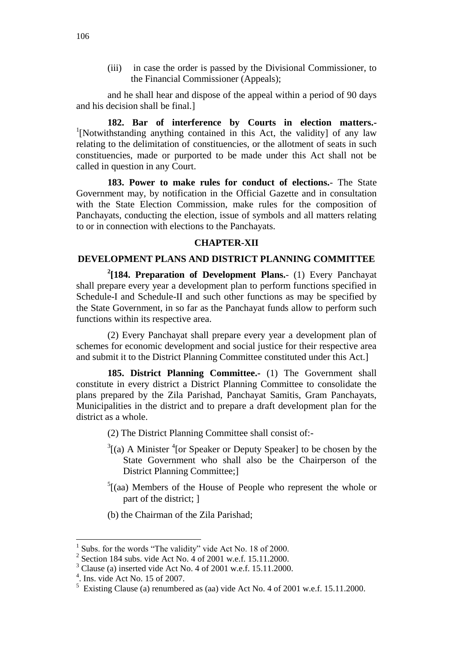(iii) in case the order is passed by the Divisional Commissioner, to the Financial Commissioner (Appeals);

and he shall hear and dispose of the appeal within a period of 90 days and his decision shall be final.]

**182. Bar of interference by Courts in election matters.-** <sup>1</sup>[Notwithstanding anything contained in this Act, the validity] of any law relating to the delimitation of constituencies, or the allotment of seats in such constituencies, made or purported to be made under this Act shall not be called in question in any Court.

**183. Power to make rules for conduct of elections.**- The State Government may, by notification in the Official Gazette and in consultation with the State Election Commission, make rules for the composition of Panchayats, conducting the election, issue of symbols and all matters relating to or in connection with elections to the Panchayats.

#### **CHAPTER-XII**

# **DEVELOPMENT PLANS AND DISTRICT PLANNING COMMITTEE**

**2 [184. Preparation of Development Plans.**- (1) Every Panchayat shall prepare every year a development plan to perform functions specified in Schedule-I and Schedule-II and such other functions as may be specified by the State Government, in so far as the Panchayat funds allow to perform such functions within its respective area.

(2) Every Panchayat shall prepare every year a development plan of schemes for economic development and social justice for their respective area and submit it to the District Planning Committee constituted under this Act.]

**185. District Planning Committee.-** (1) The Government shall constitute in every district a District Planning Committee to consolidate the plans prepared by the Zila Parishad, Panchayat Samitis, Gram Panchayats, Municipalities in the district and to prepare a draft development plan for the district as a whole.

(2) The District Planning Committee shall consist of:-

- $3$ [(a) A Minister  $3$ <sup>4</sup>[or Speaker or Deputy Speaker] to be chosen by the State Government who shall also be the Chairperson of the District Planning Committee;]
- $5$ [(aa) Members of the House of People who represent the whole or part of the district; ]
- (b) the Chairman of the Zila Parishad;

<sup>&</sup>lt;sup>1</sup> Subs. for the words "The validity" vide Act No. 18 of 2000.

<sup>2</sup> Section 184 subs. vide Act No. 4 of 2001 w.e.f. 15.11.2000.

<sup>3</sup> Clause (a) inserted vide Act No. 4 of 2001 w.e.f. 15.11.2000.

<sup>4</sup> . Ins. vide Act No. 15 of 2007.

<sup>&</sup>lt;sup>5</sup> Existing Clause (a) renumbered as (aa) vide Act No. 4 of 2001 w.e.f. 15.11.2000.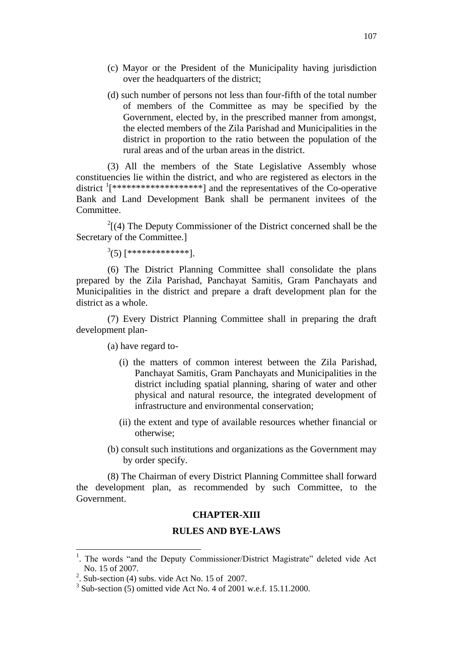- (c) Mayor or the President of the Municipality having jurisdiction over the headquarters of the district;
- (d) such number of persons not less than four-fifth of the total number of members of the Committee as may be specified by the Government, elected by, in the prescribed manner from amongst, the elected members of the Zila Parishad and Municipalities in the district in proportion to the ratio between the population of the rural areas and of the urban areas in the district.

(3) All the members of the State Legislative Assembly whose constituencies lie within the district, and who are registered as electors in the district  $\frac{1}{x}$ <sup>1</sup>[\*\*\*\*\*\*\*\*\*\*\*\*\*\*\*\*\*\*\*\*\*\*\*\*\*] and the representatives of the Co-operative Bank and Land Development Bank shall be permanent invitees of the Committee.

 $2^{2}$ [(4) The Deputy Commissioner of the District concerned shall be the Secretary of the Committee.]

 $^{3}(5)$  [\*\*\*\*\*\*\*\*\*\*\*\*\*].

(6) The District Planning Committee shall consolidate the plans prepared by the Zila Parishad, Panchayat Samitis, Gram Panchayats and Municipalities in the district and prepare a draft development plan for the district as a whole.

(7) Every District Planning Committee shall in preparing the draft development plan-

(a) have regard to-

- (i) the matters of common interest between the Zila Parishad, Panchayat Samitis, Gram Panchayats and Municipalities in the district including spatial planning, sharing of water and other physical and natural resource, the integrated development of infrastructure and environmental conservation;
- (ii) the extent and type of available resources whether financial or otherwise;
- (b) consult such institutions and organizations as the Government may by order specify.

(8) The Chairman of every District Planning Committee shall forward the development plan, as recommended by such Committee, to the Government.

#### **CHAPTER-XIII**

# **RULES AND BYE-LAWS**

<sup>&</sup>lt;sup>1</sup>. The words "and the Deputy Commissioner/District Magistrate" deleted vide Act No. 15 of 2007.

<sup>&</sup>lt;sup>2</sup>. Sub-section (4) subs. vide Act No. 15 of 2007.

 $3$  Sub-section (5) omitted vide Act No. 4 of 2001 w.e.f. 15.11.2000.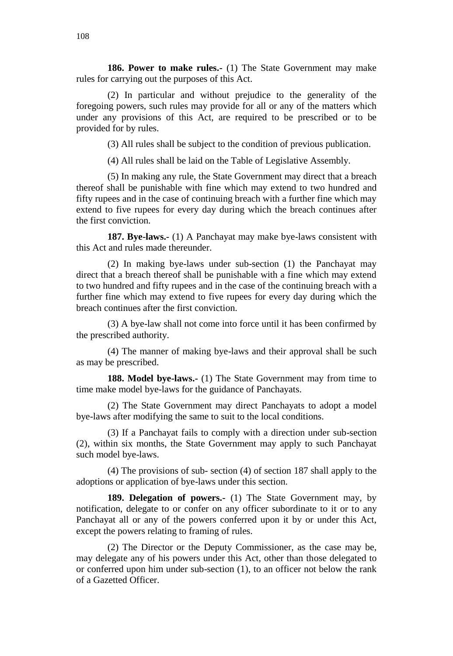**186. Power to make rules.-** (1) The State Government may make rules for carrying out the purposes of this Act.

(2) In particular and without prejudice to the generality of the foregoing powers, such rules may provide for all or any of the matters which under any provisions of this Act, are required to be prescribed or to be provided for by rules.

(3) All rules shall be subject to the condition of previous publication.

(4) All rules shall be laid on the Table of Legislative Assembly.

(5) In making any rule, the State Government may direct that a breach thereof shall be punishable with fine which may extend to two hundred and fifty rupees and in the case of continuing breach with a further fine which may extend to five rupees for every day during which the breach continues after the first conviction.

**187. Bye-laws.-** (1) A Panchayat may make bye-laws consistent with this Act and rules made thereunder.

(2) In making bye-laws under sub-section (1) the Panchayat may direct that a breach thereof shall be punishable with a fine which may extend to two hundred and fifty rupees and in the case of the continuing breach with a further fine which may extend to five rupees for every day during which the breach continues after the first conviction.

(3) A bye-law shall not come into force until it has been confirmed by the prescribed authority.

(4) The manner of making bye-laws and their approval shall be such as may be prescribed.

**188. Model bye-laws.-** (1) The State Government may from time to time make model bye-laws for the guidance of Panchayats.

(2) The State Government may direct Panchayats to adopt a model bye-laws after modifying the same to suit to the local conditions.

(3) If a Panchayat fails to comply with a direction under sub-section (2), within six months, the State Government may apply to such Panchayat such model bye-laws.

(4) The provisions of sub- section (4) of section 187 shall apply to the adoptions or application of bye-laws under this section.

**189. Delegation of powers.-** (1) The State Government may, by notification, delegate to or confer on any officer subordinate to it or to any Panchayat all or any of the powers conferred upon it by or under this Act, except the powers relating to framing of rules.

(2) The Director or the Deputy Commissioner, as the case may be, may delegate any of his powers under this Act, other than those delegated to or conferred upon him under sub-section (1), to an officer not below the rank of a Gazetted Officer.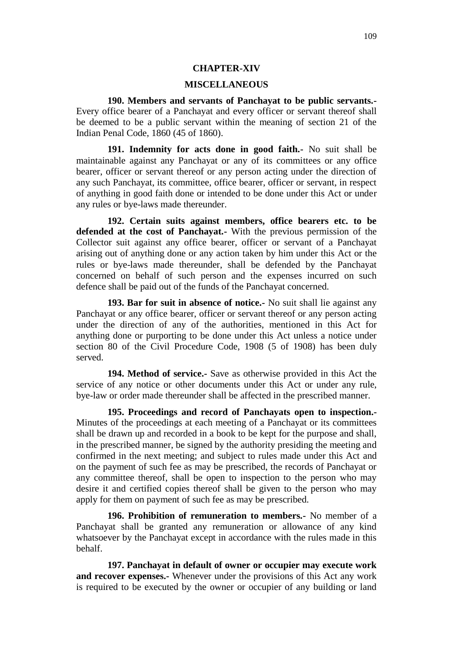### **CHAPTER-XIV**

#### **MISCELLANEOUS**

**190. Members and servants of Panchayat to be public servants.-** Every office bearer of a Panchayat and every officer or servant thereof shall be deemed to be a public servant within the meaning of section 21 of the Indian Penal Code, 1860 (45 of 1860).

**191. Indemnity for acts done in good faith.-** No suit shall be maintainable against any Panchayat or any of its committees or any office bearer, officer or servant thereof or any person acting under the direction of any such Panchayat, its committee, office bearer, officer or servant, in respect of anything in good faith done or intended to be done under this Act or under any rules or bye-laws made thereunder.

**192. Certain suits against members, office bearers etc. to be defended at the cost of Panchayat.-** With the previous permission of the Collector suit against any office bearer, officer or servant of a Panchayat arising out of anything done or any action taken by him under this Act or the rules or bye-laws made thereunder, shall be defended by the Panchayat concerned on behalf of such person and the expenses incurred on such defence shall be paid out of the funds of the Panchayat concerned.

**193. Bar for suit in absence of notice.-** No suit shall lie against any Panchayat or any office bearer, officer or servant thereof or any person acting under the direction of any of the authorities, mentioned in this Act for anything done or purporting to be done under this Act unless a notice under section 80 of the Civil Procedure Code, 1908 (5 of 1908) has been duly served.

**194. Method of service.-** Save as otherwise provided in this Act the service of any notice or other documents under this Act or under any rule, bye-law or order made thereunder shall be affected in the prescribed manner.

**195. Proceedings and record of Panchayats open to inspection.-** Minutes of the proceedings at each meeting of a Panchayat or its committees shall be drawn up and recorded in a book to be kept for the purpose and shall, in the prescribed manner, be signed by the authority presiding the meeting and confirmed in the next meeting; and subject to rules made under this Act and on the payment of such fee as may be prescribed, the records of Panchayat or any committee thereof, shall be open to inspection to the person who may desire it and certified copies thereof shall be given to the person who may apply for them on payment of such fee as may be prescribed.

**196. Prohibition of remuneration to members.-** No member of a Panchayat shall be granted any remuneration or allowance of any kind whatsoever by the Panchayat except in accordance with the rules made in this behalf.

**197. Panchayat in default of owner or occupier may execute work and recover expenses.-** Whenever under the provisions of this Act any work is required to be executed by the owner or occupier of any building or land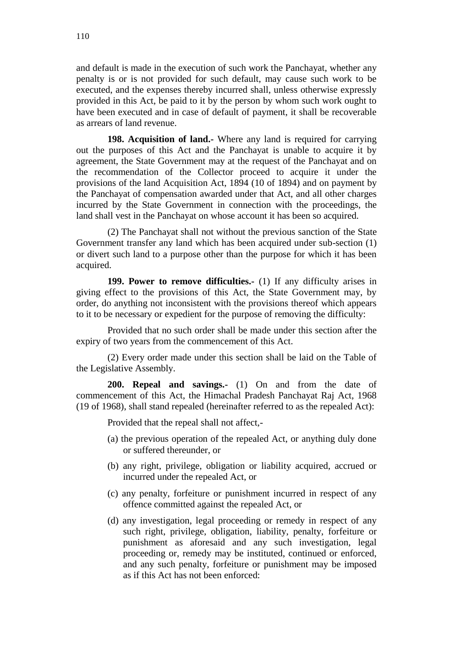and default is made in the execution of such work the Panchayat, whether any penalty is or is not provided for such default, may cause such work to be executed, and the expenses thereby incurred shall, unless otherwise expressly provided in this Act, be paid to it by the person by whom such work ought to have been executed and in case of default of payment, it shall be recoverable as arrears of land revenue.

**198. Acquisition of land.-** Where any land is required for carrying out the purposes of this Act and the Panchayat is unable to acquire it by agreement, the State Government may at the request of the Panchayat and on the recommendation of the Collector proceed to acquire it under the provisions of the land Acquisition Act, 1894 (10 of 1894) and on payment by the Panchayat of compensation awarded under that Act, and all other charges incurred by the State Government in connection with the proceedings, the land shall vest in the Panchayat on whose account it has been so acquired.

(2) The Panchayat shall not without the previous sanction of the State Government transfer any land which has been acquired under sub-section (1) or divert such land to a purpose other than the purpose for which it has been acquired.

**199. Power to remove difficulties.-** (1) If any difficulty arises in giving effect to the provisions of this Act, the State Government may, by order, do anything not inconsistent with the provisions thereof which appears to it to be necessary or expedient for the purpose of removing the difficulty:

Provided that no such order shall be made under this section after the expiry of two years from the commencement of this Act.

(2) Every order made under this section shall be laid on the Table of the Legislative Assembly.

**200. Repeal and savings.-** (1) On and from the date of commencement of this Act, the Himachal Pradesh Panchayat Raj Act, 1968 (19 of 1968), shall stand repealed (hereinafter referred to as the repealed Act):

Provided that the repeal shall not affect,-

- (a) the previous operation of the repealed Act, or anything duly done or suffered thereunder, or
- (b) any right, privilege, obligation or liability acquired, accrued or incurred under the repealed Act, or
- (c) any penalty, forfeiture or punishment incurred in respect of any offence committed against the repealed Act, or
- (d) any investigation, legal proceeding or remedy in respect of any such right, privilege, obligation, liability, penalty, forfeiture or punishment as aforesaid and any such investigation, legal proceeding or, remedy may be instituted, continued or enforced, and any such penalty, forfeiture or punishment may be imposed as if this Act has not been enforced: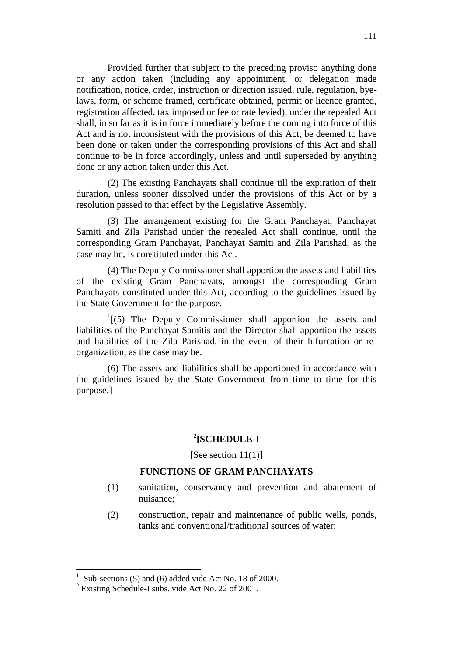Provided further that subject to the preceding proviso anything done or any action taken (including any appointment, or delegation made notification, notice, order, instruction or direction issued, rule, regulation, byelaws, form, or scheme framed, certificate obtained, permit or licence granted, registration affected, tax imposed or fee or rate levied), under the repealed Act shall, in so far as it is in force immediately before the coming into force of this Act and is not inconsistent with the provisions of this Act, be deemed to have been done or taken under the corresponding provisions of this Act and shall continue to be in force accordingly, unless and until superseded by anything done or any action taken under this Act.

(2) The existing Panchayats shall continue till the expiration of their duration, unless sooner dissolved under the provisions of this Act or by a resolution passed to that effect by the Legislative Assembly.

(3) The arrangement existing for the Gram Panchayat, Panchayat Samiti and Zila Parishad under the repealed Act shall continue, until the corresponding Gram Panchayat, Panchayat Samiti and Zila Parishad, as the case may be, is constituted under this Act.

(4) The Deputy Commissioner shall apportion the assets and liabilities of the existing Gram Panchayats, amongst the corresponding Gram Panchayats constituted under this Act, according to the guidelines issued by the State Government for the purpose.

 $<sup>1</sup>$ [(5) The Deputy Commissioner shall apportion the assets and</sup> liabilities of the Panchayat Samitis and the Director shall apportion the assets and liabilities of the Zila Parishad, in the event of their bifurcation or reorganization, as the case may be.

(6) The assets and liabilities shall be apportioned in accordance with the guidelines issued by the State Government from time to time for this purpose.]

### **2 [SCHEDULE-I**

[See section 11(1)]

#### **FUNCTIONS OF GRAM PANCHAYATS**

- (1) sanitation, conservancy and prevention and abatement of nuisance;
- (2) construction, repair and maintenance of public wells, ponds, tanks and conventional/traditional sources of water;

 $\overline{a}$ 

<sup>1</sup> Sub-sections (5) and (6) added vide Act No. 18 of 2000.

 $2$  Existing Schedule-I subs. vide Act No. 22 of 2001.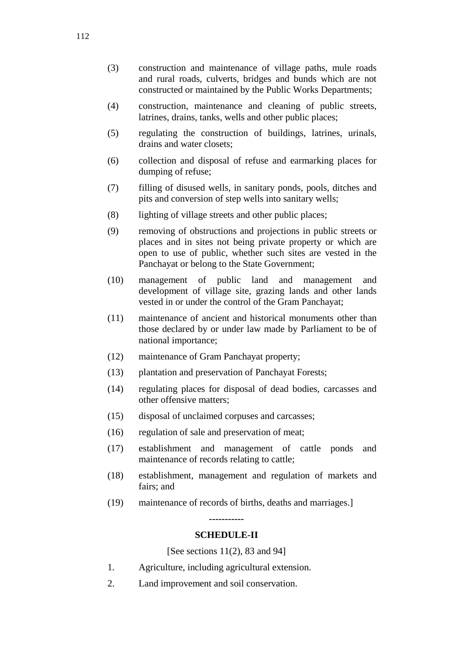- (3) construction and maintenance of village paths, mule roads and rural roads, culverts, bridges and bunds which are not constructed or maintained by the Public Works Departments;
- (4) construction, maintenance and cleaning of public streets, latrines, drains, tanks, wells and other public places;
- (5) regulating the construction of buildings, latrines, urinals, drains and water closets;
- (6) collection and disposal of refuse and earmarking places for dumping of refuse;
- (7) filling of disused wells, in sanitary ponds, pools, ditches and pits and conversion of step wells into sanitary wells;
- (8) lighting of village streets and other public places;
- (9) removing of obstructions and projections in public streets or places and in sites not being private property or which are open to use of public, whether such sites are vested in the Panchayat or belong to the State Government;
- (10) management of public land and management and development of village site, grazing lands and other lands vested in or under the control of the Gram Panchayat;
- (11) maintenance of ancient and historical monuments other than those declared by or under law made by Parliament to be of national importance;
- (12) maintenance of Gram Panchayat property;
- (13) plantation and preservation of Panchayat Forests;
- (14) regulating places for disposal of dead bodies, carcasses and other offensive matters;
- (15) disposal of unclaimed corpuses and carcasses;
- (16) regulation of sale and preservation of meat;
- (17) establishment and management of cattle ponds and maintenance of records relating to cattle;
- (18) establishment, management and regulation of markets and fairs; and
- (19) maintenance of records of births, deaths and marriages.]

**-----------**

### **SCHEDULE-II**

[See sections 11(2), 83 and 94]

- 1. Agriculture, including agricultural extension.
- 2. Land improvement and soil conservation.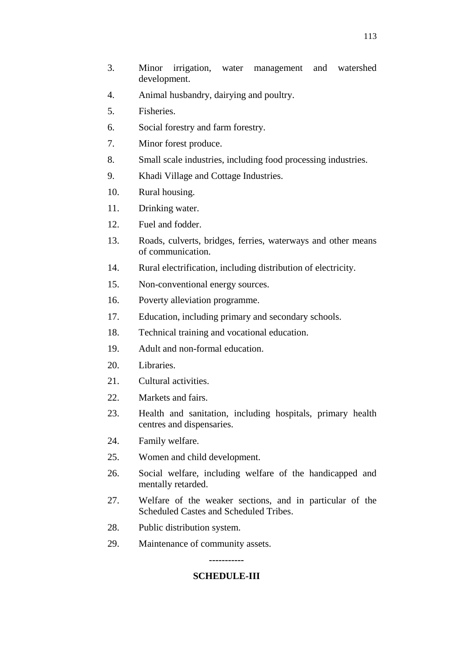- 3. Minor irrigation, water management and watershed development.
- 4. Animal husbandry, dairying and poultry.
- 5. Fisheries.
- 6. Social forestry and farm forestry.
- 7. Minor forest produce.
- 8. Small scale industries, including food processing industries.
- 9. Khadi Village and Cottage Industries.
- 10. Rural housing.
- 11. Drinking water.
- 12. Fuel and fodder.
- 13. Roads, culverts, bridges, ferries, waterways and other means of communication.
- 14. Rural electrification, including distribution of electricity.
- 15. Non-conventional energy sources.
- 16. Poverty alleviation programme.
- 17. Education, including primary and secondary schools.
- 18. Technical training and vocational education.
- 19. Adult and non-formal education.
- 20. Libraries.
- 21. Cultural activities.
- 22. Markets and fairs.
- 23. Health and sanitation, including hospitals, primary health centres and dispensaries.
- 24. Family welfare.
- 25. Women and child development.
- 26. Social welfare, including welfare of the handicapped and mentally retarded.
- 27. Welfare of the weaker sections, and in particular of the Scheduled Castes and Scheduled Tribes.
- 28. Public distribution system.
- 29. Maintenance of community assets.

# **----------- SCHEDULE-III**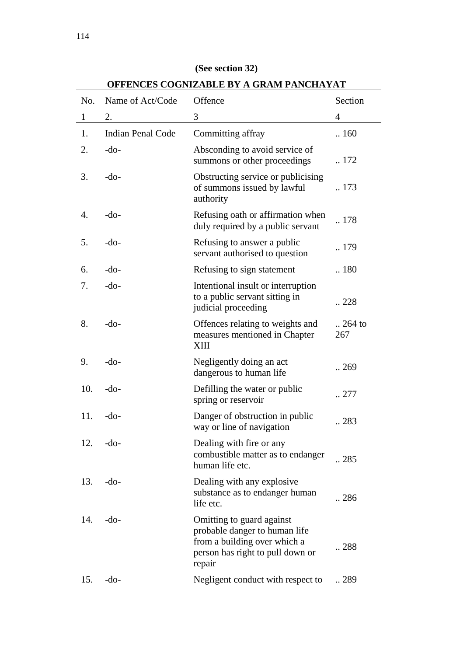| No.              | Name of Act/Code         | OFFERCES COGRIZADLE DI A GRAM LARCHATAT<br>Offence                                                                                       | Section          |
|------------------|--------------------------|------------------------------------------------------------------------------------------------------------------------------------------|------------------|
| $\mathbf{1}$     | 2.                       | 3                                                                                                                                        | 4                |
| 1.               | <b>Indian Penal Code</b> | Committing affray                                                                                                                        | .160             |
| 2.               | $-do-$                   | Absconding to avoid service of<br>summons or other proceedings                                                                           | 172              |
| 3.               | -do-                     | Obstructing service or publicising<br>of summons issued by lawful<br>authority                                                           | 173              |
| $\overline{4}$ . | $-do-$                   | Refusing oath or affirmation when<br>duly required by a public servant                                                                   | .178             |
| 5.               | $-do-$                   | Refusing to answer a public<br>servant authorised to question                                                                            | 179              |
| 6.               | $-do-$                   | Refusing to sign statement                                                                                                               | 180              |
| 7.               | $-do-$                   | Intentional insult or interruption<br>to a public servant sitting in<br>judicial proceeding                                              | 228              |
| 8.               | $-do-$                   | Offences relating to weights and<br>measures mentioned in Chapter<br>XШ                                                                  | $.264$ to<br>267 |
| 9.               | $-do-$                   | Negligently doing an act<br>dangerous to human life                                                                                      | .269             |
| 10.              | $-do-$                   | Defilling the water or public<br>spring or reservoir                                                                                     | 277              |
| 11.              | -do-                     | Danger of obstruction in public<br>way or line of navigation                                                                             | 283              |
| 12.              | $-do-$                   | Dealing with fire or any<br>combustible matter as to endanger<br>human life etc.                                                         | .285             |
| 13.              | $-do-$                   | Dealing with any explosive<br>substance as to endanger human<br>life etc.                                                                | 286              |
| 14.              | $-do-$                   | Omitting to guard against<br>probable danger to human life<br>from a building over which a<br>person has right to pull down or<br>repair | 288              |
| 15.              | $-do-$                   | Negligent conduct with respect to                                                                                                        | 289              |

# **(See section 32)**

**OFFENCES COGNIZABLE BY A GRAM PANCHAYAT**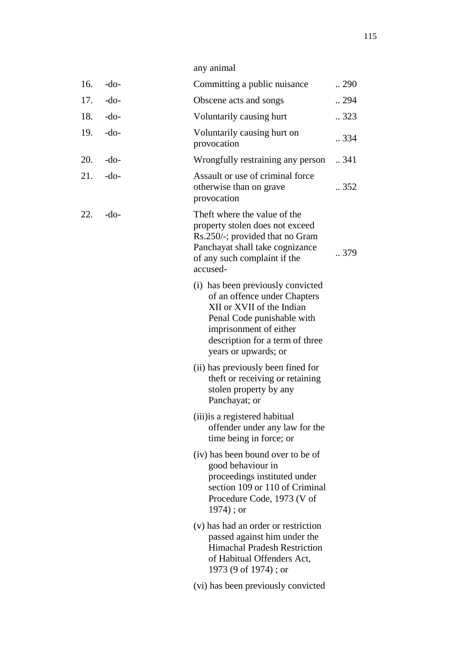| 16. | $-do-$ | Committing a public nuisance                                                                                                                                                                                      | 290              |
|-----|--------|-------------------------------------------------------------------------------------------------------------------------------------------------------------------------------------------------------------------|------------------|
| 17. | $-do-$ | Obscene acts and songs                                                                                                                                                                                            | 294              |
| 18. | $-do-$ | Voluntarily causing hurt                                                                                                                                                                                          | .323             |
| 19. | $-do-$ | Voluntarily causing hurt on<br>provocation                                                                                                                                                                        | .334             |
| 20. | $-do-$ | Wrongfully restraining any person                                                                                                                                                                                 | $\therefore$ 341 |
| 21. | $-do-$ | Assault or use of criminal force<br>otherwise than on grave<br>provocation                                                                                                                                        | .352             |
| 22. | $-do-$ | Theft where the value of the<br>property stolen does not exceed<br>Rs.250/-; provided that no Gram<br>Panchayat shall take cognizance<br>of any such complaint if the<br>accused-                                 | 379              |
|     |        | (i) has been previously convicted<br>of an offence under Chapters<br>XII or XVII of the Indian<br>Penal Code punishable with<br>imprisonment of either<br>description for a term of three<br>years or upwards; or |                  |
|     |        | (ii) has previously been fined for<br>theft or receiving or retaining<br>stolen property by any<br>Panchayat; or                                                                                                  |                  |
|     |        | (iii) is a registered habitual<br>offender under any law for the<br>time being in force; or                                                                                                                       |                  |
|     |        | (iv) has been bound over to be of<br>good behaviour in<br>proceedings instituted under<br>section 109 or 110 of Criminal<br>Procedure Code, 1973 (V of<br>$1974$ ; or                                             |                  |
|     |        | (v) has had an order or restriction<br>passed against him under the<br><b>Himachal Pradesh Restriction</b><br>of Habitual Offenders Act,<br>1973 (9 of 1974); or                                                  |                  |
|     |        | (vi) has been previously convicted                                                                                                                                                                                |                  |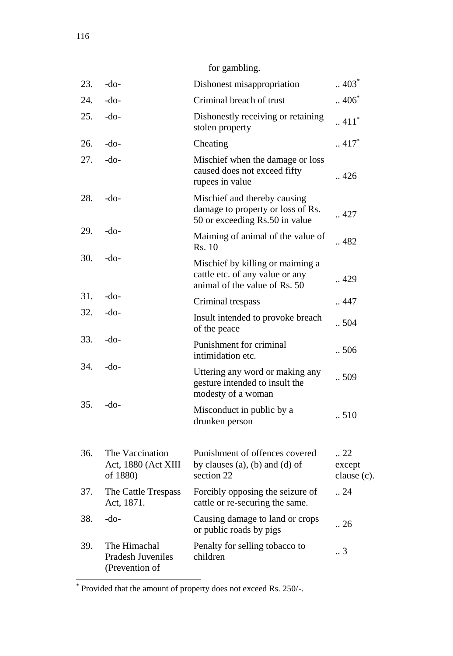for gambling.

| 23. | $-do-$                                                     | Dishonest misappropriation                                                                           | $\therefore 403^*$                      |
|-----|------------------------------------------------------------|------------------------------------------------------------------------------------------------------|-----------------------------------------|
| 24. | $-do-$                                                     | Criminal breach of trust                                                                             | $\therefore 406^*$                      |
| 25. | $-do-$                                                     | Dishonestly receiving or retaining<br>stolen property                                                | $\sim$ 411 $^{*}$                       |
| 26. | $-do-$                                                     | Cheating                                                                                             | $\therefore$ 417 <sup>*</sup>           |
| 27. | $-do-$                                                     | Mischief when the damage or loss<br>caused does not exceed fifty<br>rupees in value                  | .426                                    |
| 28. | $-do-$                                                     | Mischief and thereby causing<br>damage to property or loss of Rs.<br>50 or exceeding Rs.50 in value  | 427                                     |
| 29. | $-do-$                                                     | Maiming of animal of the value of<br>Rs. 10                                                          | $\ldots$ 482                            |
| 30. | $-do-$                                                     | Mischief by killing or maiming a<br>cattle etc. of any value or any<br>animal of the value of Rs. 50 | 429                                     |
| 31. | $-do-$                                                     | Criminal trespass                                                                                    | 447                                     |
| 32. | $-do-$                                                     | Insult intended to provoke breach<br>of the peace                                                    | .504                                    |
| 33. | $-do-$                                                     | Punishment for criminal<br>intimidation etc.                                                         | .506                                    |
| 34. | -do-                                                       | Uttering any word or making any<br>gesture intended to insult the<br>modesty of a woman              | .509                                    |
| 35. | $-do-$                                                     | Misconduct in public by a<br>drunken person                                                          | .510                                    |
| 36. | The Vaccination<br>Act, 1880 (Act XIII<br>of 1880)         | Punishment of offences covered<br>by clauses $(a)$ , $(b)$ and $(d)$ of<br>section 22                | $\ldots$ 22<br>except<br>clause $(c)$ . |
| 37. | The Cattle Trespass<br>Act, 1871.                          | Forcibly opposing the seizure of<br>cattle or re-securing the same.                                  | $\cdot$ 24                              |
| 38. | -do-                                                       | Causing damage to land or crops<br>or public roads by pigs                                           | $\cdot$ 26                              |
| 39. | The Himachal<br><b>Pradesh Juveniles</b><br>(Prevention of | Penalty for selling tobacco to<br>children                                                           | 3                                       |

 \* Provided that the amount of property does not exceed Rs. 250/-.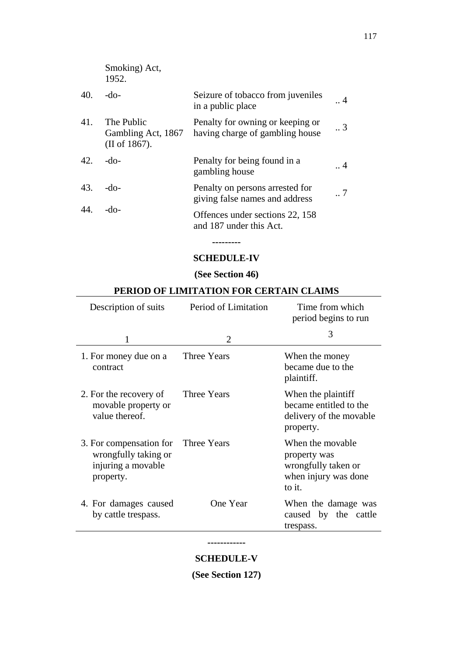|     | Smoking) Act,<br>1952.                            |                                                                     |                 |
|-----|---------------------------------------------------|---------------------------------------------------------------------|-----------------|
| 40. | -do-                                              | Seizure of tobacco from juveniles<br>in a public place              | $\cdot$ 4       |
| 41. | The Public<br>Gambling Act, 1867<br>(II of 1867). | Penalty for owning or keeping or<br>having charge of gambling house | $\cdot \cdot$ 3 |
| 42. | -do-                                              | Penalty for being found in a<br>gambling house                      | $\cdot$ . 4     |
| 43. | -do-                                              | Penalty on persons arrested for<br>giving false names and address   | $\cdot$ . 7     |
| 44. | -do-                                              | Offences under sections 22, 158<br>and 187 under this Act.          |                 |

# **--------- SCHEDULE-IV**

## **(See Section 46)**

| Description of suits                                                                           | Period of Limitation | Time from which<br>period begins to run                                                   |
|------------------------------------------------------------------------------------------------|----------------------|-------------------------------------------------------------------------------------------|
|                                                                                                | $\mathfrak{D}$       | 3                                                                                         |
| 1. For money due on a<br>contract                                                              | Three Years          | When the money<br>became due to the<br>plaintiff.                                         |
| 2. For the recovery of<br>movable property or<br>value thereof.                                | Three Years          | When the plaintiff<br>became entitled to the<br>delivery of the movable<br>property.      |
| 3. For compensation for Three Years<br>wrongfully taking or<br>injuring a movable<br>property. |                      | When the movable<br>property was<br>wrongfully taken or<br>when injury was done<br>to it. |
| 4. For damages caused<br>by cattle trespass.                                                   | One Year             | When the damage was<br>caused by the cattle<br>trespass.                                  |

## **PERIOD OF LIMITATION FOR CERTAIN CLAIMS**

### **------------**

**SCHEDULE-V**

**(See Section 127)**